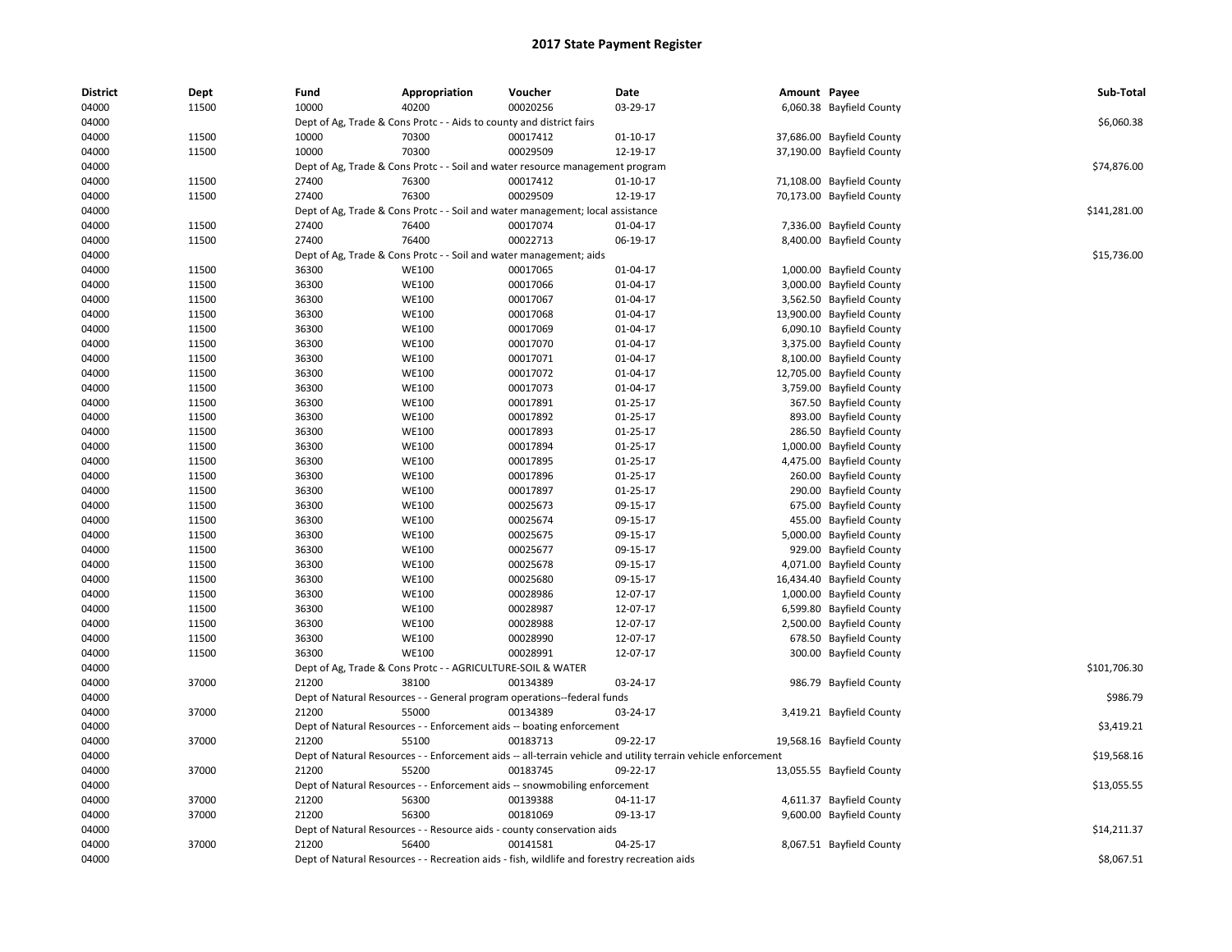| <b>District</b> | Dept  | Fund  | Appropriation                                                                                                 | Voucher  | Date           | Amount Payee |                           | Sub-Total    |
|-----------------|-------|-------|---------------------------------------------------------------------------------------------------------------|----------|----------------|--------------|---------------------------|--------------|
| 04000           | 11500 | 10000 | 40200                                                                                                         | 00020256 | 03-29-17       |              | 6,060.38 Bayfield County  |              |
| 04000           |       |       | Dept of Ag, Trade & Cons Protc - - Aids to county and district fairs                                          |          |                |              |                           | \$6,060.38   |
| 04000           | 11500 | 10000 | 70300                                                                                                         | 00017412 | 01-10-17       |              | 37,686.00 Bayfield County |              |
| 04000           | 11500 | 10000 | 70300                                                                                                         | 00029509 | 12-19-17       |              | 37,190.00 Bayfield County |              |
| 04000           |       |       | Dept of Ag, Trade & Cons Protc - - Soil and water resource management program                                 |          |                |              |                           | \$74,876.00  |
| 04000           | 11500 | 27400 | 76300                                                                                                         | 00017412 | $01-10-17$     |              | 71,108.00 Bayfield County |              |
| 04000           | 11500 | 27400 | 76300                                                                                                         | 00029509 | 12-19-17       |              | 70,173.00 Bayfield County |              |
| 04000           |       |       | Dept of Ag, Trade & Cons Protc - - Soil and water management; local assistance                                |          |                |              |                           | \$141,281.00 |
| 04000           | 11500 | 27400 | 76400                                                                                                         | 00017074 | 01-04-17       |              | 7,336.00 Bayfield County  |              |
| 04000           | 11500 | 27400 | 76400                                                                                                         | 00022713 | 06-19-17       |              | 8,400.00 Bayfield County  |              |
| 04000           |       |       | Dept of Ag, Trade & Cons Protc - - Soil and water management; aids                                            |          |                |              |                           | \$15,736.00  |
| 04000           | 11500 | 36300 | <b>WE100</b>                                                                                                  | 00017065 | 01-04-17       |              | 1,000.00 Bayfield County  |              |
| 04000           | 11500 | 36300 | <b>WE100</b>                                                                                                  | 00017066 | 01-04-17       |              | 3,000.00 Bayfield County  |              |
| 04000           | 11500 | 36300 | <b>WE100</b>                                                                                                  | 00017067 | 01-04-17       |              | 3,562.50 Bayfield County  |              |
| 04000           | 11500 | 36300 | <b>WE100</b>                                                                                                  | 00017068 | 01-04-17       |              | 13,900.00 Bayfield County |              |
| 04000           | 11500 | 36300 | <b>WE100</b>                                                                                                  | 00017069 | 01-04-17       |              | 6,090.10 Bayfield County  |              |
| 04000           | 11500 | 36300 | <b>WE100</b>                                                                                                  | 00017070 | 01-04-17       |              | 3,375.00 Bayfield County  |              |
| 04000           | 11500 | 36300 | <b>WE100</b>                                                                                                  | 00017071 | 01-04-17       |              | 8,100.00 Bayfield County  |              |
| 04000           | 11500 | 36300 | <b>WE100</b>                                                                                                  | 00017072 | 01-04-17       |              | 12,705.00 Bayfield County |              |
| 04000           | 11500 | 36300 | <b>WE100</b>                                                                                                  | 00017073 | 01-04-17       |              | 3,759.00 Bayfield County  |              |
| 04000           | 11500 | 36300 | <b>WE100</b>                                                                                                  | 00017891 | $01 - 25 - 17$ |              | 367.50 Bayfield County    |              |
| 04000           | 11500 | 36300 | WE100                                                                                                         | 00017892 | 01-25-17       |              | 893.00 Bayfield County    |              |
| 04000           | 11500 | 36300 | <b>WE100</b>                                                                                                  | 00017893 | 01-25-17       |              | 286.50 Bayfield County    |              |
| 04000           | 11500 | 36300 | <b>WE100</b>                                                                                                  | 00017894 | $01 - 25 - 17$ |              | 1,000.00 Bayfield County  |              |
| 04000           | 11500 | 36300 | WE100                                                                                                         | 00017895 | $01 - 25 - 17$ |              | 4,475.00 Bayfield County  |              |
| 04000           | 11500 | 36300 | <b>WE100</b>                                                                                                  | 00017896 | 01-25-17       |              | 260.00 Bayfield County    |              |
| 04000           | 11500 | 36300 | WE100                                                                                                         | 00017897 | 01-25-17       |              | 290.00 Bayfield County    |              |
| 04000           | 11500 | 36300 | <b>WE100</b>                                                                                                  | 00025673 | 09-15-17       |              | 675.00 Bayfield County    |              |
| 04000           | 11500 | 36300 | <b>WE100</b>                                                                                                  | 00025674 | 09-15-17       |              | 455.00 Bayfield County    |              |
| 04000           | 11500 | 36300 | WE100                                                                                                         | 00025675 | 09-15-17       |              | 5,000.00 Bayfield County  |              |
| 04000           | 11500 | 36300 | <b>WE100</b>                                                                                                  | 00025677 | 09-15-17       |              | 929.00 Bayfield County    |              |
| 04000           | 11500 | 36300 | <b>WE100</b>                                                                                                  | 00025678 | 09-15-17       |              | 4,071.00 Bayfield County  |              |
| 04000           | 11500 | 36300 | <b>WE100</b>                                                                                                  | 00025680 | 09-15-17       |              | 16,434.40 Bayfield County |              |
| 04000           | 11500 | 36300 | <b>WE100</b>                                                                                                  | 00028986 | 12-07-17       |              | 1,000.00 Bayfield County  |              |
| 04000           | 11500 | 36300 | <b>WE100</b>                                                                                                  | 00028987 | 12-07-17       |              | 6,599.80 Bayfield County  |              |
| 04000           | 11500 | 36300 | <b>WE100</b>                                                                                                  | 00028988 | 12-07-17       |              | 2,500.00 Bayfield County  |              |
| 04000           | 11500 | 36300 | <b>WE100</b>                                                                                                  | 00028990 | 12-07-17       |              | 678.50 Bayfield County    |              |
| 04000           | 11500 | 36300 | <b>WE100</b>                                                                                                  | 00028991 | 12-07-17       |              | 300.00 Bayfield County    |              |
| 04000           |       |       | Dept of Ag, Trade & Cons Protc - - AGRICULTURE-SOIL & WATER                                                   |          |                |              |                           | \$101,706.30 |
| 04000           | 37000 | 21200 | 38100                                                                                                         | 00134389 | 03-24-17       |              | 986.79 Bayfield County    |              |
| 04000           |       |       | Dept of Natural Resources - - General program operations--federal funds                                       |          |                |              |                           | \$986.79     |
| 04000           | 37000 | 21200 | 55000                                                                                                         | 00134389 | 03-24-17       |              | 3,419.21 Bayfield County  |              |
| 04000           |       |       | Dept of Natural Resources - - Enforcement aids -- boating enforcement                                         |          |                |              |                           | \$3,419.21   |
| 04000           | 37000 | 21200 | 55100                                                                                                         | 00183713 | 09-22-17       |              | 19,568.16 Bayfield County |              |
| 04000           |       |       | Dept of Natural Resources - - Enforcement aids -- all-terrain vehicle and utility terrain vehicle enforcement |          |                |              |                           | \$19,568.16  |
| 04000           | 37000 | 21200 | 55200                                                                                                         | 00183745 | 09-22-17       |              | 13,055.55 Bayfield County |              |
| 04000           |       |       | Dept of Natural Resources - - Enforcement aids -- snowmobiling enforcement                                    |          |                |              |                           | \$13,055.55  |
| 04000           | 37000 | 21200 | 56300                                                                                                         | 00139388 | 04-11-17       |              | 4,611.37 Bayfield County  |              |
| 04000           | 37000 | 21200 | 56300                                                                                                         | 00181069 | 09-13-17       |              | 9,600.00 Bayfield County  |              |
| 04000           |       |       |                                                                                                               |          |                |              |                           | \$14,211.37  |
| 04000           | 37000 | 21200 | Dept of Natural Resources - - Resource aids - county conservation aids<br>56400                               | 00141581 | 04-25-17       |              | 8,067.51 Bayfield County  |              |
|                 |       |       |                                                                                                               |          |                |              |                           |              |
| 04000           |       |       | Dept of Natural Resources - - Recreation aids - fish, wildlife and forestry recreation aids                   |          |                |              |                           | \$8,067.51   |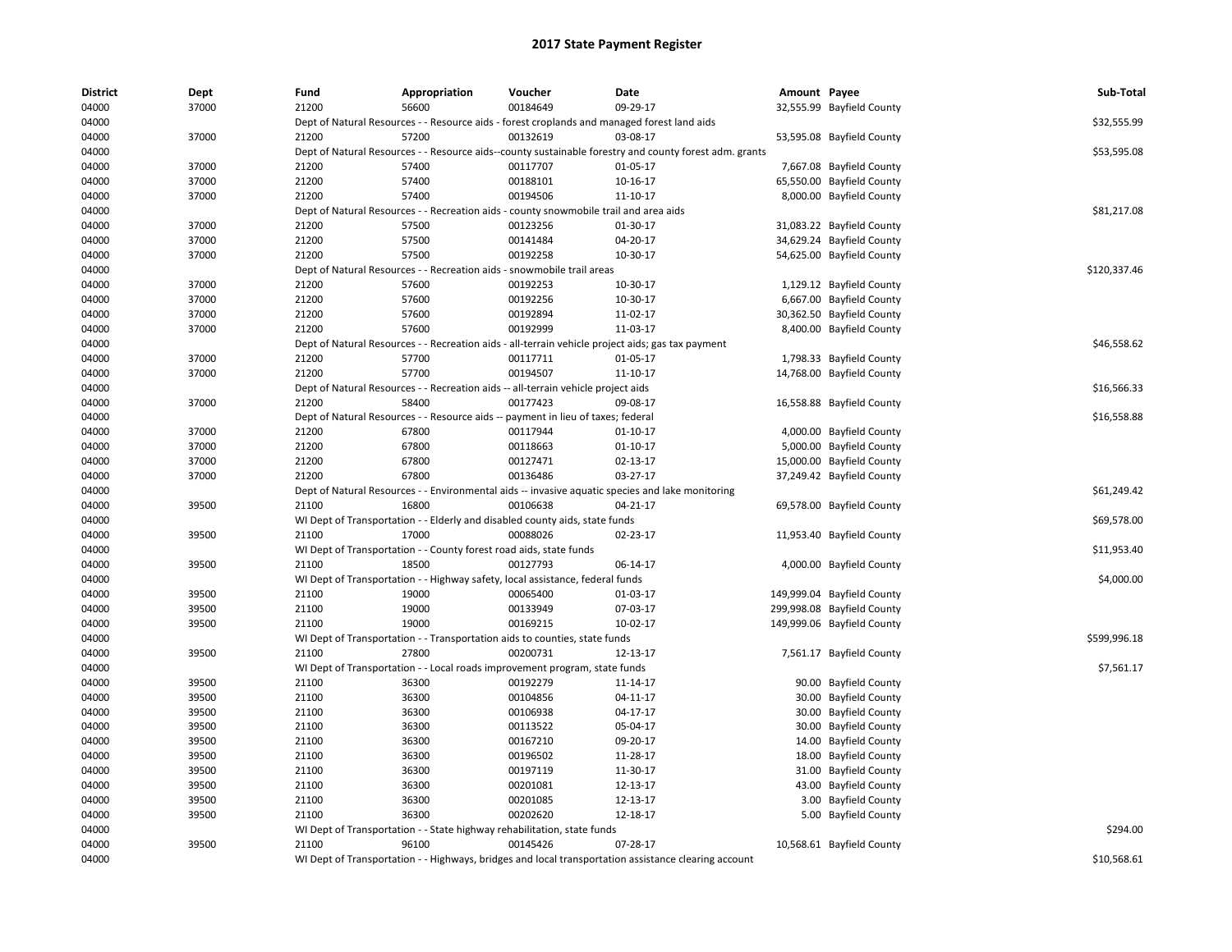| <b>District</b> | Dept  | Fund  | Appropriation                                                                               | Voucher  | Date                                                                                                   | Amount Payee |                            | Sub-Total    |
|-----------------|-------|-------|---------------------------------------------------------------------------------------------|----------|--------------------------------------------------------------------------------------------------------|--------------|----------------------------|--------------|
| 04000           | 37000 | 21200 | 56600                                                                                       | 00184649 | 09-29-17                                                                                               |              | 32,555.99 Bayfield County  |              |
| 04000           |       |       | Dept of Natural Resources - - Resource aids - forest croplands and managed forest land aids |          |                                                                                                        |              |                            | \$32,555.99  |
| 04000           | 37000 | 21200 | 57200                                                                                       | 00132619 | 03-08-17                                                                                               |              | 53,595.08 Bayfield County  |              |
| 04000           |       |       |                                                                                             |          | Dept of Natural Resources - - Resource aids--county sustainable forestry and county forest adm. grants |              |                            | \$53,595.08  |
| 04000           | 37000 | 21200 | 57400                                                                                       | 00117707 | 01-05-17                                                                                               |              | 7,667.08 Bayfield County   |              |
| 04000           | 37000 | 21200 | 57400                                                                                       | 00188101 | 10-16-17                                                                                               |              | 65,550.00 Bayfield County  |              |
| 04000           | 37000 | 21200 | 57400                                                                                       | 00194506 | 11-10-17                                                                                               |              | 8,000.00 Bayfield County   |              |
| 04000           |       |       | Dept of Natural Resources - - Recreation aids - county snowmobile trail and area aids       |          |                                                                                                        |              |                            | \$81,217.08  |
| 04000           | 37000 | 21200 | 57500                                                                                       | 00123256 | 01-30-17                                                                                               |              | 31,083.22 Bayfield County  |              |
| 04000           | 37000 | 21200 | 57500                                                                                       | 00141484 | 04-20-17                                                                                               |              | 34,629.24 Bayfield County  |              |
| 04000           | 37000 | 21200 | 57500                                                                                       | 00192258 | 10-30-17                                                                                               |              | 54,625.00 Bayfield County  |              |
| 04000           |       |       | Dept of Natural Resources - - Recreation aids - snowmobile trail areas                      |          |                                                                                                        |              |                            | \$120,337.46 |
| 04000           | 37000 | 21200 | 57600                                                                                       | 00192253 | 10-30-17                                                                                               |              | 1,129.12 Bayfield County   |              |
| 04000           | 37000 | 21200 | 57600                                                                                       | 00192256 | 10-30-17                                                                                               |              | 6,667.00 Bayfield County   |              |
| 04000           | 37000 | 21200 | 57600                                                                                       | 00192894 | 11-02-17                                                                                               |              | 30,362.50 Bayfield County  |              |
| 04000           | 37000 | 21200 | 57600                                                                                       | 00192999 | 11-03-17                                                                                               |              | 8,400.00 Bayfield County   |              |
| 04000           |       |       |                                                                                             |          | Dept of Natural Resources - - Recreation aids - all-terrain vehicle project aids; gas tax payment      |              |                            | \$46,558.62  |
| 04000           | 37000 | 21200 | 57700                                                                                       | 00117711 | 01-05-17                                                                                               |              | 1,798.33 Bayfield County   |              |
| 04000           | 37000 | 21200 | 57700                                                                                       | 00194507 | 11-10-17                                                                                               |              | 14,768.00 Bayfield County  |              |
| 04000           |       |       | Dept of Natural Resources - - Recreation aids -- all-terrain vehicle project aids           |          |                                                                                                        |              |                            | \$16,566.33  |
| 04000           | 37000 | 21200 | 58400                                                                                       | 00177423 | 09-08-17                                                                                               |              | 16,558.88 Bayfield County  |              |
| 04000           |       |       | Dept of Natural Resources - - Resource aids -- payment in lieu of taxes; federal            |          |                                                                                                        |              |                            | \$16,558.88  |
| 04000           | 37000 | 21200 | 67800                                                                                       | 00117944 | $01-10-17$                                                                                             |              | 4,000.00 Bayfield County   |              |
| 04000           | 37000 | 21200 | 67800                                                                                       | 00118663 | $01-10-17$                                                                                             |              | 5,000.00 Bayfield County   |              |
| 04000           | 37000 | 21200 | 67800                                                                                       | 00127471 | 02-13-17                                                                                               |              | 15,000.00 Bayfield County  |              |
| 04000           | 37000 | 21200 | 67800                                                                                       | 00136486 | 03-27-17                                                                                               |              | 37,249.42 Bayfield County  |              |
| 04000           |       |       |                                                                                             |          | Dept of Natural Resources - - Environmental aids -- invasive aquatic species and lake monitoring       |              |                            | \$61,249.42  |
| 04000           | 39500 | 21100 | 16800                                                                                       | 00106638 | 04-21-17                                                                                               |              | 69,578.00 Bayfield County  |              |
| 04000           |       |       | WI Dept of Transportation - - Elderly and disabled county aids, state funds                 |          |                                                                                                        |              |                            | \$69,578.00  |
| 04000           | 39500 | 21100 | 17000                                                                                       | 00088026 | 02-23-17                                                                                               |              | 11,953.40 Bayfield County  |              |
| 04000           |       |       | WI Dept of Transportation - - County forest road aids, state funds                          |          |                                                                                                        |              |                            | \$11,953.40  |
| 04000           | 39500 | 21100 | 18500                                                                                       | 00127793 | 06-14-17                                                                                               |              | 4,000.00 Bayfield County   |              |
| 04000           |       |       | WI Dept of Transportation - - Highway safety, local assistance, federal funds               |          |                                                                                                        |              |                            | \$4,000.00   |
| 04000           | 39500 | 21100 | 19000                                                                                       | 00065400 | 01-03-17                                                                                               |              | 149,999.04 Bayfield County |              |
| 04000           | 39500 | 21100 | 19000                                                                                       | 00133949 | 07-03-17                                                                                               |              | 299,998.08 Bayfield County |              |
| 04000           | 39500 | 21100 | 19000                                                                                       | 00169215 | 10-02-17                                                                                               |              | 149,999.06 Bayfield County |              |
| 04000           |       |       | WI Dept of Transportation - - Transportation aids to counties, state funds                  |          |                                                                                                        |              |                            | \$599,996.18 |
| 04000           | 39500 | 21100 | 27800                                                                                       | 00200731 | 12-13-17                                                                                               |              | 7,561.17 Bayfield County   |              |
| 04000           |       |       | WI Dept of Transportation - - Local roads improvement program, state funds                  |          |                                                                                                        |              |                            | \$7,561.17   |
| 04000           | 39500 | 21100 | 36300                                                                                       | 00192279 | 11-14-17                                                                                               |              | 90.00 Bayfield County      |              |
| 04000           | 39500 | 21100 | 36300                                                                                       | 00104856 | 04-11-17                                                                                               |              | 30.00 Bayfield County      |              |
| 04000           | 39500 | 21100 | 36300                                                                                       | 00106938 | 04-17-17                                                                                               |              | 30.00 Bayfield County      |              |
| 04000           | 39500 | 21100 | 36300                                                                                       | 00113522 | 05-04-17                                                                                               |              | 30.00 Bayfield County      |              |
| 04000           | 39500 | 21100 | 36300                                                                                       | 00167210 | 09-20-17                                                                                               | 14.00        | <b>Bayfield County</b>     |              |
| 04000           | 39500 | 21100 | 36300                                                                                       | 00196502 | 11-28-17                                                                                               | 18.00        | <b>Bayfield County</b>     |              |
| 04000           | 39500 | 21100 | 36300                                                                                       | 00197119 | 11-30-17                                                                                               | 31.00        | <b>Bayfield County</b>     |              |
| 04000           | 39500 | 21100 | 36300                                                                                       | 00201081 | 12-13-17                                                                                               |              | 43.00 Bayfield County      |              |
| 04000           | 39500 | 21100 | 36300                                                                                       | 00201085 | 12-13-17                                                                                               |              | 3.00 Bayfield County       |              |
| 04000           | 39500 | 21100 | 36300                                                                                       | 00202620 | 12-18-17                                                                                               |              | 5.00 Bayfield County       |              |
| 04000           |       |       | WI Dept of Transportation - - State highway rehabilitation, state funds                     |          |                                                                                                        |              |                            | \$294.00     |
| 04000           | 39500 | 21100 | 96100                                                                                       | 00145426 | 07-28-17                                                                                               |              | 10,568.61 Bayfield County  |              |
|                 |       |       |                                                                                             |          |                                                                                                        |              |                            |              |
| 04000           |       |       |                                                                                             |          | WI Dept of Transportation - - Highways, bridges and local transportation assistance clearing account   |              |                            | \$10,568.61  |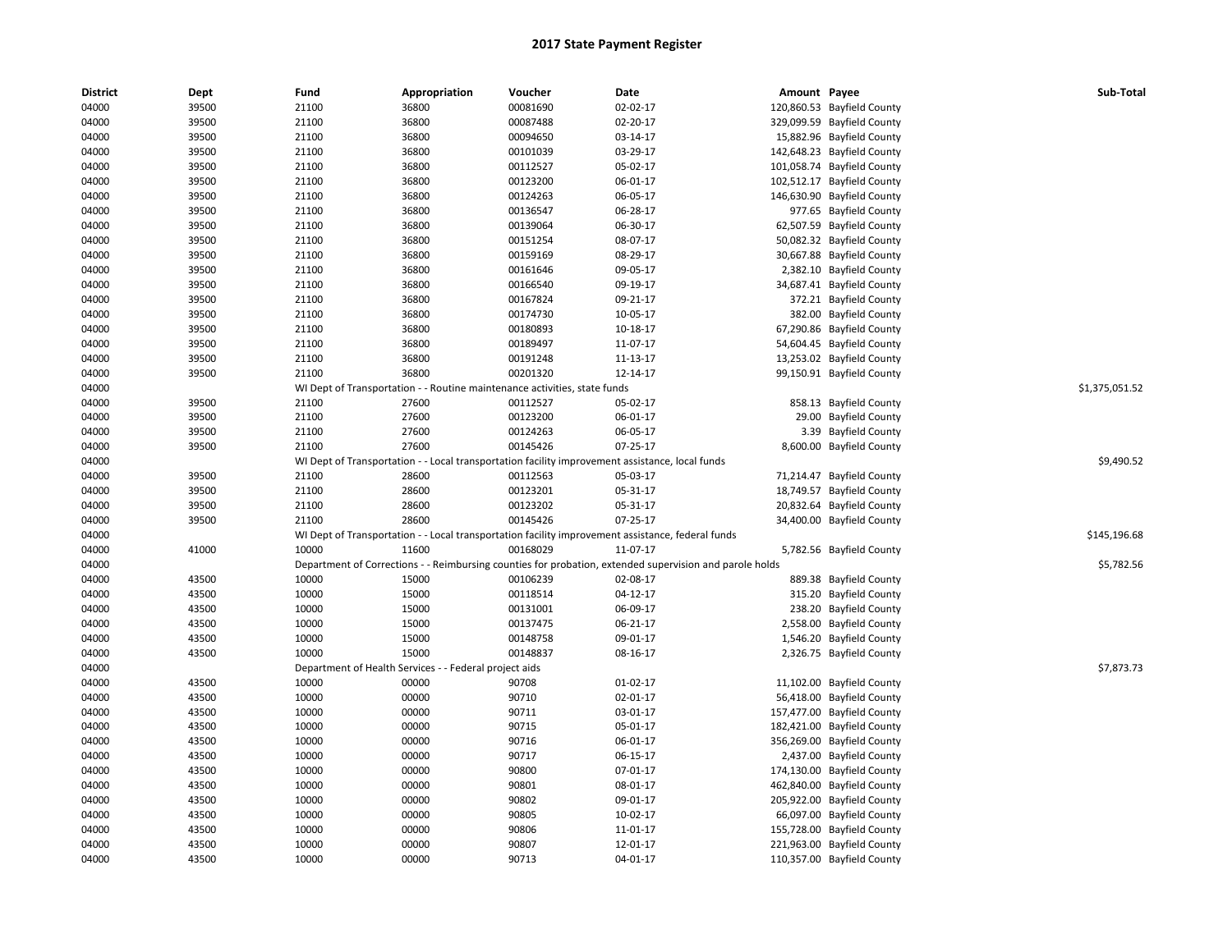| <b>District</b> | Dept  | Fund  | Appropriation                                                             | Voucher  | Date                                                                                                    | Amount Payee |                            | Sub-Total      |
|-----------------|-------|-------|---------------------------------------------------------------------------|----------|---------------------------------------------------------------------------------------------------------|--------------|----------------------------|----------------|
| 04000           | 39500 | 21100 | 36800                                                                     | 00081690 | 02-02-17                                                                                                |              | 120,860.53 Bayfield County |                |
| 04000           | 39500 | 21100 | 36800                                                                     | 00087488 | 02-20-17                                                                                                |              | 329,099.59 Bayfield County |                |
| 04000           | 39500 | 21100 | 36800                                                                     | 00094650 | 03-14-17                                                                                                |              | 15,882.96 Bayfield County  |                |
| 04000           | 39500 | 21100 | 36800                                                                     | 00101039 | 03-29-17                                                                                                |              | 142,648.23 Bayfield County |                |
| 04000           | 39500 | 21100 | 36800                                                                     | 00112527 | 05-02-17                                                                                                |              | 101,058.74 Bayfield County |                |
| 04000           | 39500 | 21100 | 36800                                                                     | 00123200 | 06-01-17                                                                                                |              | 102,512.17 Bayfield County |                |
| 04000           | 39500 | 21100 | 36800                                                                     | 00124263 | 06-05-17                                                                                                |              | 146,630.90 Bayfield County |                |
| 04000           | 39500 | 21100 | 36800                                                                     | 00136547 | 06-28-17                                                                                                |              | 977.65 Bayfield County     |                |
| 04000           | 39500 | 21100 | 36800                                                                     | 00139064 | 06-30-17                                                                                                |              | 62,507.59 Bayfield County  |                |
| 04000           | 39500 | 21100 | 36800                                                                     | 00151254 | 08-07-17                                                                                                |              | 50,082.32 Bayfield County  |                |
| 04000           | 39500 | 21100 | 36800                                                                     | 00159169 | 08-29-17                                                                                                |              | 30,667.88 Bayfield County  |                |
| 04000           | 39500 | 21100 | 36800                                                                     | 00161646 | 09-05-17                                                                                                |              | 2,382.10 Bayfield County   |                |
| 04000           | 39500 | 21100 | 36800                                                                     | 00166540 | 09-19-17                                                                                                |              | 34,687.41 Bayfield County  |                |
| 04000           | 39500 | 21100 | 36800                                                                     | 00167824 | 09-21-17                                                                                                |              | 372.21 Bayfield County     |                |
| 04000           | 39500 | 21100 | 36800                                                                     | 00174730 | 10-05-17                                                                                                |              | 382.00 Bayfield County     |                |
| 04000           | 39500 | 21100 | 36800                                                                     | 00180893 | 10-18-17                                                                                                |              | 67,290.86 Bayfield County  |                |
| 04000           | 39500 | 21100 | 36800                                                                     | 00189497 | 11-07-17                                                                                                |              | 54,604.45 Bayfield County  |                |
| 04000           | 39500 | 21100 | 36800                                                                     | 00191248 | 11-13-17                                                                                                |              | 13,253.02 Bayfield County  |                |
| 04000           | 39500 | 21100 | 36800                                                                     | 00201320 | 12-14-17                                                                                                |              | 99,150.91 Bayfield County  |                |
| 04000           |       |       | WI Dept of Transportation - - Routine maintenance activities, state funds |          |                                                                                                         |              |                            | \$1,375,051.52 |
| 04000           | 39500 | 21100 | 27600                                                                     | 00112527 | 05-02-17                                                                                                |              | 858.13 Bayfield County     |                |
| 04000           | 39500 | 21100 | 27600                                                                     | 00123200 | 06-01-17                                                                                                |              | 29.00 Bayfield County      |                |
| 04000           | 39500 | 21100 | 27600                                                                     | 00124263 | 06-05-17                                                                                                |              | 3.39 Bayfield County       |                |
| 04000           | 39500 | 21100 | 27600                                                                     | 00145426 | 07-25-17                                                                                                |              | 8,600.00 Bayfield County   |                |
| 04000           |       |       |                                                                           |          | WI Dept of Transportation - - Local transportation facility improvement assistance, local funds         |              |                            | \$9,490.52     |
| 04000           | 39500 | 21100 | 28600                                                                     | 00112563 | 05-03-17                                                                                                |              | 71,214.47 Bayfield County  |                |
| 04000           | 39500 | 21100 | 28600                                                                     | 00123201 | 05-31-17                                                                                                |              | 18,749.57 Bayfield County  |                |
| 04000           | 39500 | 21100 | 28600                                                                     | 00123202 | 05-31-17                                                                                                |              | 20,832.64 Bayfield County  |                |
| 04000           | 39500 | 21100 | 28600                                                                     | 00145426 | 07-25-17                                                                                                |              | 34,400.00 Bayfield County  |                |
| 04000           |       |       |                                                                           |          | WI Dept of Transportation - - Local transportation facility improvement assistance, federal funds       |              |                            | \$145,196.68   |
| 04000           | 41000 | 10000 | 11600                                                                     | 00168029 | 11-07-17                                                                                                |              | 5,782.56 Bayfield County   |                |
| 04000           |       |       |                                                                           |          | Department of Corrections - - Reimbursing counties for probation, extended supervision and parole holds |              |                            | \$5,782.56     |
| 04000           | 43500 | 10000 | 15000                                                                     | 00106239 | 02-08-17                                                                                                |              | 889.38 Bayfield County     |                |
| 04000           | 43500 | 10000 | 15000                                                                     | 00118514 | 04-12-17                                                                                                |              | 315.20 Bayfield County     |                |
| 04000           | 43500 | 10000 | 15000                                                                     | 00131001 | 06-09-17                                                                                                |              | 238.20 Bayfield County     |                |
| 04000           | 43500 | 10000 | 15000                                                                     | 00137475 | 06-21-17                                                                                                |              | 2,558.00 Bayfield County   |                |
| 04000           | 43500 | 10000 | 15000                                                                     | 00148758 | 09-01-17                                                                                                |              | 1,546.20 Bayfield County   |                |
| 04000           | 43500 | 10000 | 15000                                                                     | 00148837 | 08-16-17                                                                                                |              | 2,326.75 Bayfield County   |                |
| 04000           |       |       | Department of Health Services - - Federal project aids                    |          |                                                                                                         |              |                            | \$7,873.73     |
| 04000           | 43500 | 10000 | 00000                                                                     | 90708    | 01-02-17                                                                                                |              | 11,102.00 Bayfield County  |                |
| 04000           | 43500 | 10000 | 00000                                                                     | 90710    | 02-01-17                                                                                                |              | 56,418.00 Bayfield County  |                |
| 04000           | 43500 | 10000 | 00000                                                                     | 90711    | 03-01-17                                                                                                |              | 157,477.00 Bayfield County |                |
| 04000           | 43500 | 10000 | 00000                                                                     | 90715    | 05-01-17                                                                                                |              | 182,421.00 Bayfield County |                |
| 04000           | 43500 | 10000 | 00000                                                                     | 90716    | 06-01-17                                                                                                |              | 356,269.00 Bayfield County |                |
| 04000           | 43500 | 10000 | 00000                                                                     | 90717    | 06-15-17                                                                                                |              | 2,437.00 Bayfield County   |                |
| 04000           | 43500 | 10000 | 00000                                                                     | 90800    | 07-01-17                                                                                                |              | 174,130.00 Bayfield County |                |
| 04000           | 43500 | 10000 | 00000                                                                     | 90801    | 08-01-17                                                                                                |              | 462,840.00 Bayfield County |                |
| 04000           | 43500 | 10000 | 00000                                                                     | 90802    | 09-01-17                                                                                                |              | 205,922.00 Bayfield County |                |
| 04000           | 43500 | 10000 | 00000                                                                     | 90805    | 10-02-17                                                                                                |              | 66,097.00 Bayfield County  |                |
| 04000           | 43500 | 10000 | 00000                                                                     | 90806    | 11-01-17                                                                                                |              | 155,728.00 Bayfield County |                |
| 04000           | 43500 | 10000 | 00000                                                                     | 90807    | 12-01-17                                                                                                |              | 221,963.00 Bayfield County |                |
| 04000           | 43500 | 10000 | 00000                                                                     | 90713    | 04-01-17                                                                                                |              | 110,357.00 Bayfield County |                |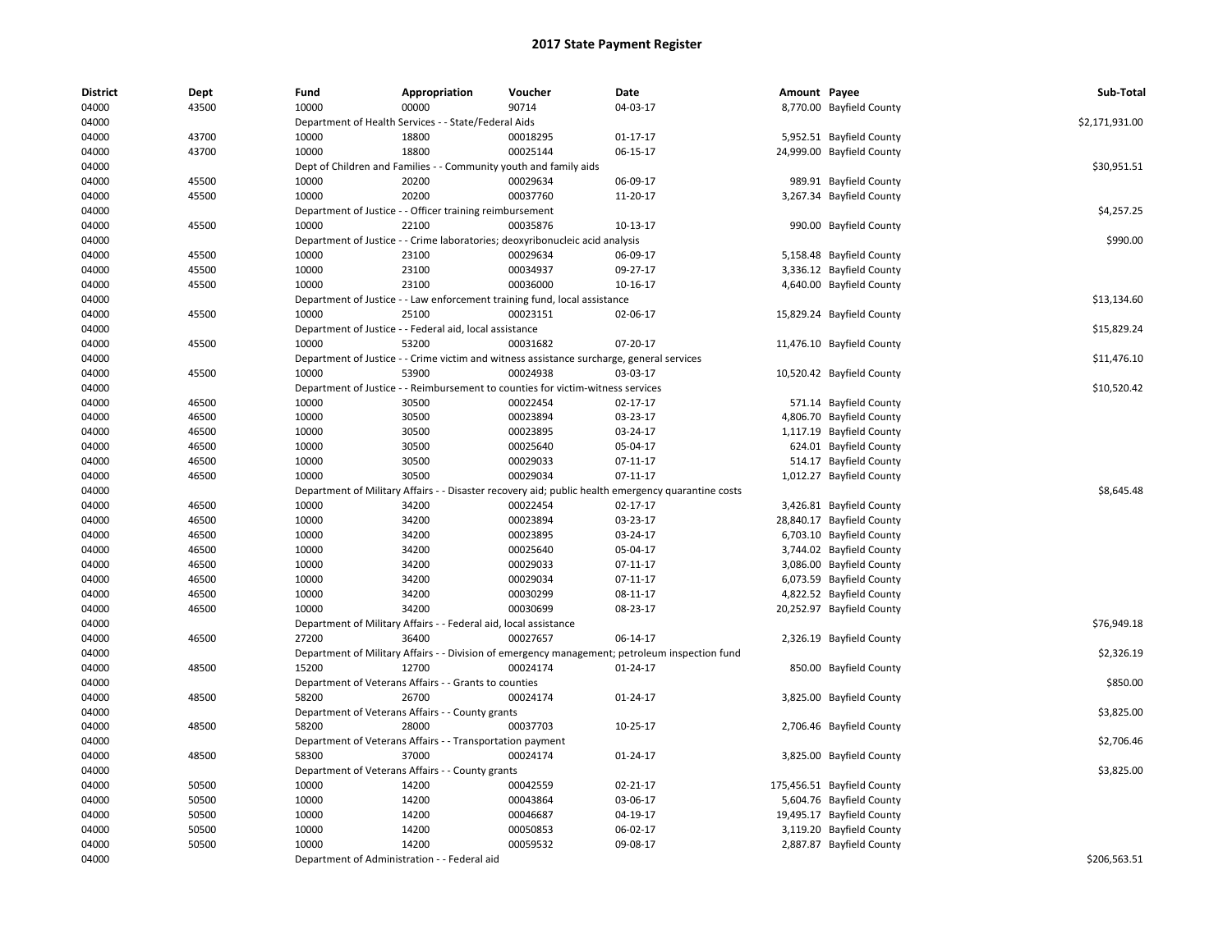| <b>District</b> | Dept  | Fund                             | Appropriation                                                             | Voucher                                                                                   | Date                                                                                           | Amount Payee |                            | Sub-Total      |
|-----------------|-------|----------------------------------|---------------------------------------------------------------------------|-------------------------------------------------------------------------------------------|------------------------------------------------------------------------------------------------|--------------|----------------------------|----------------|
| 04000           | 43500 | 10000                            | 00000                                                                     | 90714                                                                                     | 04-03-17                                                                                       |              | 8,770.00 Bayfield County   |                |
| 04000           |       |                                  | Department of Health Services - - State/Federal Aids                      |                                                                                           |                                                                                                |              |                            | \$2,171,931.00 |
| 04000           | 43700 | 10000                            | 18800                                                                     | 00018295                                                                                  | $01 - 17 - 17$                                                                                 |              | 5,952.51 Bayfield County   |                |
| 04000           | 43700 | 10000                            | 18800                                                                     | 00025144                                                                                  | 06-15-17                                                                                       |              | 24,999.00 Bayfield County  |                |
| 04000           |       |                                  | Dept of Children and Families - - Community youth and family aids         |                                                                                           |                                                                                                |              |                            | \$30,951.51    |
| 04000           | 45500 | 10000                            | 20200                                                                     | 00029634                                                                                  | 06-09-17                                                                                       |              | 989.91 Bayfield County     |                |
| 04000           | 45500 | 10000                            | 20200                                                                     | 00037760                                                                                  | 11-20-17                                                                                       |              | 3,267.34 Bayfield County   |                |
| 04000           |       |                                  | Department of Justice - - Officer training reimbursement                  |                                                                                           |                                                                                                |              |                            | \$4,257.25     |
| 04000           | 45500 | 10000                            | 22100                                                                     | 00035876                                                                                  | 10-13-17                                                                                       |              | 990.00 Bayfield County     |                |
| 04000           |       |                                  |                                                                           | Department of Justice - - Crime laboratories; deoxyribonucleic acid analysis              |                                                                                                |              |                            | \$990.00       |
| 04000           | 45500 | 10000                            | 23100                                                                     | 00029634                                                                                  | 06-09-17                                                                                       |              | 5,158.48 Bayfield County   |                |
| 04000           | 45500 | 10000                            | 23100                                                                     | 00034937                                                                                  | 09-27-17                                                                                       |              | 3,336.12 Bayfield County   |                |
| 04000           | 45500 | 10000                            | 23100                                                                     | 00036000                                                                                  | 10-16-17                                                                                       |              | 4,640.00 Bayfield County   |                |
| 04000           |       |                                  |                                                                           | Department of Justice - - Law enforcement training fund, local assistance                 |                                                                                                |              |                            | \$13,134.60    |
| 04000           | 45500 | 10000                            | 25100                                                                     | 00023151                                                                                  | 02-06-17                                                                                       |              | 15,829.24 Bayfield County  |                |
| 04000           |       |                                  | Department of Justice - - Federal aid, local assistance                   |                                                                                           |                                                                                                |              |                            | \$15,829.24    |
| 04000           | 45500 | 10000                            | 53200                                                                     | 00031682                                                                                  | 07-20-17                                                                                       |              | 11,476.10 Bayfield County  |                |
| 04000           |       |                                  |                                                                           | Department of Justice - - Crime victim and witness assistance surcharge, general services |                                                                                                |              |                            | \$11,476.10    |
| 04000           | 45500 | 10000                            | 53900                                                                     | 00024938                                                                                  | 03-03-17                                                                                       |              | 10,520.42 Bayfield County  |                |
| 04000           |       |                                  |                                                                           | Department of Justice - - Reimbursement to counties for victim-witness services           |                                                                                                |              |                            | \$10,520.42    |
| 04000           | 46500 | 10000                            | 30500                                                                     | 00022454                                                                                  | 02-17-17                                                                                       |              | 571.14 Bayfield County     |                |
| 04000           | 46500 | 10000                            | 30500                                                                     | 00023894                                                                                  | 03-23-17                                                                                       |              | 4,806.70 Bayfield County   |                |
| 04000           | 46500 | 10000                            | 30500                                                                     | 00023895                                                                                  | 03-24-17                                                                                       |              | 1,117.19 Bayfield County   |                |
| 04000           | 46500 | 10000                            | 30500                                                                     | 00025640                                                                                  | 05-04-17                                                                                       |              | 624.01 Bayfield County     |                |
| 04000           | 46500 | 10000                            | 30500                                                                     | 00029033                                                                                  | 07-11-17                                                                                       |              | 514.17 Bayfield County     |                |
| 04000           | 46500 | 10000                            | 30500                                                                     | 00029034                                                                                  | 07-11-17                                                                                       |              | 1,012.27 Bayfield County   |                |
| 04000           |       | Department of Military Affairs - |                                                                           |                                                                                           | - Disaster recovery aid; public health emergency quarantine costs                              |              |                            | \$8,645.48     |
| 04000           | 46500 | 10000                            | 34200                                                                     | 00022454                                                                                  | 02-17-17                                                                                       |              | 3,426.81 Bayfield County   |                |
| 04000           | 46500 | 10000                            | 34200                                                                     | 00023894                                                                                  | 03-23-17                                                                                       |              | 28,840.17 Bayfield County  |                |
| 04000           | 46500 | 10000                            | 34200                                                                     | 00023895                                                                                  | 03-24-17                                                                                       |              | 6,703.10 Bayfield County   |                |
| 04000           | 46500 | 10000                            | 34200                                                                     | 00025640                                                                                  | 05-04-17                                                                                       |              | 3,744.02 Bayfield County   |                |
| 04000           | 46500 | 10000                            | 34200                                                                     | 00029033                                                                                  | 07-11-17                                                                                       |              | 3,086.00 Bayfield County   |                |
| 04000           | 46500 | 10000                            | 34200                                                                     | 00029034                                                                                  | 07-11-17                                                                                       |              | 6,073.59 Bayfield County   |                |
| 04000           | 46500 | 10000                            | 34200                                                                     | 00030299                                                                                  | 08-11-17                                                                                       |              |                            |                |
|                 |       | 10000                            | 34200                                                                     | 00030699                                                                                  |                                                                                                |              | 4,822.52 Bayfield County   |                |
| 04000           | 46500 |                                  |                                                                           |                                                                                           | 08-23-17                                                                                       |              | 20,252.97 Bayfield County  |                |
| 04000<br>04000  | 46500 | 27200                            | Department of Military Affairs - - Federal aid, local assistance<br>36400 | 00027657                                                                                  | 06-14-17                                                                                       |              |                            | \$76,949.18    |
| 04000           |       |                                  |                                                                           |                                                                                           |                                                                                                |              | 2,326.19 Bayfield County   | \$2,326.19     |
|                 |       |                                  |                                                                           |                                                                                           | Department of Military Affairs - - Division of emergency management; petroleum inspection fund |              |                            |                |
| 04000           | 48500 | 15200                            | 12700                                                                     | 00024174                                                                                  | 01-24-17                                                                                       |              | 850.00 Bayfield County     |                |
| 04000           |       |                                  | Department of Veterans Affairs - - Grants to counties                     |                                                                                           |                                                                                                |              |                            | \$850.00       |
| 04000           | 48500 | 58200                            | 26700                                                                     | 00024174                                                                                  | 01-24-17                                                                                       |              | 3,825.00 Bayfield County   |                |
| 04000           |       |                                  | Department of Veterans Affairs - - County grants                          |                                                                                           |                                                                                                |              |                            | \$3,825.00     |
| 04000           | 48500 | 58200                            | 28000                                                                     | 00037703                                                                                  | 10-25-17                                                                                       |              | 2,706.46 Bayfield County   |                |
| 04000           |       |                                  | Department of Veterans Affairs - - Transportation payment                 |                                                                                           |                                                                                                |              |                            | \$2,706.46     |
| 04000           | 48500 | 58300                            | 37000                                                                     | 00024174                                                                                  | 01-24-17                                                                                       |              | 3,825.00 Bayfield County   |                |
| 04000           |       |                                  | Department of Veterans Affairs - - County grants                          |                                                                                           |                                                                                                |              |                            | \$3,825.00     |
| 04000           | 50500 | 10000                            | 14200                                                                     | 00042559                                                                                  | 02-21-17                                                                                       |              | 175,456.51 Bayfield County |                |
| 04000           | 50500 | 10000                            | 14200                                                                     | 00043864                                                                                  | 03-06-17                                                                                       |              | 5,604.76 Bayfield County   |                |
| 04000           | 50500 | 10000                            | 14200                                                                     | 00046687                                                                                  | 04-19-17                                                                                       |              | 19,495.17 Bayfield County  |                |
| 04000           | 50500 | 10000                            | 14200                                                                     | 00050853                                                                                  | 06-02-17                                                                                       |              | 3,119.20 Bayfield County   |                |
| 04000           | 50500 | 10000                            | 14200                                                                     | 00059532                                                                                  | 09-08-17                                                                                       |              | 2,887.87 Bayfield County   |                |
| 04000           |       |                                  | Department of Administration - - Federal aid                              |                                                                                           |                                                                                                |              |                            | \$206,563.51   |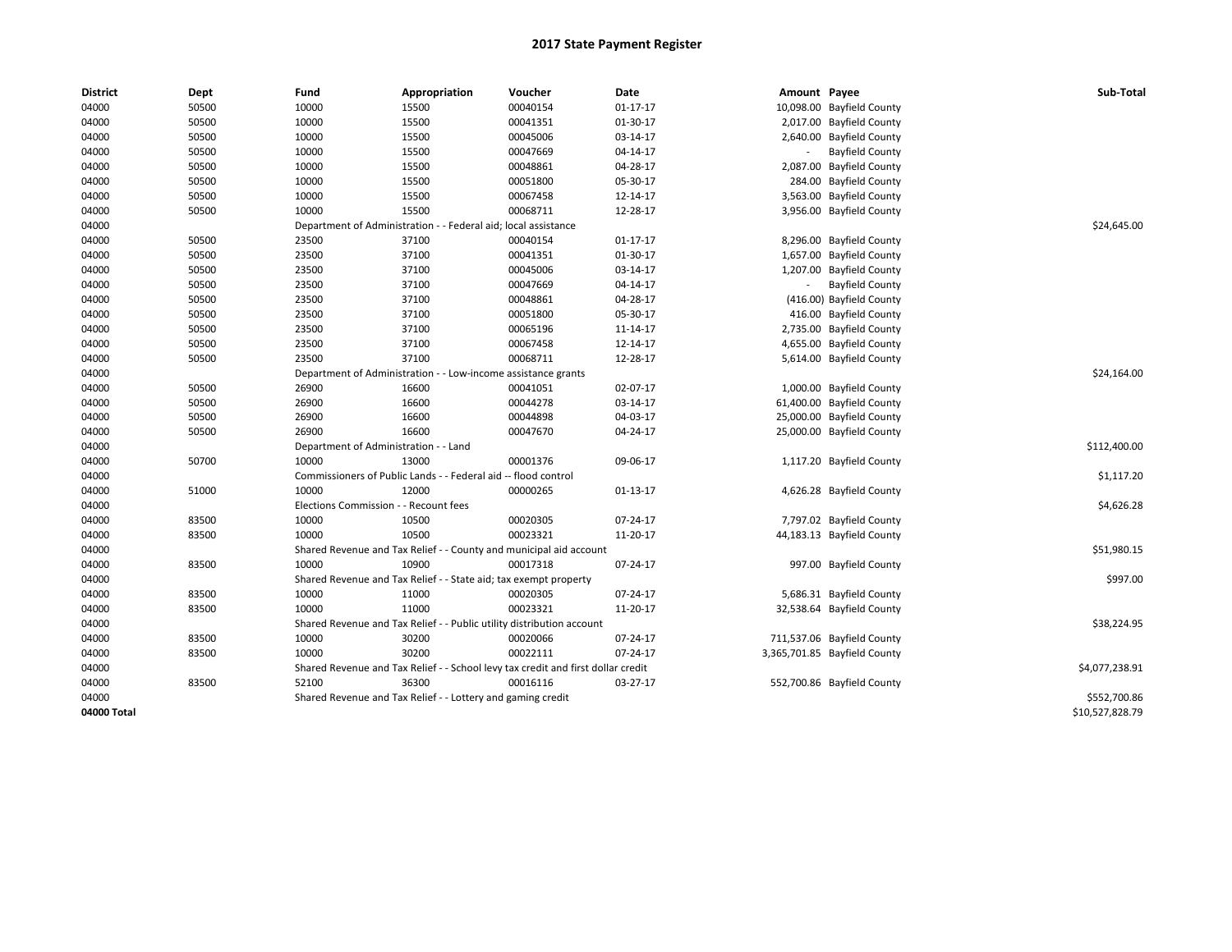| <b>District</b> | Dept  | Fund                                                          | Appropriation                                                                    | Voucher                         | Date           | Amount Payee |                              | Sub-Total       |
|-----------------|-------|---------------------------------------------------------------|----------------------------------------------------------------------------------|---------------------------------|----------------|--------------|------------------------------|-----------------|
| 04000           | 50500 | 10000                                                         | 15500                                                                            | 00040154                        | $01 - 17 - 17$ |              | 10,098.00 Bayfield County    |                 |
| 04000           | 50500 | 10000                                                         | 15500                                                                            | 00041351                        | 01-30-17       |              | 2,017.00 Bayfield County     |                 |
| 04000           | 50500 | 10000                                                         | 15500                                                                            | 00045006                        | 03-14-17       |              | 2,640.00 Bayfield County     |                 |
| 04000           | 50500 | 10000                                                         | 15500                                                                            | 00047669                        | 04-14-17       |              | <b>Bayfield County</b>       |                 |
| 04000           | 50500 | 10000                                                         | 15500                                                                            | 00048861                        | 04-28-17       |              | 2,087.00 Bayfield County     |                 |
| 04000           | 50500 | 10000                                                         | 15500                                                                            | 00051800                        | 05-30-17       |              | 284.00 Bayfield County       |                 |
| 04000           | 50500 | 10000                                                         | 15500                                                                            | 00067458                        | 12-14-17       |              | 3,563.00 Bayfield County     |                 |
| 04000           | 50500 | 10000                                                         | 15500                                                                            | 00068711                        | 12-28-17       |              | 3,956.00 Bayfield County     |                 |
| 04000           |       | Department of Administration                                  |                                                                                  | - Federal aid; local assistance |                |              |                              | \$24,645.00     |
| 04000           | 50500 | 23500                                                         | 37100                                                                            | 00040154                        | 01-17-17       |              | 8,296.00 Bayfield County     |                 |
| 04000           | 50500 | 23500                                                         | 37100                                                                            | 00041351                        | 01-30-17       |              | 1,657.00 Bayfield County     |                 |
| 04000           | 50500 | 23500                                                         | 37100                                                                            | 00045006                        | 03-14-17       |              | 1,207.00 Bayfield County     |                 |
| 04000           | 50500 | 23500                                                         | 37100                                                                            | 00047669                        | 04-14-17       |              | <b>Bayfield County</b>       |                 |
| 04000           | 50500 | 23500                                                         | 37100                                                                            | 00048861                        | 04-28-17       |              | (416.00) Bayfield County     |                 |
| 04000           | 50500 | 23500                                                         | 37100                                                                            | 00051800                        | 05-30-17       |              | 416.00 Bayfield County       |                 |
| 04000           | 50500 | 23500                                                         | 37100                                                                            | 00065196                        | 11-14-17       |              | 2,735.00 Bayfield County     |                 |
| 04000           | 50500 | 23500                                                         | 37100                                                                            | 00067458                        | 12-14-17       |              | 4,655.00 Bayfield County     |                 |
| 04000           | 50500 | 23500                                                         | 37100                                                                            | 00068711                        | 12-28-17       |              | 5,614.00 Bayfield County     |                 |
| 04000           |       | Department of Administration - - Low-income assistance grants |                                                                                  | \$24,164.00                     |                |              |                              |                 |
| 04000           | 50500 | 26900                                                         | 16600                                                                            | 00041051                        | 02-07-17       |              | 1,000.00 Bayfield County     |                 |
| 04000           | 50500 | 26900                                                         | 16600                                                                            | 00044278                        | 03-14-17       |              | 61,400.00 Bayfield County    |                 |
| 04000           | 50500 | 26900                                                         | 16600                                                                            | 00044898                        | 04-03-17       |              | 25,000.00 Bayfield County    |                 |
| 04000           | 50500 | 26900                                                         | 16600                                                                            | 00047670                        | 04-24-17       |              | 25,000.00 Bayfield County    |                 |
| 04000           |       | Department of Administration - - Land                         |                                                                                  |                                 |                |              |                              | \$112,400.00    |
| 04000           | 50700 | 10000                                                         | 13000                                                                            | 00001376                        | 09-06-17       |              | 1,117.20 Bayfield County     |                 |
| 04000           |       |                                                               | Commissioners of Public Lands - - Federal aid -- flood control                   |                                 |                |              |                              | \$1,117.20      |
| 04000           | 51000 | 10000                                                         | 12000                                                                            | 00000265                        | 01-13-17       |              | 4,626.28 Bayfield County     |                 |
| 04000           |       | Elections Commission - - Recount fees                         |                                                                                  |                                 |                |              |                              | \$4,626.28      |
| 04000           | 83500 | 10000                                                         | 10500                                                                            | 00020305                        | 07-24-17       |              | 7,797.02 Bayfield County     |                 |
| 04000           | 83500 | 10000                                                         | 10500                                                                            | 00023321                        | 11-20-17       |              | 44,183.13 Bayfield County    |                 |
| 04000           |       |                                                               | Shared Revenue and Tax Relief - - County and municipal aid account               |                                 |                |              |                              | \$51,980.15     |
| 04000           | 83500 | 10000                                                         | 10900                                                                            | 00017318                        | 07-24-17       |              | 997.00 Bayfield County       |                 |
| 04000           |       |                                                               | Shared Revenue and Tax Relief - - State aid; tax exempt property                 |                                 |                |              |                              | \$997.00        |
| 04000           | 83500 | 10000                                                         | 11000                                                                            | 00020305                        | 07-24-17       |              | 5,686.31 Bayfield County     |                 |
| 04000           | 83500 | 10000                                                         | 11000                                                                            | 00023321                        | 11-20-17       |              | 32,538.64 Bayfield County    |                 |
| 04000           |       |                                                               | Shared Revenue and Tax Relief - - Public utility distribution account            |                                 |                |              |                              | \$38,224.95     |
| 04000           | 83500 | 10000                                                         | 30200                                                                            | 00020066                        | 07-24-17       |              | 711,537.06 Bayfield County   |                 |
| 04000           | 83500 | 10000                                                         | 30200                                                                            | 00022111                        | 07-24-17       |              | 3,365,701.85 Bayfield County |                 |
| 04000           |       |                                                               | Shared Revenue and Tax Relief - - School levy tax credit and first dollar credit |                                 |                |              |                              | \$4,077,238.91  |
| 04000           | 83500 | 52100                                                         | 36300                                                                            | 00016116                        | 03-27-17       |              | 552,700.86 Bayfield County   |                 |
| 04000           |       |                                                               | Shared Revenue and Tax Relief - - Lottery and gaming credit                      |                                 |                |              |                              | \$552,700.86    |
| 04000 Total     |       |                                                               |                                                                                  |                                 |                |              |                              | \$10,527,828.79 |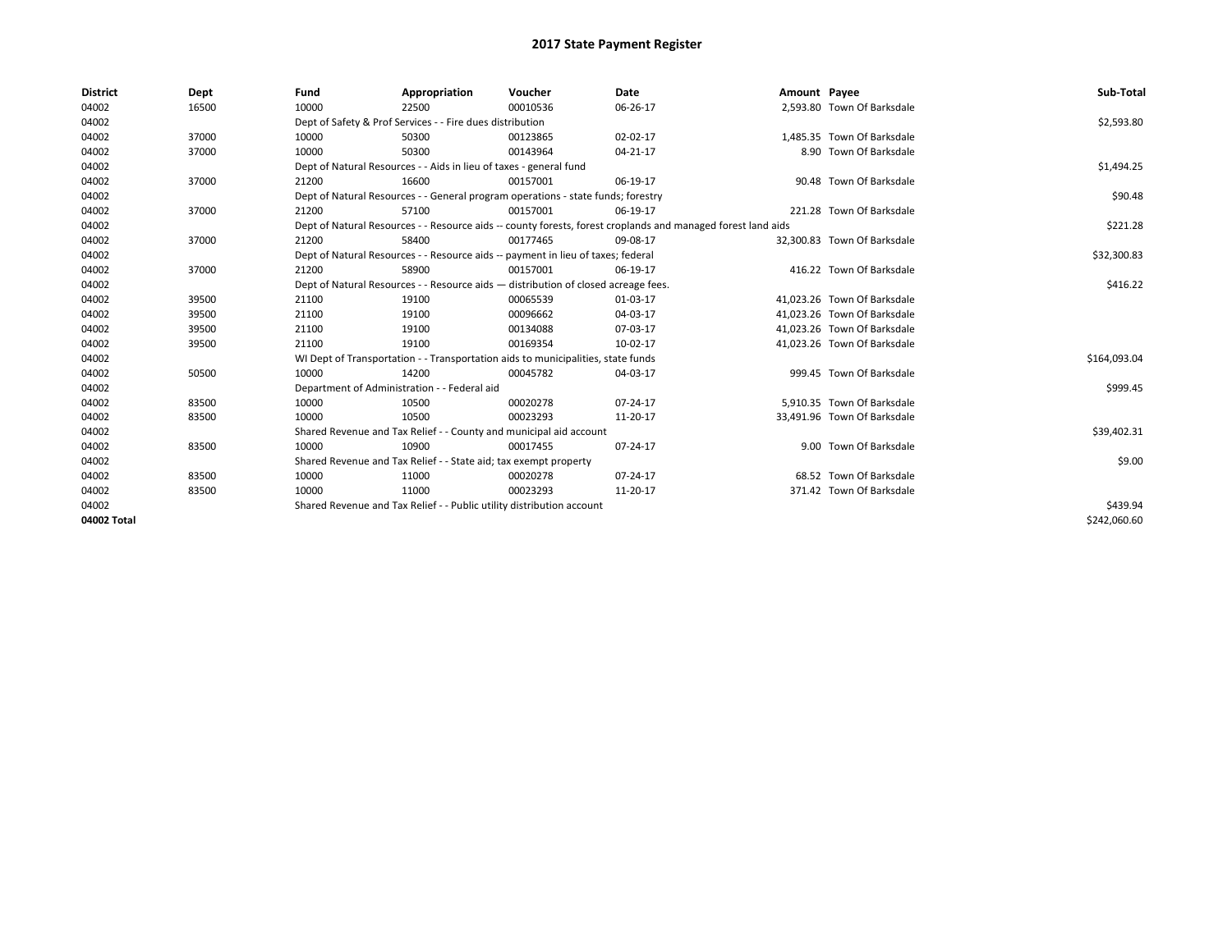| <b>District</b> | Dept  | Fund                                                                                                         | Appropriation                                                                    | Voucher    | Date     | Amount Payee |                             | Sub-Total    |
|-----------------|-------|--------------------------------------------------------------------------------------------------------------|----------------------------------------------------------------------------------|------------|----------|--------------|-----------------------------|--------------|
| 04002           | 16500 | 10000                                                                                                        | 22500                                                                            | 00010536   | 06-26-17 |              | 2,593.80 Town Of Barksdale  |              |
| 04002           |       |                                                                                                              | Dept of Safety & Prof Services - - Fire dues distribution                        |            |          |              |                             | \$2,593.80   |
| 04002           | 37000 | 10000                                                                                                        | 50300                                                                            | 00123865   | 02-02-17 |              | 1,485.35 Town Of Barksdale  |              |
| 04002           | 37000 | 10000                                                                                                        | 50300                                                                            | 00143964   | 04-21-17 |              | 8.90 Town Of Barksdale      |              |
| 04002           |       | Dept of Natural Resources - - Aids in lieu of taxes - general fund                                           |                                                                                  | \$1,494.25 |          |              |                             |              |
| 04002           | 37000 | 21200                                                                                                        | 16600                                                                            | 00157001   | 06-19-17 |              | 90.48 Town Of Barksdale     |              |
| 04002           |       |                                                                                                              | Dept of Natural Resources - - General program operations - state funds; forestry |            |          |              |                             | \$90.48      |
| 04002           | 37000 | 21200                                                                                                        | 57100                                                                            | 00157001   | 06-19-17 |              | 221.28 Town Of Barksdale    |              |
| 04002           |       | Dept of Natural Resources - - Resource aids -- county forests, forest croplands and managed forest land aids |                                                                                  | \$221.28   |          |              |                             |              |
| 04002           | 37000 | 21200                                                                                                        | 58400                                                                            | 00177465   | 09-08-17 |              | 32,300.83 Town Of Barksdale |              |
| 04002           |       |                                                                                                              | Dept of Natural Resources - - Resource aids -- payment in lieu of taxes; federal |            |          |              |                             | \$32,300.83  |
| 04002           | 37000 | 21200                                                                                                        | 58900                                                                            | 00157001   | 06-19-17 |              | 416.22 Town Of Barksdale    |              |
| 04002           |       | Dept of Natural Resources - - Resource aids - distribution of closed acreage fees.                           |                                                                                  | \$416.22   |          |              |                             |              |
| 04002           | 39500 | 21100                                                                                                        | 19100                                                                            | 00065539   | 01-03-17 |              | 41.023.26 Town Of Barksdale |              |
| 04002           | 39500 | 21100                                                                                                        | 19100                                                                            | 00096662   | 04-03-17 |              | 41,023.26 Town Of Barksdale |              |
| 04002           | 39500 | 21100                                                                                                        | 19100                                                                            | 00134088   | 07-03-17 |              | 41,023.26 Town Of Barksdale |              |
| 04002           | 39500 | 21100                                                                                                        | 19100                                                                            | 00169354   | 10-02-17 |              | 41,023.26 Town Of Barksdale |              |
| 04002           |       |                                                                                                              | WI Dept of Transportation - - Transportation aids to municipalities, state funds |            |          |              |                             | \$164,093.04 |
| 04002           | 50500 | 10000                                                                                                        | 14200                                                                            | 00045782   | 04-03-17 |              | 999.45 Town Of Barksdale    |              |
| 04002           |       |                                                                                                              | Department of Administration - - Federal aid                                     |            |          |              |                             | \$999.45     |
| 04002           | 83500 | 10000                                                                                                        | 10500                                                                            | 00020278   | 07-24-17 |              | 5,910.35 Town Of Barksdale  |              |
| 04002           | 83500 | 10000                                                                                                        | 10500                                                                            | 00023293   | 11-20-17 |              | 33,491.96 Town Of Barksdale |              |
| 04002           |       |                                                                                                              | Shared Revenue and Tax Relief - - County and municipal aid account               |            |          |              |                             | \$39,402.31  |
| 04002           | 83500 | 10000                                                                                                        | 10900                                                                            | 00017455   | 07-24-17 |              | 9.00 Town Of Barksdale      |              |
| 04002           |       |                                                                                                              | Shared Revenue and Tax Relief - - State aid; tax exempt property                 |            |          |              |                             | \$9.00       |
| 04002           | 83500 | 10000                                                                                                        | 11000                                                                            | 00020278   | 07-24-17 |              | 68.52 Town Of Barksdale     |              |
| 04002           | 83500 | 10000                                                                                                        | 11000                                                                            | 00023293   | 11-20-17 |              | 371.42 Town Of Barksdale    |              |
| 04002           |       | Shared Revenue and Tax Relief - - Public utility distribution account                                        |                                                                                  | \$439.94   |          |              |                             |              |
| 04002 Total     |       |                                                                                                              |                                                                                  |            |          |              |                             | \$242.060.60 |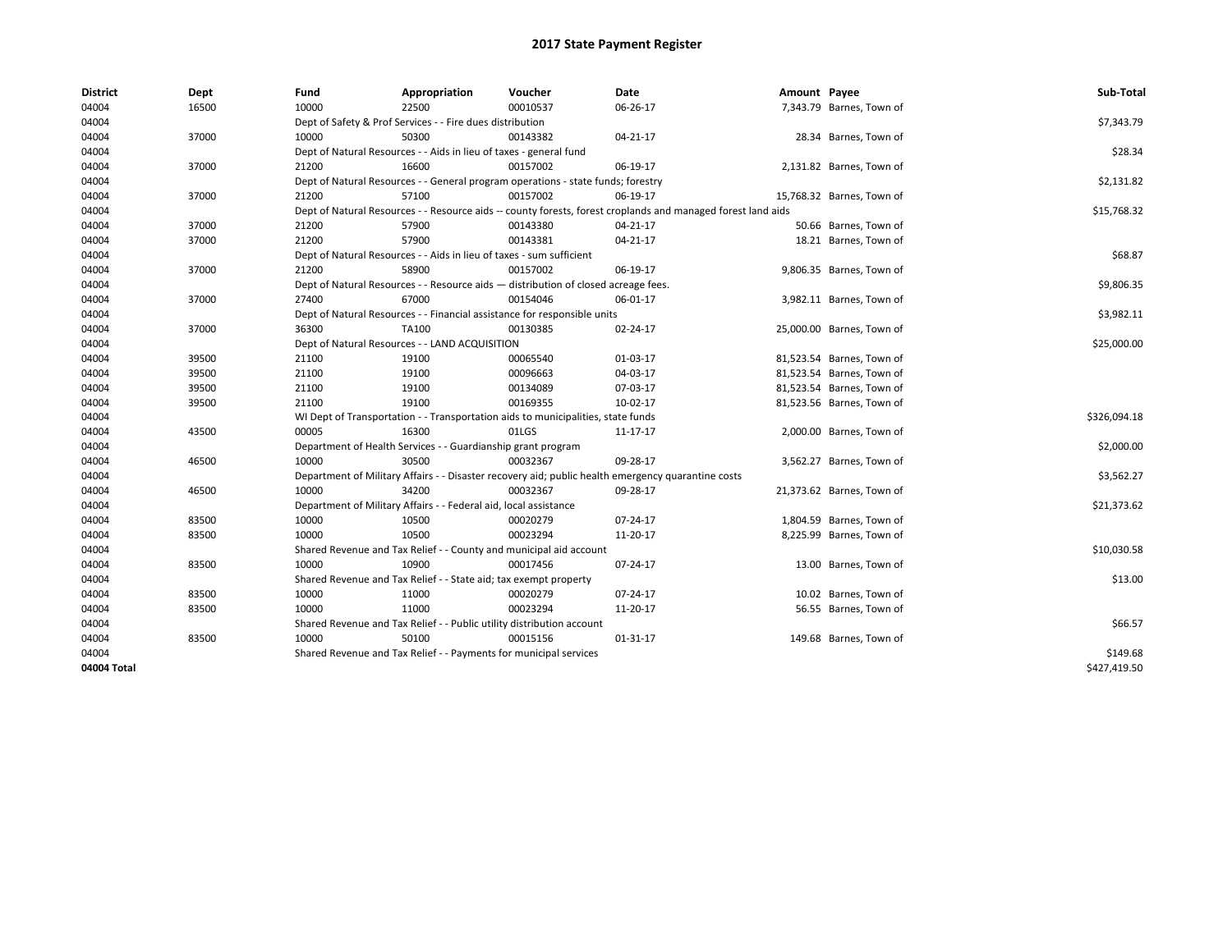| <b>District</b> | Dept  | Fund                                                                                                         | Appropriation                                                                    | Voucher     | Date                                                                                               | Amount Payee |                           | Sub-Total    |
|-----------------|-------|--------------------------------------------------------------------------------------------------------------|----------------------------------------------------------------------------------|-------------|----------------------------------------------------------------------------------------------------|--------------|---------------------------|--------------|
| 04004           | 16500 | 10000                                                                                                        | 22500                                                                            | 00010537    | 06-26-17                                                                                           |              | 7,343.79 Barnes, Town of  |              |
| 04004           |       |                                                                                                              | Dept of Safety & Prof Services - - Fire dues distribution                        |             |                                                                                                    |              |                           | \$7,343.79   |
| 04004           | 37000 | 10000                                                                                                        | 50300                                                                            | 00143382    | 04-21-17                                                                                           |              | 28.34 Barnes, Town of     |              |
| 04004           |       |                                                                                                              | Dept of Natural Resources - - Aids in lieu of taxes - general fund               |             |                                                                                                    |              |                           | \$28.34      |
| 04004           | 37000 | 21200                                                                                                        | 16600                                                                            | 00157002    | 06-19-17                                                                                           |              | 2,131.82 Barnes, Town of  |              |
| 04004           |       |                                                                                                              | Dept of Natural Resources - - General program operations - state funds; forestry |             |                                                                                                    |              |                           | \$2,131.82   |
| 04004           | 37000 | 21200                                                                                                        | 57100                                                                            | 00157002    | 06-19-17                                                                                           |              | 15,768.32 Barnes, Town of |              |
| 04004           |       | Dept of Natural Resources - - Resource aids -- county forests, forest croplands and managed forest land aids |                                                                                  | \$15,768.32 |                                                                                                    |              |                           |              |
| 04004           | 37000 | 21200                                                                                                        | 57900                                                                            | 00143380    | 04-21-17                                                                                           |              | 50.66 Barnes, Town of     |              |
| 04004           | 37000 | 21200                                                                                                        | 57900                                                                            | 00143381    | 04-21-17                                                                                           |              | 18.21 Barnes, Town of     |              |
| 04004           |       |                                                                                                              | Dept of Natural Resources - - Aids in lieu of taxes - sum sufficient             |             |                                                                                                    |              |                           | \$68.87      |
| 04004           | 37000 | 21200                                                                                                        | 58900                                                                            | 00157002    | 06-19-17                                                                                           |              | 9,806.35 Barnes, Town of  |              |
| 04004           |       | Dept of Natural Resources - - Resource aids - distribution of closed acreage fees.                           |                                                                                  | \$9,806.35  |                                                                                                    |              |                           |              |
| 04004           | 37000 | 27400                                                                                                        | 67000                                                                            | 00154046    | 06-01-17                                                                                           |              | 3,982.11 Barnes, Town of  |              |
| 04004           |       |                                                                                                              | Dept of Natural Resources - - Financial assistance for responsible units         |             |                                                                                                    |              |                           | \$3,982.11   |
| 04004           | 37000 | 36300                                                                                                        | TA100                                                                            | 00130385    | 02-24-17                                                                                           |              | 25,000.00 Barnes, Town of |              |
| 04004           |       | Dept of Natural Resources - - LAND ACQUISITION                                                               |                                                                                  | \$25,000.00 |                                                                                                    |              |                           |              |
| 04004           | 39500 | 21100                                                                                                        | 19100                                                                            | 00065540    | 01-03-17                                                                                           |              | 81,523.54 Barnes, Town of |              |
| 04004           | 39500 | 21100                                                                                                        | 19100                                                                            | 00096663    | 04-03-17                                                                                           |              | 81,523.54 Barnes, Town of |              |
| 04004           | 39500 | 21100                                                                                                        | 19100                                                                            | 00134089    | 07-03-17                                                                                           |              | 81,523.54 Barnes, Town of |              |
| 04004           | 39500 | 21100                                                                                                        | 19100                                                                            | 00169355    | 10-02-17                                                                                           |              | 81,523.56 Barnes, Town of |              |
| 04004           |       |                                                                                                              | WI Dept of Transportation - - Transportation aids to municipalities, state funds |             |                                                                                                    |              |                           | \$326,094.18 |
| 04004           | 43500 | 00005                                                                                                        | 16300                                                                            | 01LGS       | 11-17-17                                                                                           |              | 2,000.00 Barnes, Town of  |              |
| 04004           |       |                                                                                                              | Department of Health Services - - Guardianship grant program                     |             |                                                                                                    |              |                           | \$2,000.00   |
| 04004           | 46500 | 10000                                                                                                        | 30500                                                                            | 00032367    | 09-28-17                                                                                           |              | 3,562.27 Barnes, Town of  |              |
| 04004           |       |                                                                                                              |                                                                                  |             | Department of Military Affairs - - Disaster recovery aid; public health emergency quarantine costs |              |                           | \$3,562.27   |
| 04004           | 46500 | 10000                                                                                                        | 34200                                                                            | 00032367    | 09-28-17                                                                                           |              | 21,373.62 Barnes, Town of |              |
| 04004           |       |                                                                                                              | Department of Military Affairs - - Federal aid, local assistance                 |             |                                                                                                    |              |                           | \$21,373.62  |
| 04004           | 83500 | 10000                                                                                                        | 10500                                                                            | 00020279    | 07-24-17                                                                                           |              | 1,804.59 Barnes, Town of  |              |
| 04004           | 83500 | 10000                                                                                                        | 10500                                                                            | 00023294    | 11-20-17                                                                                           |              | 8,225.99 Barnes, Town of  |              |
| 04004           |       |                                                                                                              | Shared Revenue and Tax Relief - - County and municipal aid account               |             |                                                                                                    |              |                           | \$10,030.58  |
| 04004           | 83500 | 10000                                                                                                        | 10900                                                                            | 00017456    | 07-24-17                                                                                           |              | 13.00 Barnes, Town of     |              |
| 04004           |       |                                                                                                              | Shared Revenue and Tax Relief - - State aid; tax exempt property                 |             |                                                                                                    |              |                           | \$13.00      |
| 04004           | 83500 | 10000                                                                                                        | 11000                                                                            | 00020279    | 07-24-17                                                                                           |              | 10.02 Barnes, Town of     |              |
| 04004           | 83500 | 10000                                                                                                        | 11000                                                                            | 00023294    | 11-20-17                                                                                           |              | 56.55 Barnes, Town of     |              |
| 04004           |       |                                                                                                              | Shared Revenue and Tax Relief - - Public utility distribution account            |             |                                                                                                    |              |                           | \$66.57      |
| 04004           | 83500 | 10000                                                                                                        | 50100                                                                            | 00015156    | 01-31-17                                                                                           |              | 149.68 Barnes, Town of    |              |
| 04004           |       |                                                                                                              | Shared Revenue and Tax Relief - - Payments for municipal services                |             |                                                                                                    |              |                           | \$149.68     |
| 04004 Total     |       |                                                                                                              |                                                                                  |             |                                                                                                    |              |                           | \$427,419.50 |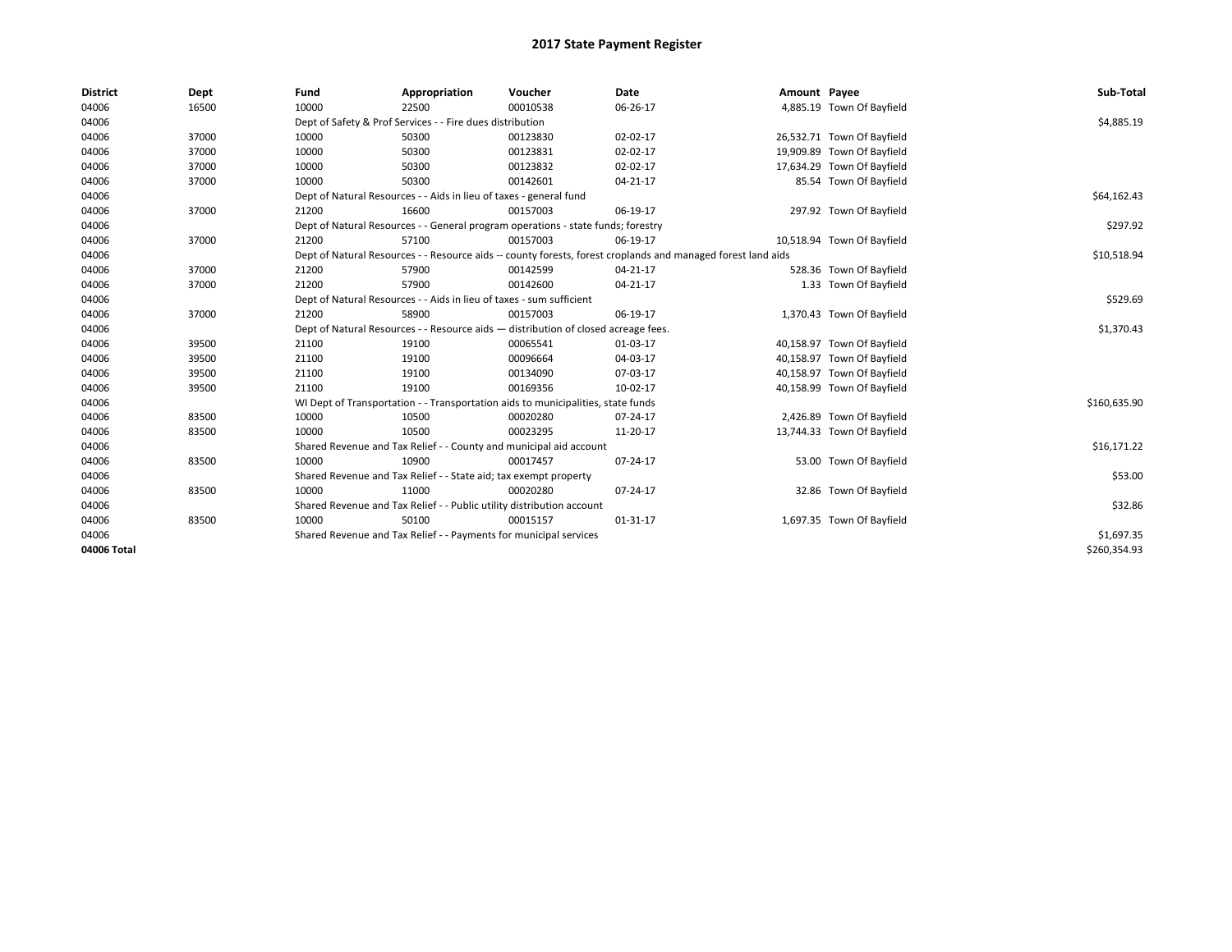| <b>District</b> | Dept  | Fund  | Appropriation                                                                                                | Voucher  | Date           | Amount Payee |                            | Sub-Total    |  |  |  |
|-----------------|-------|-------|--------------------------------------------------------------------------------------------------------------|----------|----------------|--------------|----------------------------|--------------|--|--|--|
| 04006           | 16500 | 10000 | 22500                                                                                                        | 00010538 | 06-26-17       |              | 4,885.19 Town Of Bayfield  |              |  |  |  |
| 04006           |       |       | Dept of Safety & Prof Services - - Fire dues distribution                                                    |          |                |              |                            | \$4,885.19   |  |  |  |
| 04006           | 37000 | 10000 | 50300                                                                                                        | 00123830 | 02-02-17       |              | 26,532.71 Town Of Bayfield |              |  |  |  |
| 04006           | 37000 | 10000 | 50300                                                                                                        | 00123831 | 02-02-17       |              | 19,909.89 Town Of Bayfield |              |  |  |  |
| 04006           | 37000 | 10000 | 50300                                                                                                        | 00123832 | 02-02-17       |              | 17,634.29 Town Of Bayfield |              |  |  |  |
| 04006           | 37000 | 10000 | 50300                                                                                                        | 00142601 | 04-21-17       |              | 85.54 Town Of Bayfield     |              |  |  |  |
| 04006           |       |       | Dept of Natural Resources - - Aids in lieu of taxes - general fund                                           |          |                |              |                            | \$64,162.43  |  |  |  |
| 04006           | 37000 | 21200 | 16600                                                                                                        | 00157003 | 06-19-17       |              | 297.92 Town Of Bayfield    |              |  |  |  |
| 04006           |       |       | Dept of Natural Resources - - General program operations - state funds; forestry                             |          |                |              |                            | \$297.92     |  |  |  |
| 04006           | 37000 | 21200 | 57100                                                                                                        | 00157003 | 06-19-17       |              | 10,518.94 Town Of Bayfield |              |  |  |  |
| 04006           |       |       | Dept of Natural Resources - - Resource aids -- county forests, forest croplands and managed forest land aids |          |                |              |                            |              |  |  |  |
| 04006           | 37000 | 21200 | 57900                                                                                                        | 00142599 | 04-21-17       |              | 528.36 Town Of Bayfield    |              |  |  |  |
| 04006           | 37000 | 21200 | 57900                                                                                                        | 00142600 | $04 - 21 - 17$ |              | 1.33 Town Of Bayfield      |              |  |  |  |
| 04006           |       |       | Dept of Natural Resources - - Aids in lieu of taxes - sum sufficient                                         |          |                |              |                            |              |  |  |  |
| 04006           | 37000 | 21200 | 58900                                                                                                        | 00157003 | 06-19-17       |              | 1,370.43 Town Of Bayfield  |              |  |  |  |
| 04006           |       |       | Dept of Natural Resources - - Resource aids - distribution of closed acreage fees.                           |          |                |              |                            |              |  |  |  |
| 04006           | 39500 | 21100 | 19100                                                                                                        | 00065541 | 01-03-17       |              | 40,158.97 Town Of Bayfield |              |  |  |  |
| 04006           | 39500 | 21100 | 19100                                                                                                        | 00096664 | 04-03-17       |              | 40,158.97 Town Of Bayfield |              |  |  |  |
| 04006           | 39500 | 21100 | 19100                                                                                                        | 00134090 | 07-03-17       |              | 40,158.97 Town Of Bayfield |              |  |  |  |
| 04006           | 39500 | 21100 | 19100                                                                                                        | 00169356 | 10-02-17       |              | 40,158.99 Town Of Bayfield |              |  |  |  |
| 04006           |       |       | WI Dept of Transportation - - Transportation aids to municipalities, state funds                             |          |                |              |                            | \$160,635.90 |  |  |  |
| 04006           | 83500 | 10000 | 10500                                                                                                        | 00020280 | 07-24-17       |              | 2,426.89 Town Of Bayfield  |              |  |  |  |
| 04006           | 83500 | 10000 | 10500                                                                                                        | 00023295 | 11-20-17       |              | 13,744.33 Town Of Bayfield |              |  |  |  |
| 04006           |       |       | Shared Revenue and Tax Relief - - County and municipal aid account                                           |          |                |              |                            | \$16,171.22  |  |  |  |
| 04006           | 83500 | 10000 | 10900                                                                                                        | 00017457 | 07-24-17       |              | 53.00 Town Of Bayfield     |              |  |  |  |
| 04006           |       |       | Shared Revenue and Tax Relief - - State aid; tax exempt property                                             |          |                |              |                            | \$53.00      |  |  |  |
| 04006           | 83500 | 10000 | 11000                                                                                                        | 00020280 | 07-24-17       |              | 32.86 Town Of Bayfield     |              |  |  |  |
| 04006           |       |       | Shared Revenue and Tax Relief - - Public utility distribution account                                        |          |                |              |                            | \$32.86      |  |  |  |
| 04006           | 83500 | 10000 | 50100                                                                                                        | 00015157 | $01 - 31 - 17$ |              | 1,697.35 Town Of Bayfield  |              |  |  |  |
| 04006           |       |       | Shared Revenue and Tax Relief - - Payments for municipal services                                            |          |                |              |                            | \$1,697.35   |  |  |  |
| 04006 Total     |       |       |                                                                                                              |          |                |              |                            | \$260,354.93 |  |  |  |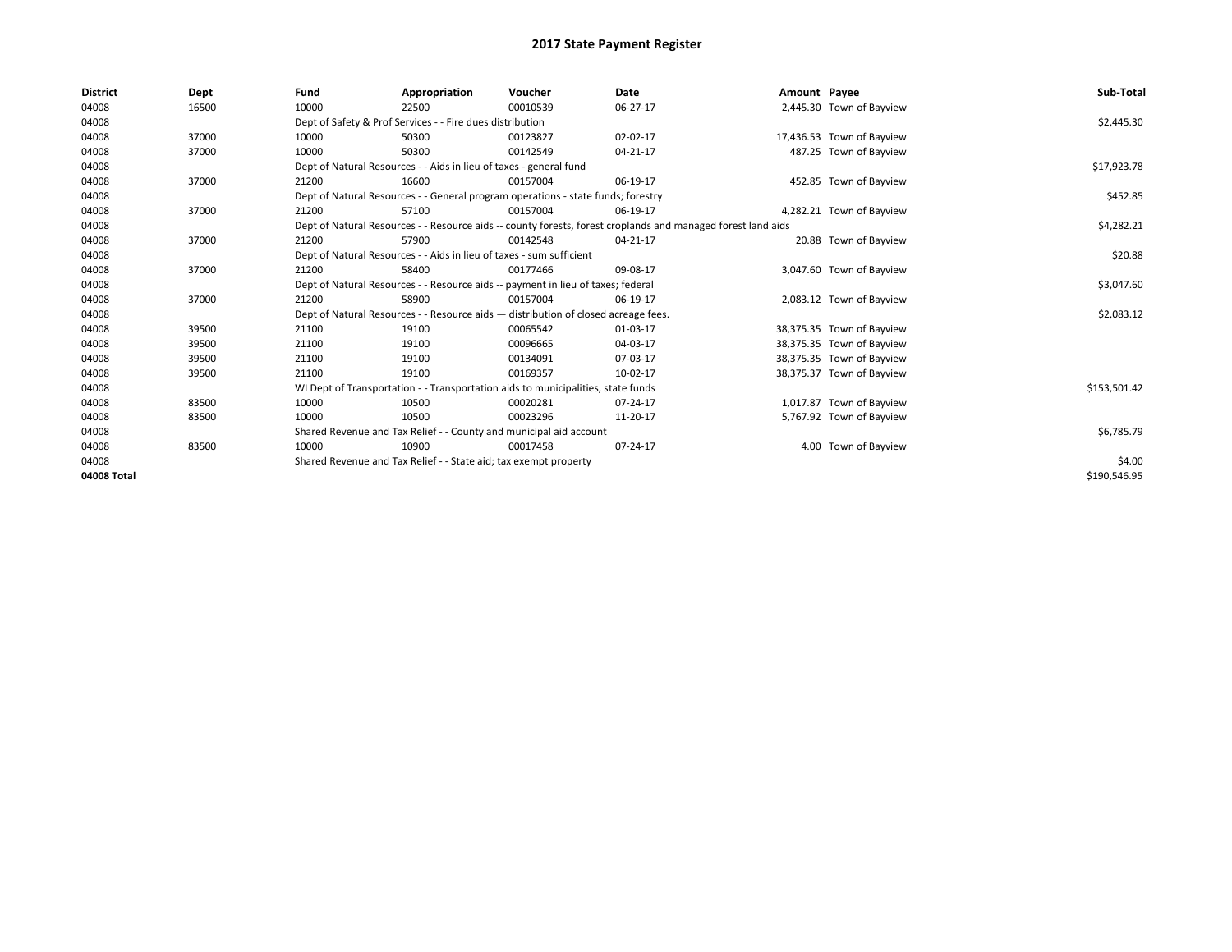| <b>District</b> | Dept  | Fund  | Appropriation                                                                                                | Voucher  | Date       | Amount Payee |                           | Sub-Total    |  |  |
|-----------------|-------|-------|--------------------------------------------------------------------------------------------------------------|----------|------------|--------------|---------------------------|--------------|--|--|
| 04008           | 16500 | 10000 | 22500                                                                                                        | 00010539 | 06-27-17   |              | 2,445.30 Town of Bayview  |              |  |  |
| 04008           |       |       | Dept of Safety & Prof Services - - Fire dues distribution                                                    |          |            |              |                           | \$2,445.30   |  |  |
| 04008           | 37000 | 10000 | 50300                                                                                                        | 00123827 | 02-02-17   |              | 17,436.53 Town of Bayview |              |  |  |
| 04008           | 37000 | 10000 | 50300                                                                                                        | 00142549 | 04-21-17   |              | 487.25 Town of Bayview    |              |  |  |
| 04008           |       |       | Dept of Natural Resources - - Aids in lieu of taxes - general fund                                           |          |            |              |                           | \$17,923.78  |  |  |
| 04008           | 37000 | 21200 | 16600                                                                                                        | 00157004 | 06-19-17   |              | 452.85 Town of Bayview    |              |  |  |
| 04008           |       |       | Dept of Natural Resources - - General program operations - state funds; forestry                             |          |            |              |                           | \$452.85     |  |  |
| 04008           | 37000 | 21200 | 57100                                                                                                        | 00157004 | 06-19-17   |              | 4,282.21 Town of Bayview  |              |  |  |
| 04008           |       |       | Dept of Natural Resources - - Resource aids -- county forests, forest croplands and managed forest land aids |          | \$4,282.21 |              |                           |              |  |  |
| 04008           | 37000 | 21200 | 57900                                                                                                        | 00142548 | 04-21-17   |              | 20.88 Town of Bayview     |              |  |  |
| 04008           |       |       | Dept of Natural Resources - - Aids in lieu of taxes - sum sufficient                                         |          |            |              |                           |              |  |  |
| 04008           | 37000 | 21200 | 58400                                                                                                        | 00177466 | 09-08-17   |              | 3,047.60 Town of Bayview  |              |  |  |
| 04008           |       |       | Dept of Natural Resources - - Resource aids -- payment in lieu of taxes; federal                             |          |            |              |                           | \$3,047.60   |  |  |
| 04008           | 37000 | 21200 | 58900                                                                                                        | 00157004 | 06-19-17   |              | 2,083.12 Town of Bayview  |              |  |  |
| 04008           |       |       | Dept of Natural Resources - - Resource aids - distribution of closed acreage fees.                           |          |            |              |                           | \$2,083.12   |  |  |
| 04008           | 39500 | 21100 | 19100                                                                                                        | 00065542 | 01-03-17   |              | 38,375.35 Town of Bayview |              |  |  |
| 04008           | 39500 | 21100 | 19100                                                                                                        | 00096665 | 04-03-17   |              | 38,375.35 Town of Bayview |              |  |  |
| 04008           | 39500 | 21100 | 19100                                                                                                        | 00134091 | 07-03-17   |              | 38,375.35 Town of Bayview |              |  |  |
| 04008           | 39500 | 21100 | 19100                                                                                                        | 00169357 | 10-02-17   |              | 38,375.37 Town of Bayview |              |  |  |
| 04008           |       |       | WI Dept of Transportation - - Transportation aids to municipalities, state funds                             |          |            |              |                           | \$153,501.42 |  |  |
| 04008           | 83500 | 10000 | 10500                                                                                                        | 00020281 | 07-24-17   |              | 1,017.87 Town of Bayview  |              |  |  |
| 04008           | 83500 | 10000 | 10500                                                                                                        | 00023296 | 11-20-17   |              | 5,767.92 Town of Bayview  |              |  |  |
| 04008           |       |       | Shared Revenue and Tax Relief - - County and municipal aid account                                           |          |            |              |                           | \$6,785.79   |  |  |
| 04008           | 83500 | 10000 | 10900                                                                                                        | 00017458 | 07-24-17   |              | 4.00 Town of Bayview      |              |  |  |
| 04008           |       |       | Shared Revenue and Tax Relief - - State aid; tax exempt property                                             |          |            |              |                           |              |  |  |
| 04008 Total     |       |       |                                                                                                              |          |            |              |                           | \$190,546.95 |  |  |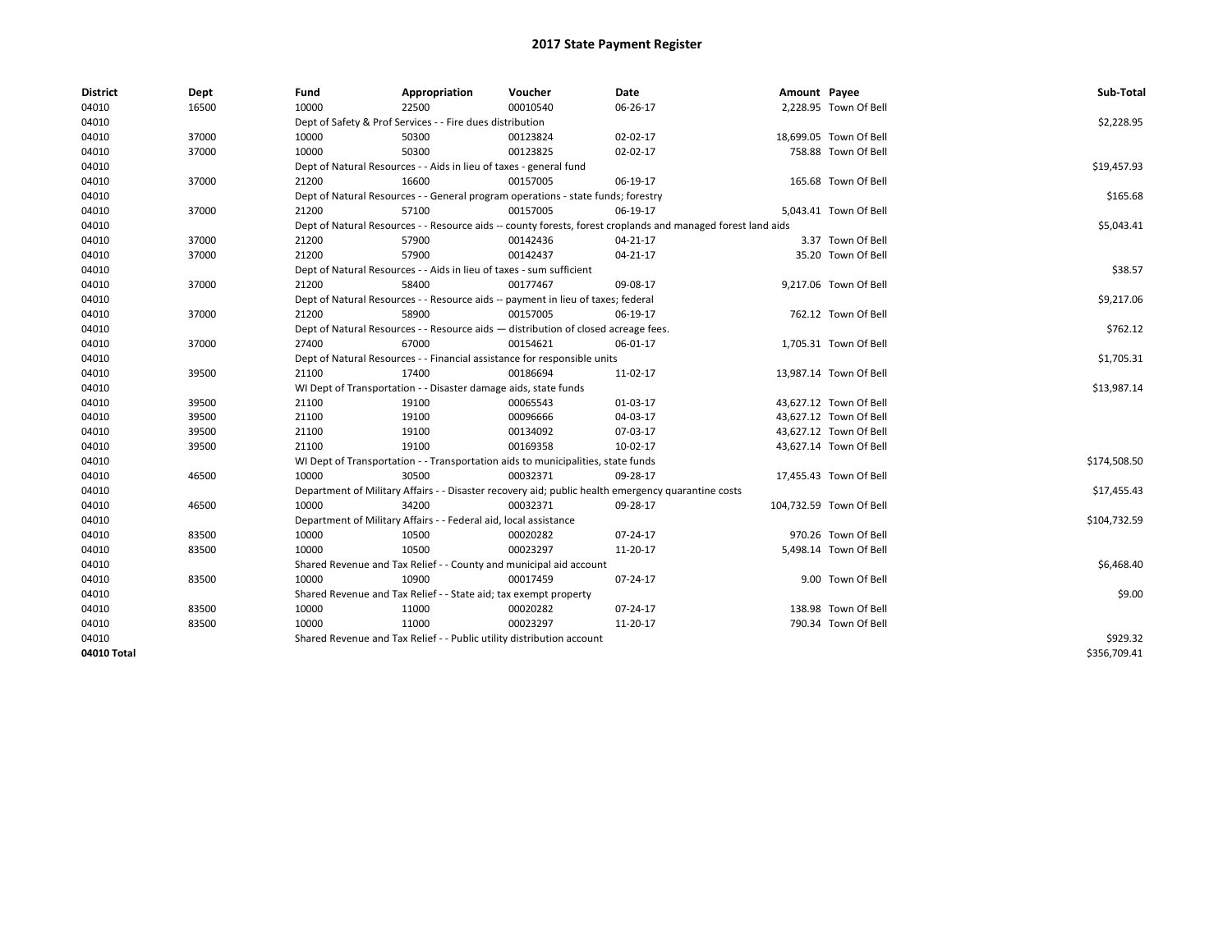| <b>District</b> | Dept  | Fund                                                            | Appropriation                                                                      | Voucher  | Date                                                                                                         | Amount Payee |                         | Sub-Total    |  |  |
|-----------------|-------|-----------------------------------------------------------------|------------------------------------------------------------------------------------|----------|--------------------------------------------------------------------------------------------------------------|--------------|-------------------------|--------------|--|--|
| 04010           | 16500 | 10000                                                           | 22500                                                                              | 00010540 | 06-26-17                                                                                                     |              | 2,228.95 Town Of Bell   |              |  |  |
| 04010           |       |                                                                 | Dept of Safety & Prof Services - - Fire dues distribution                          |          |                                                                                                              |              |                         | \$2,228.95   |  |  |
| 04010           | 37000 | 10000                                                           | 50300                                                                              | 00123824 | 02-02-17                                                                                                     |              | 18,699.05 Town Of Bell  |              |  |  |
| 04010           | 37000 | 10000                                                           | 50300                                                                              | 00123825 | 02-02-17                                                                                                     |              | 758.88 Town Of Bell     |              |  |  |
| 04010           |       |                                                                 | Dept of Natural Resources - - Aids in lieu of taxes - general fund                 |          |                                                                                                              |              |                         | \$19,457.93  |  |  |
| 04010           | 37000 | 21200                                                           | 16600                                                                              | 00157005 | 06-19-17                                                                                                     |              | 165.68 Town Of Bell     |              |  |  |
| 04010           |       |                                                                 | Dept of Natural Resources - - General program operations - state funds; forestry   |          |                                                                                                              |              |                         | \$165.68     |  |  |
| 04010           | 37000 | 21200                                                           | 57100                                                                              | 00157005 | 06-19-17                                                                                                     |              | 5,043.41 Town Of Bell   |              |  |  |
| 04010           |       |                                                                 |                                                                                    |          | Dept of Natural Resources - - Resource aids -- county forests, forest croplands and managed forest land aids |              |                         | \$5,043.41   |  |  |
| 04010           | 37000 | 21200                                                           | 57900                                                                              | 00142436 | 04-21-17                                                                                                     |              | 3.37 Town Of Bell       |              |  |  |
| 04010           | 37000 | 21200                                                           | 57900                                                                              | 00142437 | 04-21-17                                                                                                     |              | 35.20 Town Of Bell      |              |  |  |
| 04010           |       |                                                                 | Dept of Natural Resources - - Aids in lieu of taxes - sum sufficient               |          |                                                                                                              |              |                         | \$38.57      |  |  |
| 04010           | 37000 | 21200                                                           | 58400                                                                              | 00177467 | 09-08-17                                                                                                     |              | 9,217.06 Town Of Bell   |              |  |  |
| 04010           |       |                                                                 | Dept of Natural Resources - - Resource aids -- payment in lieu of taxes; federal   |          |                                                                                                              |              |                         | \$9,217.06   |  |  |
| 04010           | 37000 | 21200                                                           | 58900                                                                              | 00157005 | 06-19-17                                                                                                     |              | 762.12 Town Of Bell     |              |  |  |
| 04010           |       |                                                                 | Dept of Natural Resources - - Resource aids - distribution of closed acreage fees. |          |                                                                                                              |              |                         |              |  |  |
| 04010           | 37000 | 27400                                                           | 67000                                                                              | 00154621 | 06-01-17                                                                                                     |              | 1,705.31 Town Of Bell   | \$762.12     |  |  |
| 04010           |       |                                                                 | Dept of Natural Resources - - Financial assistance for responsible units           |          |                                                                                                              |              |                         |              |  |  |
| 04010           | 39500 | 21100                                                           | 17400                                                                              | 00186694 | 11-02-17                                                                                                     |              | 13,987.14 Town Of Bell  |              |  |  |
| 04010           |       | WI Dept of Transportation - - Disaster damage aids, state funds | \$13,987.14                                                                        |          |                                                                                                              |              |                         |              |  |  |
| 04010           | 39500 | 21100                                                           | 19100                                                                              | 00065543 | 01-03-17                                                                                                     |              | 43,627.12 Town Of Bell  |              |  |  |
| 04010           | 39500 | 21100                                                           | 19100                                                                              | 00096666 | 04-03-17                                                                                                     |              | 43,627.12 Town Of Bell  |              |  |  |
| 04010           | 39500 | 21100                                                           | 19100                                                                              | 00134092 | 07-03-17                                                                                                     |              | 43,627.12 Town Of Bell  |              |  |  |
| 04010           | 39500 | 21100                                                           | 19100                                                                              | 00169358 | 10-02-17                                                                                                     |              | 43,627.14 Town Of Bell  |              |  |  |
| 04010           |       |                                                                 | WI Dept of Transportation - - Transportation aids to municipalities, state funds   |          |                                                                                                              |              |                         | \$174,508.50 |  |  |
| 04010           | 46500 | 10000                                                           | 30500                                                                              | 00032371 | 09-28-17                                                                                                     |              | 17,455.43 Town Of Bell  |              |  |  |
| 04010           |       |                                                                 |                                                                                    |          | Department of Military Affairs - - Disaster recovery aid; public health emergency quarantine costs           |              |                         | \$17,455.43  |  |  |
| 04010           | 46500 | 10000                                                           | 34200                                                                              | 00032371 | 09-28-17                                                                                                     |              | 104,732.59 Town Of Bell |              |  |  |
| 04010           |       |                                                                 | Department of Military Affairs - - Federal aid, local assistance                   |          |                                                                                                              |              |                         | \$104,732.59 |  |  |
| 04010           | 83500 | 10000                                                           | 10500                                                                              | 00020282 | 07-24-17                                                                                                     |              | 970.26 Town Of Bell     |              |  |  |
| 04010           | 83500 | 10000                                                           | 10500                                                                              | 00023297 | 11-20-17                                                                                                     |              | 5,498.14 Town Of Bell   |              |  |  |
| 04010           |       |                                                                 | Shared Revenue and Tax Relief - - County and municipal aid account                 |          |                                                                                                              |              |                         | \$6,468.40   |  |  |
| 04010           | 83500 | 10000                                                           | 10900                                                                              | 00017459 | 07-24-17                                                                                                     |              | 9.00 Town Of Bell       |              |  |  |
| 04010           |       |                                                                 | Shared Revenue and Tax Relief - - State aid; tax exempt property                   |          |                                                                                                              |              |                         | \$9.00       |  |  |
| 04010           | 83500 | 10000                                                           | 11000                                                                              | 00020282 | 07-24-17                                                                                                     |              | 138.98 Town Of Bell     |              |  |  |
| 04010           | 83500 | 10000                                                           | 11000                                                                              | 00023297 | 11-20-17                                                                                                     |              | 790.34 Town Of Bell     |              |  |  |
| 04010           |       |                                                                 | Shared Revenue and Tax Relief - - Public utility distribution account              |          |                                                                                                              |              |                         | \$929.32     |  |  |
| 04010 Total     |       |                                                                 |                                                                                    |          |                                                                                                              |              |                         | \$356,709.41 |  |  |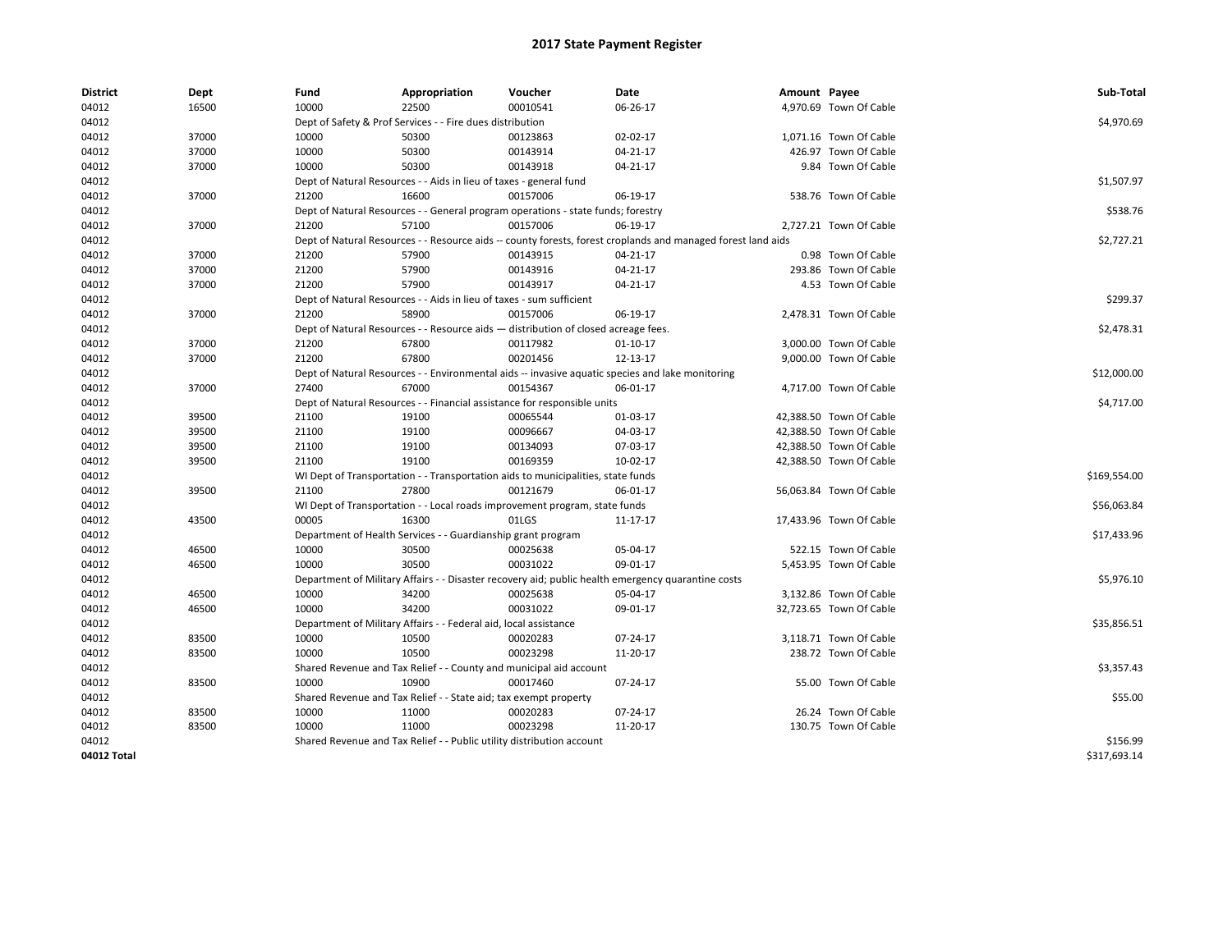| <b>District</b> | Dept  | Fund  | Appropriation                                                                       | Voucher  | Date                                                                                                         | Amount Payee |                         | Sub-Total    |  |  |
|-----------------|-------|-------|-------------------------------------------------------------------------------------|----------|--------------------------------------------------------------------------------------------------------------|--------------|-------------------------|--------------|--|--|
| 04012           | 16500 | 10000 | 22500                                                                               | 00010541 | 06-26-17                                                                                                     |              | 4,970.69 Town Of Cable  |              |  |  |
| 04012           |       |       | Dept of Safety & Prof Services - - Fire dues distribution                           |          |                                                                                                              |              |                         | \$4,970.69   |  |  |
| 04012           | 37000 | 10000 | 50300                                                                               | 00123863 | 02-02-17                                                                                                     |              | 1,071.16 Town Of Cable  |              |  |  |
| 04012           | 37000 | 10000 | 50300                                                                               | 00143914 | 04-21-17                                                                                                     |              | 426.97 Town Of Cable    |              |  |  |
| 04012           | 37000 | 10000 | 50300                                                                               | 00143918 | 04-21-17                                                                                                     |              | 9.84 Town Of Cable      |              |  |  |
| 04012           |       |       | Dept of Natural Resources - - Aids in lieu of taxes - general fund                  |          |                                                                                                              |              |                         | \$1,507.97   |  |  |
| 04012           | 37000 | 21200 | 16600                                                                               | 00157006 | 06-19-17                                                                                                     |              | 538.76 Town Of Cable    |              |  |  |
| 04012           |       |       | Dept of Natural Resources - - General program operations - state funds; forestry    |          |                                                                                                              |              |                         | \$538.76     |  |  |
| 04012           | 37000 | 21200 | 57100                                                                               | 00157006 | 06-19-17                                                                                                     |              | 2,727.21 Town Of Cable  |              |  |  |
| 04012           |       |       |                                                                                     |          | Dept of Natural Resources - - Resource aids -- county forests, forest croplands and managed forest land aids |              |                         | \$2,727.21   |  |  |
| 04012           | 37000 | 21200 | 57900                                                                               | 00143915 | 04-21-17                                                                                                     |              | 0.98 Town Of Cable      |              |  |  |
| 04012           | 37000 | 21200 | 57900                                                                               | 00143916 | 04-21-17                                                                                                     |              | 293.86 Town Of Cable    |              |  |  |
| 04012           | 37000 | 21200 | 57900                                                                               | 00143917 | 04-21-17                                                                                                     |              | 4.53 Town Of Cable      |              |  |  |
| 04012           |       |       | Dept of Natural Resources - - Aids in lieu of taxes - sum sufficient                |          |                                                                                                              |              |                         | \$299.37     |  |  |
| 04012           | 37000 | 21200 | 58900                                                                               | 00157006 | 06-19-17                                                                                                     |              | 2,478.31 Town Of Cable  |              |  |  |
| 04012           |       |       | Dept of Natural Resources - - Resource aids - distribution of closed acreage fees.  |          |                                                                                                              |              |                         | \$2,478.31   |  |  |
| 04012           | 37000 | 21200 | 67800                                                                               | 00117982 | $01 - 10 - 17$                                                                                               |              | 3.000.00 Town Of Cable  |              |  |  |
| 04012           | 37000 | 21200 | 67800                                                                               | 00201456 | 12-13-17                                                                                                     |              | 9,000.00 Town Of Cable  |              |  |  |
| 04012           |       |       |                                                                                     |          | Dept of Natural Resources - - Environmental aids -- invasive aquatic species and lake monitoring             |              |                         | \$12,000.00  |  |  |
| 04012           | 37000 | 27400 | 67000                                                                               | 00154367 | 06-01-17                                                                                                     |              | 4,717.00 Town Of Cable  |              |  |  |
| 04012           |       |       | Dept of Natural Resources - - Financial assistance for responsible units            |          |                                                                                                              |              |                         |              |  |  |
| 04012           | 39500 | 21100 | 19100                                                                               | 00065544 | 01-03-17                                                                                                     |              | 42,388.50 Town Of Cable | \$4,717.00   |  |  |
| 04012           | 39500 | 21100 | 19100                                                                               | 00096667 | 04-03-17                                                                                                     |              | 42,388.50 Town Of Cable |              |  |  |
| 04012           | 39500 | 21100 | 19100                                                                               | 00134093 | 07-03-17                                                                                                     |              | 42,388.50 Town Of Cable |              |  |  |
| 04012           | 39500 | 21100 | 19100                                                                               | 00169359 | 10-02-17                                                                                                     |              | 42,388.50 Town Of Cable |              |  |  |
| 04012           |       |       | WI Dept of Transportation - - Transportation aids to municipalities, state funds    |          |                                                                                                              |              |                         | \$169,554.00 |  |  |
| 04012           | 39500 | 21100 | 27800                                                                               | 00121679 | 06-01-17                                                                                                     |              | 56,063.84 Town Of Cable |              |  |  |
| 04012           |       |       |                                                                                     |          |                                                                                                              |              |                         |              |  |  |
|                 |       | 00005 | WI Dept of Transportation - - Local roads improvement program, state funds<br>16300 |          |                                                                                                              |              |                         | \$56,063.84  |  |  |
| 04012           | 43500 |       |                                                                                     | 01LGS    | 11-17-17                                                                                                     |              | 17,433.96 Town Of Cable | \$17,433.96  |  |  |
| 04012           |       |       | Department of Health Services - - Guardianship grant program                        |          |                                                                                                              |              |                         |              |  |  |
| 04012           | 46500 | 10000 | 30500                                                                               | 00025638 | 05-04-17                                                                                                     |              | 522.15 Town Of Cable    |              |  |  |
| 04012           | 46500 | 10000 | 30500                                                                               | 00031022 | 09-01-17                                                                                                     |              | 5,453.95 Town Of Cable  |              |  |  |
| 04012           |       |       |                                                                                     |          | Department of Military Affairs - - Disaster recovery aid; public health emergency quarantine costs           |              |                         | \$5,976.10   |  |  |
| 04012           | 46500 | 10000 | 34200                                                                               | 00025638 | 05-04-17                                                                                                     |              | 3,132.86 Town Of Cable  |              |  |  |
| 04012           | 46500 | 10000 | 34200                                                                               | 00031022 | 09-01-17                                                                                                     |              | 32,723.65 Town Of Cable |              |  |  |
| 04012           |       |       | Department of Military Affairs - - Federal aid, local assistance                    |          |                                                                                                              |              |                         | \$35,856.51  |  |  |
| 04012           | 83500 | 10000 | 10500                                                                               | 00020283 | 07-24-17                                                                                                     |              | 3,118.71 Town Of Cable  |              |  |  |
| 04012           | 83500 | 10000 | 10500                                                                               | 00023298 | 11-20-17                                                                                                     |              | 238.72 Town Of Cable    |              |  |  |
| 04012           |       |       | Shared Revenue and Tax Relief - - County and municipal aid account                  |          |                                                                                                              |              |                         | \$3,357.43   |  |  |
| 04012           | 83500 | 10000 | 10900                                                                               | 00017460 | 07-24-17                                                                                                     |              | 55.00 Town Of Cable     |              |  |  |
| 04012           |       |       | Shared Revenue and Tax Relief - - State aid; tax exempt property                    |          |                                                                                                              |              |                         | \$55.00      |  |  |
| 04012           | 83500 | 10000 | 11000                                                                               | 00020283 | 07-24-17                                                                                                     |              | 26.24 Town Of Cable     |              |  |  |
| 04012           | 83500 | 10000 | 11000                                                                               | 00023298 | 11-20-17                                                                                                     |              | 130.75 Town Of Cable    |              |  |  |
| 04012           |       |       | Shared Revenue and Tax Relief - - Public utility distribution account               |          |                                                                                                              |              |                         | \$156.99     |  |  |
| 04012 Total     |       |       |                                                                                     |          |                                                                                                              |              |                         | \$317,693.14 |  |  |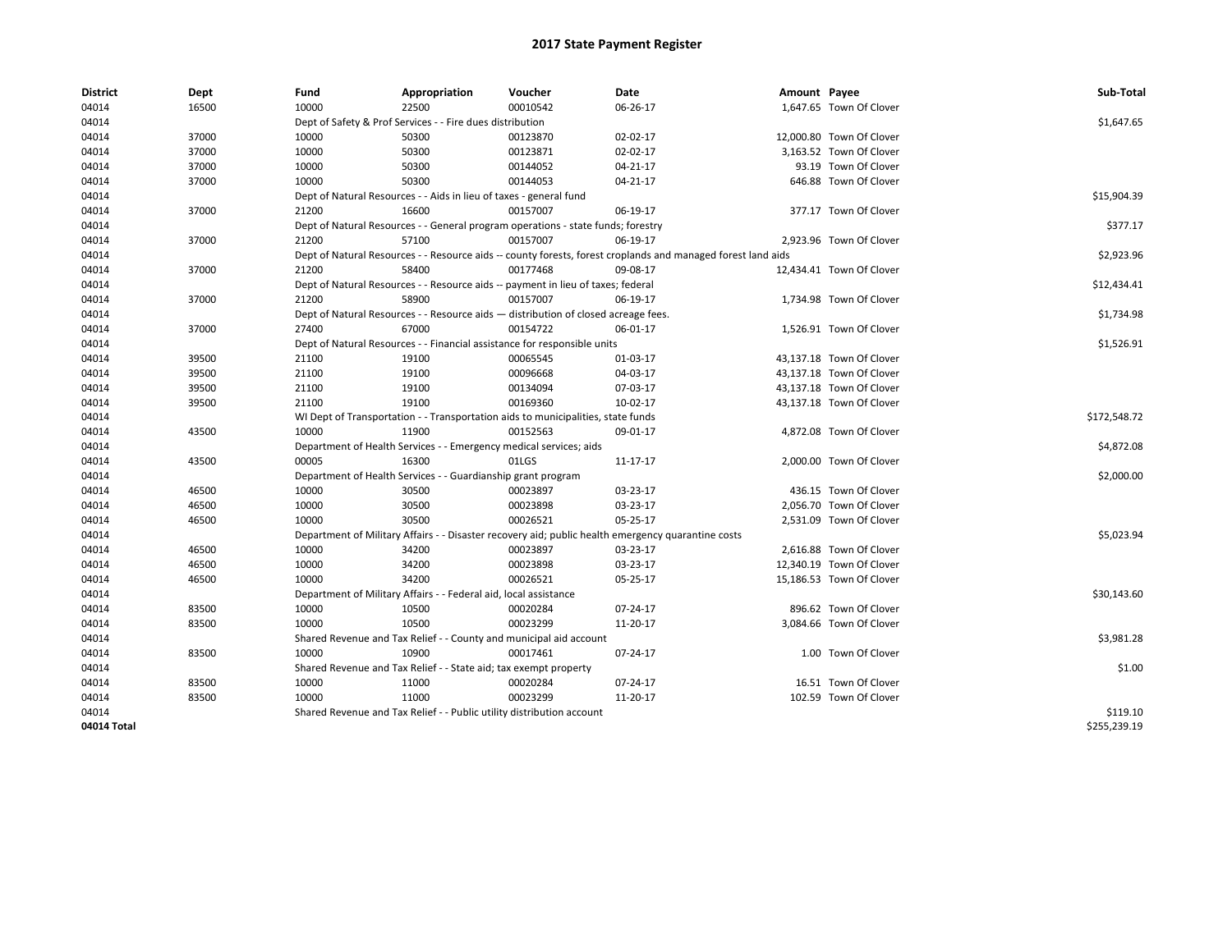| <b>District</b> | Dept  | Fund  | Appropriation                                                                                                | Voucher  | Date                                                                                               | Amount Payee |                          | Sub-Total    |  |  |
|-----------------|-------|-------|--------------------------------------------------------------------------------------------------------------|----------|----------------------------------------------------------------------------------------------------|--------------|--------------------------|--------------|--|--|
| 04014           | 16500 | 10000 | 22500                                                                                                        | 00010542 | 06-26-17                                                                                           |              | 1,647.65 Town Of Clover  |              |  |  |
| 04014           |       |       | Dept of Safety & Prof Services - - Fire dues distribution                                                    |          |                                                                                                    |              |                          | \$1,647.65   |  |  |
| 04014           | 37000 | 10000 | 50300                                                                                                        | 00123870 | 02-02-17                                                                                           |              | 12,000.80 Town Of Clover |              |  |  |
| 04014           | 37000 | 10000 | 50300                                                                                                        | 00123871 | 02-02-17                                                                                           |              | 3,163.52 Town Of Clover  |              |  |  |
| 04014           | 37000 | 10000 | 50300                                                                                                        | 00144052 | $04 - 21 - 17$                                                                                     |              | 93.19 Town Of Clover     |              |  |  |
| 04014           | 37000 | 10000 | 50300                                                                                                        | 00144053 | 04-21-17                                                                                           |              | 646.88 Town Of Clover    |              |  |  |
| 04014           |       |       | Dept of Natural Resources - - Aids in lieu of taxes - general fund                                           |          |                                                                                                    |              |                          | \$15,904.39  |  |  |
| 04014           | 37000 | 21200 | 16600                                                                                                        | 00157007 | 06-19-17                                                                                           |              | 377.17 Town Of Clover    |              |  |  |
| 04014           |       |       | Dept of Natural Resources - - General program operations - state funds; forestry                             |          |                                                                                                    |              |                          |              |  |  |
| 04014           | 37000 | 21200 | 57100                                                                                                        | 00157007 | 06-19-17                                                                                           |              | 2,923.96 Town Of Clover  |              |  |  |
| 04014           |       |       | Dept of Natural Resources - - Resource aids -- county forests, forest croplands and managed forest land aids |          |                                                                                                    |              |                          |              |  |  |
| 04014           | 37000 | 21200 | 58400                                                                                                        | 00177468 | 09-08-17                                                                                           |              | 12,434.41 Town Of Clover |              |  |  |
| 04014           |       |       | Dept of Natural Resources - - Resource aids -- payment in lieu of taxes; federal                             |          |                                                                                                    |              |                          | \$12,434.41  |  |  |
| 04014           | 37000 | 21200 | 58900                                                                                                        | 00157007 | 06-19-17                                                                                           |              | 1,734.98 Town Of Clover  |              |  |  |
| 04014           |       |       | Dept of Natural Resources - - Resource aids - distribution of closed acreage fees.                           |          |                                                                                                    |              |                          | \$1,734.98   |  |  |
| 04014           | 37000 | 27400 | 67000                                                                                                        | 00154722 | 06-01-17                                                                                           |              | 1,526.91 Town Of Clover  |              |  |  |
| 04014           |       |       | Dept of Natural Resources - - Financial assistance for responsible units                                     |          |                                                                                                    |              |                          |              |  |  |
| 04014           | 39500 | 21100 | 19100                                                                                                        | 00065545 | 01-03-17                                                                                           |              | 43,137.18 Town Of Clover |              |  |  |
| 04014           | 39500 | 21100 | 19100                                                                                                        | 00096668 | 04-03-17                                                                                           |              | 43,137.18 Town Of Clover |              |  |  |
| 04014           | 39500 | 21100 | 19100                                                                                                        | 00134094 | 07-03-17                                                                                           |              | 43,137.18 Town Of Clover |              |  |  |
| 04014           | 39500 | 21100 | 19100                                                                                                        | 00169360 | 10-02-17                                                                                           |              | 43,137.18 Town Of Clover |              |  |  |
| 04014           |       |       | WI Dept of Transportation - - Transportation aids to municipalities, state funds                             |          |                                                                                                    |              |                          | \$172,548.72 |  |  |
| 04014           | 43500 | 10000 | 11900                                                                                                        | 00152563 | 09-01-17                                                                                           |              | 4,872.08 Town Of Clover  |              |  |  |
| 04014           |       |       | Department of Health Services - - Emergency medical services; aids                                           |          |                                                                                                    |              |                          | \$4,872.08   |  |  |
| 04014           | 43500 | 00005 | 16300                                                                                                        | 01LGS    | 11-17-17                                                                                           |              | 2,000.00 Town Of Clover  |              |  |  |
| 04014           |       |       | Department of Health Services - - Guardianship grant program                                                 |          |                                                                                                    |              |                          | \$2,000.00   |  |  |
| 04014           | 46500 | 10000 | 30500                                                                                                        | 00023897 | 03-23-17                                                                                           |              | 436.15 Town Of Clover    |              |  |  |
| 04014           | 46500 | 10000 | 30500                                                                                                        | 00023898 | 03-23-17                                                                                           |              | 2,056.70 Town Of Clover  |              |  |  |
| 04014           | 46500 | 10000 | 30500                                                                                                        | 00026521 | 05-25-17                                                                                           |              | 2,531.09 Town Of Clover  |              |  |  |
| 04014           |       |       |                                                                                                              |          | Department of Military Affairs - - Disaster recovery aid; public health emergency quarantine costs |              |                          | \$5,023.94   |  |  |
| 04014           | 46500 | 10000 | 34200                                                                                                        | 00023897 | 03-23-17                                                                                           |              | 2,616.88 Town Of Clover  |              |  |  |
| 04014           | 46500 | 10000 | 34200                                                                                                        | 00023898 | 03-23-17                                                                                           |              | 12,340.19 Town Of Clover |              |  |  |
| 04014           | 46500 | 10000 | 34200                                                                                                        | 00026521 | 05-25-17                                                                                           |              | 15,186.53 Town Of Clover |              |  |  |
| 04014           |       |       | Department of Military Affairs - - Federal aid, local assistance                                             |          |                                                                                                    |              |                          | \$30,143.60  |  |  |
| 04014           | 83500 | 10000 | 10500                                                                                                        | 00020284 | 07-24-17                                                                                           |              | 896.62 Town Of Clover    |              |  |  |
| 04014           | 83500 | 10000 | 10500                                                                                                        | 00023299 | 11-20-17                                                                                           |              | 3,084.66 Town Of Clover  |              |  |  |
| 04014           |       |       | Shared Revenue and Tax Relief - - County and municipal aid account                                           |          |                                                                                                    |              |                          | \$3,981.28   |  |  |
| 04014           | 83500 | 10000 | 10900                                                                                                        | 00017461 | 07-24-17                                                                                           |              | 1.00 Town Of Clover      |              |  |  |
| 04014           |       |       | Shared Revenue and Tax Relief - - State aid; tax exempt property                                             |          |                                                                                                    |              |                          | \$1.00       |  |  |
| 04014           | 83500 | 10000 | 11000                                                                                                        | 00020284 | 07-24-17                                                                                           |              | 16.51 Town Of Clover     |              |  |  |
| 04014           | 83500 | 10000 | 11000                                                                                                        | 00023299 | 11-20-17                                                                                           |              | 102.59 Town Of Clover    |              |  |  |
| 04014           |       |       | Shared Revenue and Tax Relief - - Public utility distribution account                                        |          |                                                                                                    |              |                          | \$119.10     |  |  |
| 04014 Total     |       |       |                                                                                                              |          |                                                                                                    |              |                          | \$255,239.19 |  |  |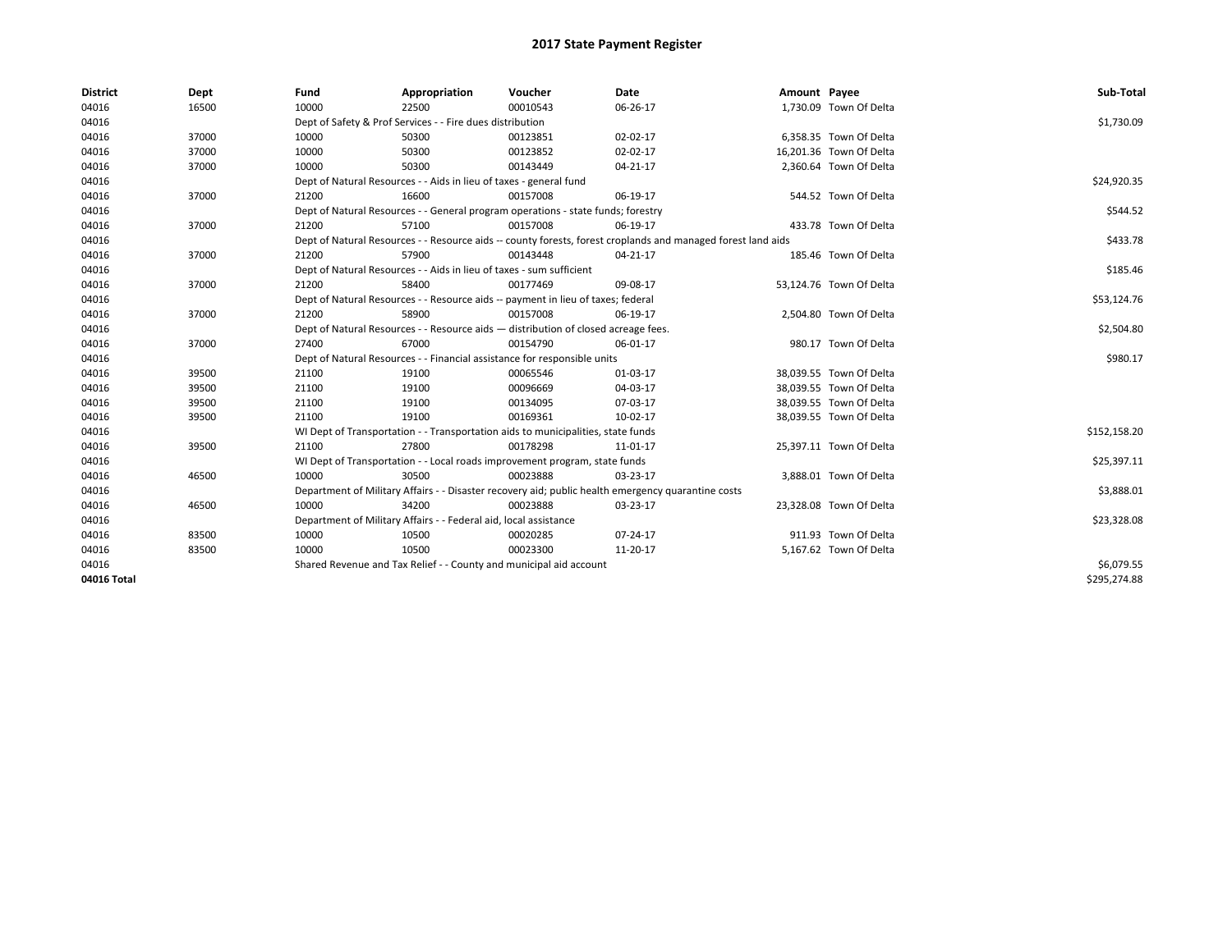| <b>District</b> | Dept  | Fund  | Appropriation                                                        | Voucher                                                                            | Date                                                                                                         | Amount Payee |                         | Sub-Total    |
|-----------------|-------|-------|----------------------------------------------------------------------|------------------------------------------------------------------------------------|--------------------------------------------------------------------------------------------------------------|--------------|-------------------------|--------------|
| 04016           | 16500 | 10000 | 22500                                                                | 00010543                                                                           | 06-26-17                                                                                                     |              | 1,730.09 Town Of Delta  |              |
| 04016           |       |       | Dept of Safety & Prof Services - - Fire dues distribution            |                                                                                    |                                                                                                              |              |                         | \$1,730.09   |
| 04016           | 37000 | 10000 | 50300                                                                | 00123851                                                                           | 02-02-17                                                                                                     |              | 6,358.35 Town Of Delta  |              |
| 04016           | 37000 | 10000 | 50300                                                                | 00123852                                                                           | 02-02-17                                                                                                     |              | 16,201.36 Town Of Delta |              |
| 04016           | 37000 | 10000 | 50300                                                                | 00143449                                                                           | $04 - 21 - 17$                                                                                               |              | 2,360.64 Town Of Delta  |              |
| 04016           |       |       | Dept of Natural Resources - - Aids in lieu of taxes - general fund   |                                                                                    |                                                                                                              |              |                         | \$24,920.35  |
| 04016           | 37000 | 21200 | 16600                                                                | 00157008                                                                           | 06-19-17                                                                                                     |              | 544.52 Town Of Delta    |              |
| 04016           |       |       |                                                                      | Dept of Natural Resources - - General program operations - state funds; forestry   |                                                                                                              |              |                         | \$544.52     |
| 04016           | 37000 | 21200 | 57100                                                                | 00157008                                                                           | 06-19-17                                                                                                     |              | 433.78 Town Of Delta    |              |
| 04016           |       |       |                                                                      |                                                                                    | Dept of Natural Resources - - Resource aids -- county forests, forest croplands and managed forest land aids |              |                         | \$433.78     |
| 04016           | 37000 | 21200 | 57900                                                                | 00143448                                                                           | 04-21-17                                                                                                     |              | 185.46 Town Of Delta    |              |
| 04016           |       |       | Dept of Natural Resources - - Aids in lieu of taxes - sum sufficient |                                                                                    |                                                                                                              |              |                         | \$185.46     |
| 04016           | 37000 | 21200 | 58400                                                                | 00177469                                                                           | 09-08-17                                                                                                     |              | 53,124.76 Town Of Delta |              |
| 04016           |       |       |                                                                      | Dept of Natural Resources - - Resource aids -- payment in lieu of taxes; federal   |                                                                                                              |              |                         | \$53,124.76  |
| 04016           | 37000 | 21200 | 58900                                                                | 00157008                                                                           | 06-19-17                                                                                                     |              | 2,504.80 Town Of Delta  |              |
| 04016           |       |       |                                                                      | Dept of Natural Resources - - Resource aids - distribution of closed acreage fees. |                                                                                                              |              |                         | \$2,504.80   |
| 04016           | 37000 | 27400 | 67000                                                                | 00154790                                                                           | 06-01-17                                                                                                     |              | 980.17 Town Of Delta    |              |
| 04016           |       |       |                                                                      | Dept of Natural Resources - - Financial assistance for responsible units           |                                                                                                              |              |                         | \$980.17     |
| 04016           | 39500 | 21100 | 19100                                                                | 00065546                                                                           | 01-03-17                                                                                                     |              | 38,039.55 Town Of Delta |              |
| 04016           | 39500 | 21100 | 19100                                                                | 00096669                                                                           | 04-03-17                                                                                                     |              | 38,039.55 Town Of Delta |              |
| 04016           | 39500 | 21100 | 19100                                                                | 00134095                                                                           | 07-03-17                                                                                                     |              | 38,039.55 Town Of Delta |              |
| 04016           | 39500 | 21100 | 19100                                                                | 00169361                                                                           | 10-02-17                                                                                                     |              | 38,039.55 Town Of Delta |              |
| 04016           |       |       |                                                                      | WI Dept of Transportation - - Transportation aids to municipalities, state funds   |                                                                                                              |              |                         | \$152,158.20 |
| 04016           | 39500 | 21100 | 27800                                                                | 00178298                                                                           | 11-01-17                                                                                                     |              | 25,397.11 Town Of Delta |              |
| 04016           |       |       |                                                                      | WI Dept of Transportation - - Local roads improvement program, state funds         |                                                                                                              |              |                         | \$25,397.11  |
| 04016           | 46500 | 10000 | 30500                                                                | 00023888                                                                           | 03-23-17                                                                                                     |              | 3,888.01 Town Of Delta  |              |
| 04016           |       |       |                                                                      |                                                                                    | Department of Military Affairs - - Disaster recovery aid; public health emergency quarantine costs           |              |                         | \$3,888.01   |
| 04016           | 46500 | 10000 | 34200                                                                | 00023888                                                                           | 03-23-17                                                                                                     |              | 23,328.08 Town Of Delta |              |
| 04016           |       |       | Department of Military Affairs - - Federal aid, local assistance     |                                                                                    |                                                                                                              |              |                         | \$23,328.08  |
| 04016           | 83500 | 10000 | 10500                                                                | 00020285                                                                           | 07-24-17                                                                                                     |              | 911.93 Town Of Delta    |              |
| 04016           | 83500 | 10000 | 10500                                                                | 00023300                                                                           | 11-20-17                                                                                                     |              | 5,167.62 Town Of Delta  |              |
| 04016           |       |       | Shared Revenue and Tax Relief - - County and municipal aid account   |                                                                                    |                                                                                                              |              |                         | \$6,079.55   |
| 04016 Total     |       |       |                                                                      |                                                                                    |                                                                                                              |              |                         | \$295,274.88 |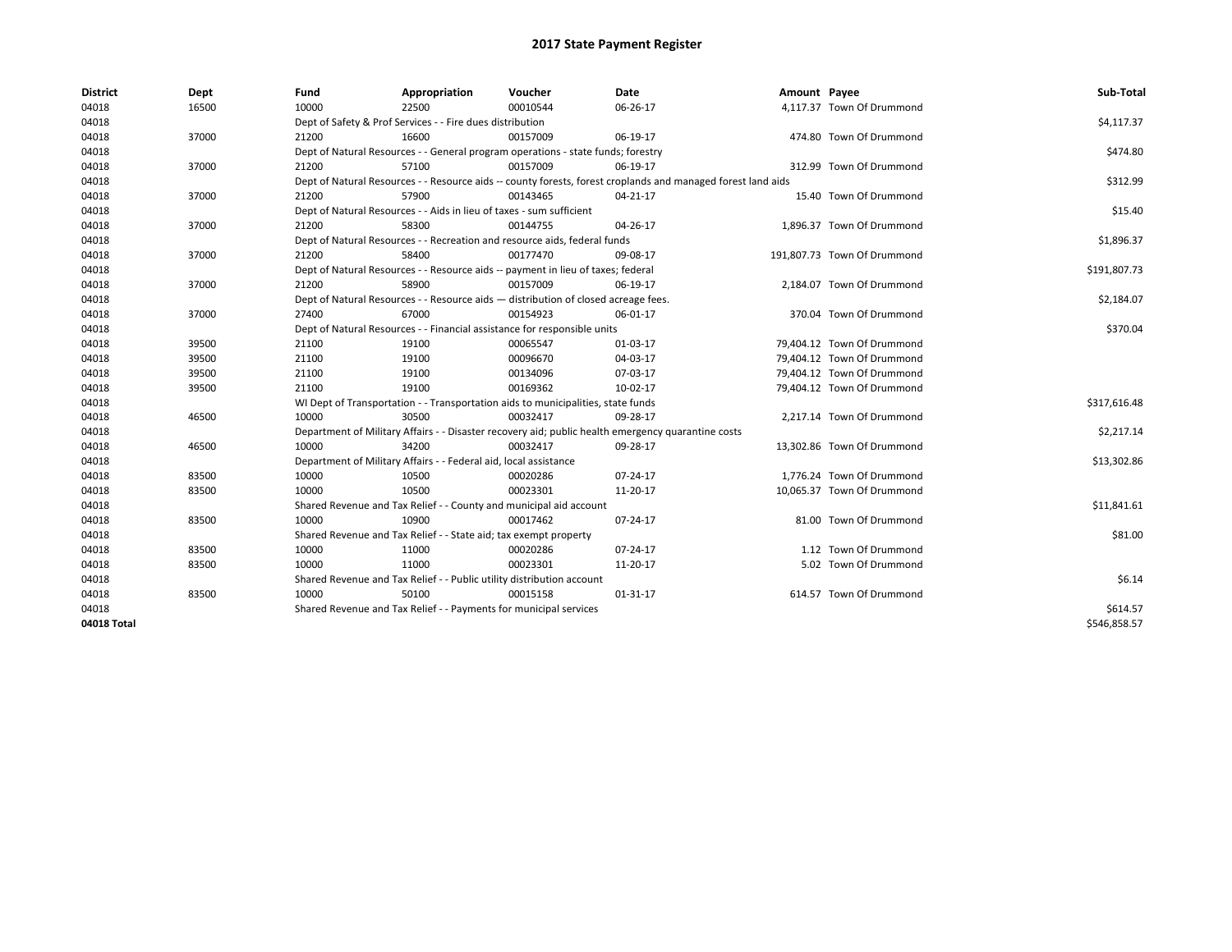| <b>District</b> | Dept  | Fund  | Appropriation                                                                      | Voucher  | Date                                                                                                         | Amount Payee |                             | Sub-Total    |
|-----------------|-------|-------|------------------------------------------------------------------------------------|----------|--------------------------------------------------------------------------------------------------------------|--------------|-----------------------------|--------------|
| 04018           | 16500 | 10000 | 22500                                                                              | 00010544 | 06-26-17                                                                                                     |              | 4,117.37 Town Of Drummond   |              |
| 04018           |       |       | Dept of Safety & Prof Services - - Fire dues distribution                          |          |                                                                                                              |              |                             | \$4,117.37   |
| 04018           | 37000 | 21200 | 16600                                                                              | 00157009 | 06-19-17                                                                                                     |              | 474.80 Town Of Drummond     |              |
| 04018           |       |       | Dept of Natural Resources - - General program operations - state funds; forestry   |          |                                                                                                              |              |                             | \$474.80     |
| 04018           | 37000 | 21200 | 57100                                                                              | 00157009 | 06-19-17                                                                                                     |              | 312.99 Town Of Drummond     |              |
| 04018           |       |       |                                                                                    |          | Dept of Natural Resources - - Resource aids -- county forests, forest croplands and managed forest land aids |              |                             | \$312.99     |
| 04018           | 37000 | 21200 | 57900                                                                              | 00143465 | 04-21-17                                                                                                     |              | 15.40 Town Of Drummond      |              |
| 04018           |       |       | Dept of Natural Resources - - Aids in lieu of taxes - sum sufficient               |          |                                                                                                              |              |                             | \$15.40      |
| 04018           | 37000 | 21200 | 58300                                                                              | 00144755 | 04-26-17                                                                                                     |              | 1,896.37 Town Of Drummond   |              |
| 04018           |       |       | Dept of Natural Resources - - Recreation and resource aids, federal funds          |          |                                                                                                              |              |                             | \$1,896.37   |
| 04018           | 37000 | 21200 | 58400                                                                              | 00177470 | 09-08-17                                                                                                     |              | 191,807.73 Town Of Drummond |              |
| 04018           |       |       | Dept of Natural Resources - - Resource aids -- payment in lieu of taxes; federal   |          |                                                                                                              |              |                             | \$191,807.73 |
| 04018           | 37000 | 21200 | 58900                                                                              | 00157009 | 06-19-17                                                                                                     |              | 2,184.07 Town Of Drummond   |              |
| 04018           |       |       | Dept of Natural Resources - - Resource aids - distribution of closed acreage fees. |          |                                                                                                              |              |                             | \$2,184.07   |
| 04018           | 37000 | 27400 | 67000                                                                              | 00154923 | 06-01-17                                                                                                     |              | 370.04 Town Of Drummond     |              |
| 04018           |       |       | Dept of Natural Resources - - Financial assistance for responsible units           |          |                                                                                                              |              |                             | \$370.04     |
| 04018           | 39500 | 21100 | 19100                                                                              | 00065547 | 01-03-17                                                                                                     |              | 79,404.12 Town Of Drummond  |              |
| 04018           | 39500 | 21100 | 19100                                                                              | 00096670 | 04-03-17                                                                                                     |              | 79,404.12 Town Of Drummond  |              |
| 04018           | 39500 | 21100 | 19100                                                                              | 00134096 | 07-03-17                                                                                                     |              | 79,404.12 Town Of Drummond  |              |
| 04018           | 39500 | 21100 | 19100                                                                              | 00169362 | 10-02-17                                                                                                     |              | 79,404.12 Town Of Drummond  |              |
| 04018           |       |       | WI Dept of Transportation - - Transportation aids to municipalities, state funds   |          |                                                                                                              |              |                             | \$317,616.48 |
| 04018           | 46500 | 10000 | 30500                                                                              | 00032417 | 09-28-17                                                                                                     |              | 2.217.14 Town Of Drummond   |              |
| 04018           |       |       |                                                                                    |          | Department of Military Affairs - - Disaster recovery aid; public health emergency quarantine costs           |              |                             | \$2,217.14   |
| 04018           | 46500 | 10000 | 34200                                                                              | 00032417 | 09-28-17                                                                                                     |              | 13,302.86 Town Of Drummond  |              |
| 04018           |       |       | Department of Military Affairs - - Federal aid, local assistance                   |          |                                                                                                              |              |                             | \$13,302.86  |
| 04018           | 83500 | 10000 | 10500                                                                              | 00020286 | 07-24-17                                                                                                     |              | 1,776.24 Town Of Drummond   |              |
| 04018           | 83500 | 10000 | 10500                                                                              | 00023301 | 11-20-17                                                                                                     |              | 10,065.37 Town Of Drummond  |              |
| 04018           |       |       | Shared Revenue and Tax Relief - - County and municipal aid account                 |          |                                                                                                              |              |                             | \$11,841.61  |
| 04018           | 83500 | 10000 | 10900                                                                              | 00017462 | 07-24-17                                                                                                     |              | 81.00 Town Of Drummond      |              |
| 04018           |       |       | Shared Revenue and Tax Relief - - State aid; tax exempt property                   |          |                                                                                                              |              |                             | \$81.00      |
| 04018           | 83500 | 10000 | 11000                                                                              | 00020286 | 07-24-17                                                                                                     |              | 1.12 Town Of Drummond       |              |
| 04018           | 83500 | 10000 | 11000                                                                              | 00023301 | 11-20-17                                                                                                     |              | 5.02 Town Of Drummond       |              |
| 04018           |       |       | Shared Revenue and Tax Relief - - Public utility distribution account              |          |                                                                                                              |              |                             | \$6.14       |
| 04018           | 83500 | 10000 | 50100                                                                              | 00015158 | 01-31-17                                                                                                     |              | 614.57 Town Of Drummond     |              |
| 04018           |       |       | Shared Revenue and Tax Relief - - Payments for municipal services                  |          |                                                                                                              |              |                             | \$614.57     |
| 04018 Total     |       |       |                                                                                    |          |                                                                                                              |              |                             | \$546,858.57 |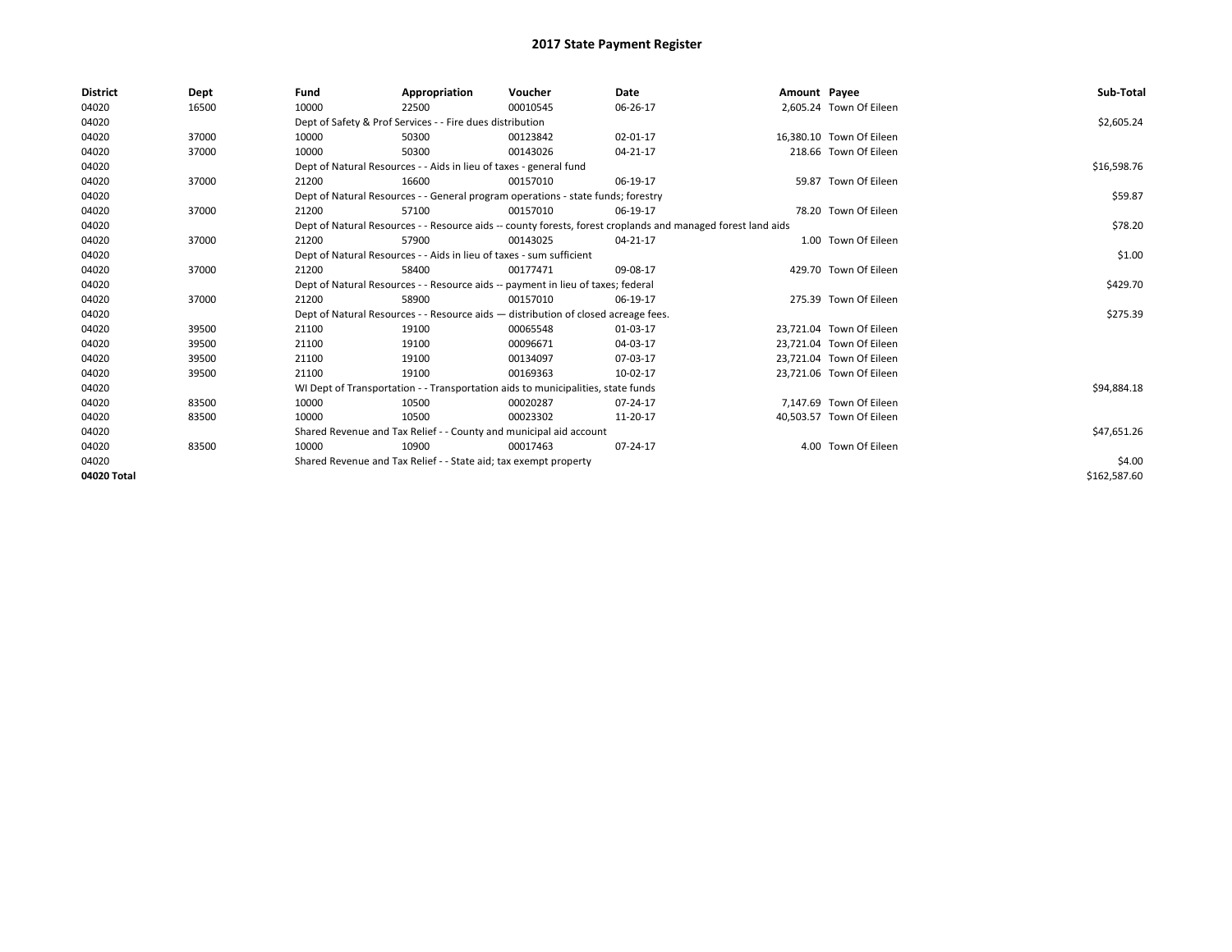| <b>District</b> | Dept  | Fund  | Appropriation                                                                      | Voucher  | Date                                                                                                         | Amount Payee |                          | Sub-Total    |
|-----------------|-------|-------|------------------------------------------------------------------------------------|----------|--------------------------------------------------------------------------------------------------------------|--------------|--------------------------|--------------|
| 04020           | 16500 | 10000 | 22500                                                                              | 00010545 | 06-26-17                                                                                                     |              | 2,605.24 Town Of Eileen  |              |
| 04020           |       |       | Dept of Safety & Prof Services - - Fire dues distribution                          |          |                                                                                                              |              |                          | \$2,605.24   |
| 04020           | 37000 | 10000 | 50300                                                                              | 00123842 | 02-01-17                                                                                                     |              | 16,380.10 Town Of Eileen |              |
| 04020           | 37000 | 10000 | 50300                                                                              | 00143026 | 04-21-17                                                                                                     |              | 218.66 Town Of Eileen    |              |
| 04020           |       |       | Dept of Natural Resources - - Aids in lieu of taxes - general fund                 |          |                                                                                                              |              |                          | \$16,598.76  |
| 04020           | 37000 | 21200 | 16600                                                                              | 00157010 | 06-19-17                                                                                                     |              | 59.87 Town Of Eileen     |              |
| 04020           |       |       | Dept of Natural Resources - - General program operations - state funds; forestry   |          |                                                                                                              |              |                          | \$59.87      |
| 04020           | 37000 | 21200 | 57100                                                                              | 00157010 | 06-19-17                                                                                                     |              | 78.20 Town Of Eileen     |              |
| 04020           |       |       |                                                                                    |          | Dept of Natural Resources - - Resource aids -- county forests, forest croplands and managed forest land aids |              |                          | \$78.20      |
| 04020           | 37000 | 21200 | 57900                                                                              | 00143025 | 04-21-17                                                                                                     |              | 1.00 Town Of Eileen      |              |
| 04020           |       |       | Dept of Natural Resources - - Aids in lieu of taxes - sum sufficient               |          |                                                                                                              |              |                          | \$1.00       |
| 04020           | 37000 | 21200 | 58400                                                                              | 00177471 | 09-08-17                                                                                                     |              | 429.70 Town Of Eileen    |              |
| 04020           |       |       | Dept of Natural Resources - - Resource aids -- payment in lieu of taxes; federal   |          |                                                                                                              |              |                          | \$429.70     |
| 04020           | 37000 | 21200 | 58900                                                                              | 00157010 | 06-19-17                                                                                                     |              | 275.39 Town Of Eileen    |              |
| 04020           |       |       | Dept of Natural Resources - - Resource aids - distribution of closed acreage fees. |          |                                                                                                              |              |                          | \$275.39     |
| 04020           | 39500 | 21100 | 19100                                                                              | 00065548 | 01-03-17                                                                                                     |              | 23.721.04 Town Of Eileen |              |
| 04020           | 39500 | 21100 | 19100                                                                              | 00096671 | 04-03-17                                                                                                     |              | 23,721.04 Town Of Eileen |              |
| 04020           | 39500 | 21100 | 19100                                                                              | 00134097 | 07-03-17                                                                                                     |              | 23,721.04 Town Of Eileen |              |
| 04020           | 39500 | 21100 | 19100                                                                              | 00169363 | 10-02-17                                                                                                     |              | 23,721.06 Town Of Eileen |              |
| 04020           |       |       | WI Dept of Transportation - - Transportation aids to municipalities, state funds   |          |                                                                                                              |              |                          | \$94,884.18  |
| 04020           | 83500 | 10000 | 10500                                                                              | 00020287 | 07-24-17                                                                                                     |              | 7.147.69 Town Of Eileen  |              |
| 04020           | 83500 | 10000 | 10500                                                                              | 00023302 | 11-20-17                                                                                                     |              | 40.503.57 Town Of Eileen |              |
| 04020           |       |       | Shared Revenue and Tax Relief - - County and municipal aid account                 |          |                                                                                                              |              |                          | \$47,651.26  |
| 04020           | 83500 | 10000 | 10900                                                                              | 00017463 | 07-24-17                                                                                                     |              | 4.00 Town Of Eileen      |              |
| 04020           |       |       | Shared Revenue and Tax Relief - - State aid; tax exempt property                   |          |                                                                                                              |              |                          | \$4.00       |
| 04020 Total     |       |       |                                                                                    |          |                                                                                                              |              |                          | \$162,587.60 |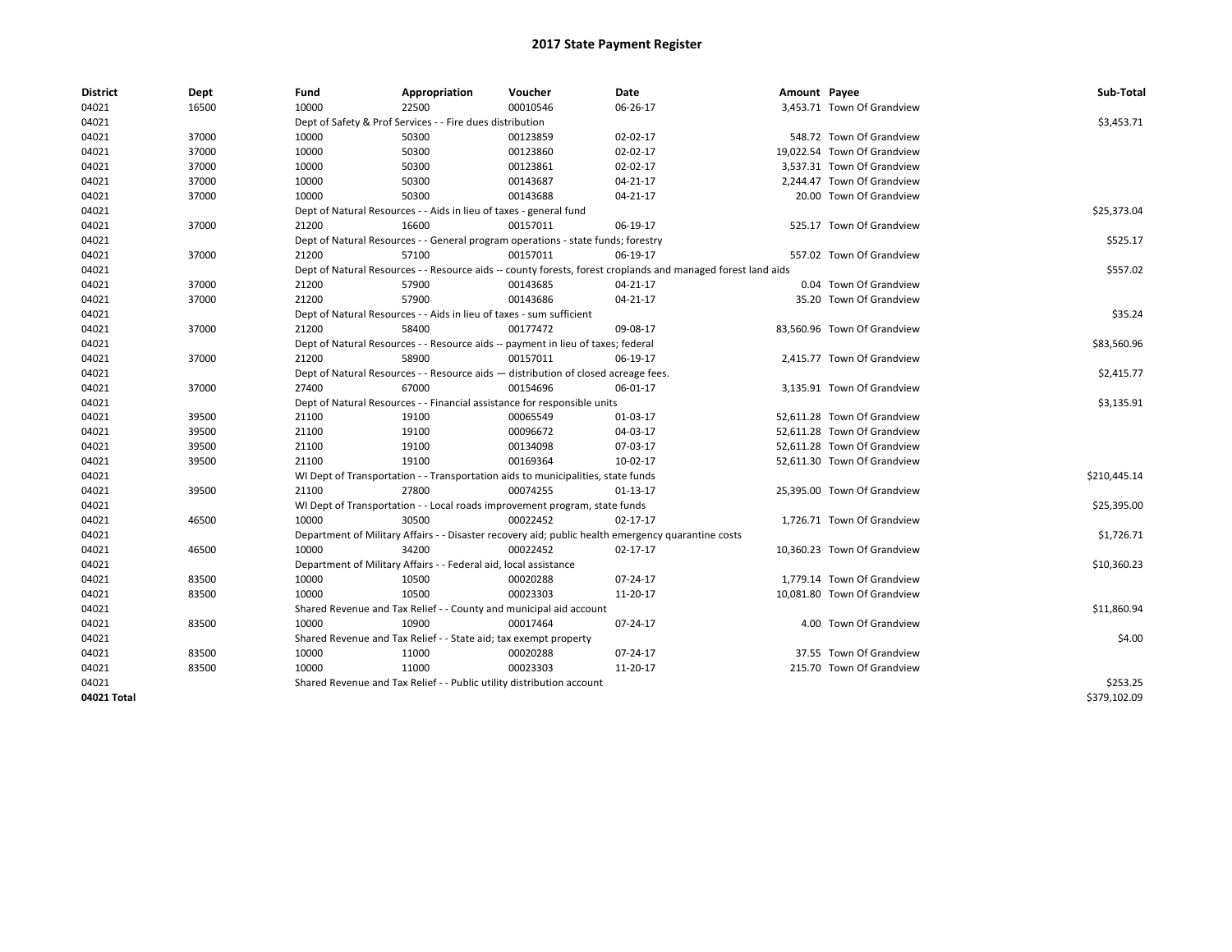| <b>District</b> | Dept  | Fund  | Appropriation                                                                      | Voucher  | Date                                                                                                         | Amount Payee |                             | Sub-Total    |
|-----------------|-------|-------|------------------------------------------------------------------------------------|----------|--------------------------------------------------------------------------------------------------------------|--------------|-----------------------------|--------------|
| 04021           | 16500 | 10000 | 22500                                                                              | 00010546 | 06-26-17                                                                                                     |              | 3,453.71 Town Of Grandview  |              |
| 04021           |       |       | Dept of Safety & Prof Services - - Fire dues distribution                          |          |                                                                                                              |              |                             | \$3,453.71   |
| 04021           | 37000 | 10000 | 50300                                                                              | 00123859 | 02-02-17                                                                                                     |              | 548.72 Town Of Grandview    |              |
| 04021           | 37000 | 10000 | 50300                                                                              | 00123860 | 02-02-17                                                                                                     |              | 19,022.54 Town Of Grandview |              |
| 04021           | 37000 | 10000 | 50300                                                                              | 00123861 | 02-02-17                                                                                                     |              | 3,537.31 Town Of Grandview  |              |
| 04021           | 37000 | 10000 | 50300                                                                              | 00143687 | $04 - 21 - 17$                                                                                               |              | 2.244.47 Town Of Grandview  |              |
| 04021           | 37000 | 10000 | 50300                                                                              | 00143688 | 04-21-17                                                                                                     |              | 20.00 Town Of Grandview     |              |
| 04021           |       |       | Dept of Natural Resources - - Aids in lieu of taxes - general fund                 |          |                                                                                                              |              |                             | \$25,373.04  |
| 04021           | 37000 | 21200 | 16600                                                                              | 00157011 | 06-19-17                                                                                                     |              | 525.17 Town Of Grandview    |              |
| 04021           |       |       | Dept of Natural Resources - - General program operations - state funds; forestry   |          |                                                                                                              |              |                             | \$525.17     |
| 04021           | 37000 | 21200 | 57100                                                                              | 00157011 | 06-19-17                                                                                                     |              | 557.02 Town Of Grandview    |              |
| 04021           |       |       |                                                                                    |          | Dept of Natural Resources - - Resource aids -- county forests, forest croplands and managed forest land aids |              |                             | \$557.02     |
| 04021           | 37000 | 21200 | 57900                                                                              | 00143685 | 04-21-17                                                                                                     |              | 0.04 Town Of Grandview      |              |
| 04021           | 37000 | 21200 | 57900                                                                              | 00143686 | $04 - 21 - 17$                                                                                               |              | 35.20 Town Of Grandview     |              |
| 04021           |       |       | Dept of Natural Resources - - Aids in lieu of taxes - sum sufficient               |          |                                                                                                              |              |                             | \$35.24      |
| 04021           | 37000 | 21200 | 58400                                                                              | 00177472 | 09-08-17                                                                                                     |              | 83,560.96 Town Of Grandview |              |
| 04021           |       |       | Dept of Natural Resources - - Resource aids -- payment in lieu of taxes; federal   |          |                                                                                                              |              |                             | \$83,560.96  |
| 04021           | 37000 | 21200 | 58900                                                                              | 00157011 | 06-19-17                                                                                                     |              | 2,415.77 Town Of Grandview  |              |
| 04021           |       |       | Dept of Natural Resources - - Resource aids - distribution of closed acreage fees. |          |                                                                                                              |              |                             | \$2,415.77   |
| 04021           | 37000 | 27400 | 67000                                                                              | 00154696 | 06-01-17                                                                                                     |              | 3,135.91 Town Of Grandview  |              |
| 04021           |       |       | Dept of Natural Resources - - Financial assistance for responsible units           |          |                                                                                                              |              |                             | \$3,135.91   |
| 04021           | 39500 | 21100 | 19100                                                                              | 00065549 | 01-03-17                                                                                                     |              | 52,611.28 Town Of Grandview |              |
| 04021           | 39500 | 21100 | 19100                                                                              | 00096672 | 04-03-17                                                                                                     |              | 52.611.28 Town Of Grandview |              |
| 04021           | 39500 | 21100 | 19100                                                                              | 00134098 | 07-03-17                                                                                                     |              | 52,611.28 Town Of Grandview |              |
| 04021           | 39500 | 21100 | 19100                                                                              | 00169364 | 10-02-17                                                                                                     |              | 52,611.30 Town Of Grandview |              |
| 04021           |       |       | WI Dept of Transportation - - Transportation aids to municipalities, state funds   |          |                                                                                                              |              |                             | \$210,445.14 |
| 04021           | 39500 | 21100 | 27800                                                                              | 00074255 | $01-13-17$                                                                                                   |              | 25,395.00 Town Of Grandview |              |
| 04021           |       |       | WI Dept of Transportation - - Local roads improvement program, state funds         |          |                                                                                                              |              |                             | \$25,395.00  |
| 04021           | 46500 | 10000 | 30500                                                                              | 00022452 | $02 - 17 - 17$                                                                                               |              | 1,726.71 Town Of Grandview  |              |
| 04021           |       |       |                                                                                    |          | Department of Military Affairs - - Disaster recovery aid; public health emergency quarantine costs           |              |                             | \$1,726.71   |
| 04021           | 46500 | 10000 | 34200                                                                              | 00022452 | 02-17-17                                                                                                     |              | 10,360.23 Town Of Grandview |              |
| 04021           |       |       | Department of Military Affairs - - Federal aid, local assistance                   |          |                                                                                                              |              |                             | \$10,360.23  |
| 04021           | 83500 | 10000 | 10500                                                                              | 00020288 | 07-24-17                                                                                                     |              | 1,779.14 Town Of Grandview  |              |
| 04021           | 83500 | 10000 | 10500                                                                              | 00023303 | 11-20-17                                                                                                     |              | 10,081.80 Town Of Grandview |              |
| 04021           |       |       | Shared Revenue and Tax Relief - - County and municipal aid account                 |          |                                                                                                              |              |                             | \$11,860.94  |
| 04021           | 83500 | 10000 | 10900                                                                              | 00017464 | 07-24-17                                                                                                     |              | 4.00 Town Of Grandview      |              |
| 04021           |       |       | Shared Revenue and Tax Relief - - State aid; tax exempt property                   |          |                                                                                                              |              |                             | \$4.00       |
| 04021           | 83500 | 10000 | 11000                                                                              | 00020288 | 07-24-17                                                                                                     |              | 37.55 Town Of Grandview     |              |
| 04021           | 83500 | 10000 | 11000                                                                              | 00023303 | 11-20-17                                                                                                     |              | 215.70 Town Of Grandview    |              |
| 04021           |       |       | Shared Revenue and Tax Relief - - Public utility distribution account              |          |                                                                                                              |              |                             | \$253.25     |
| 04021 Total     |       |       |                                                                                    |          |                                                                                                              |              |                             | \$379,102.09 |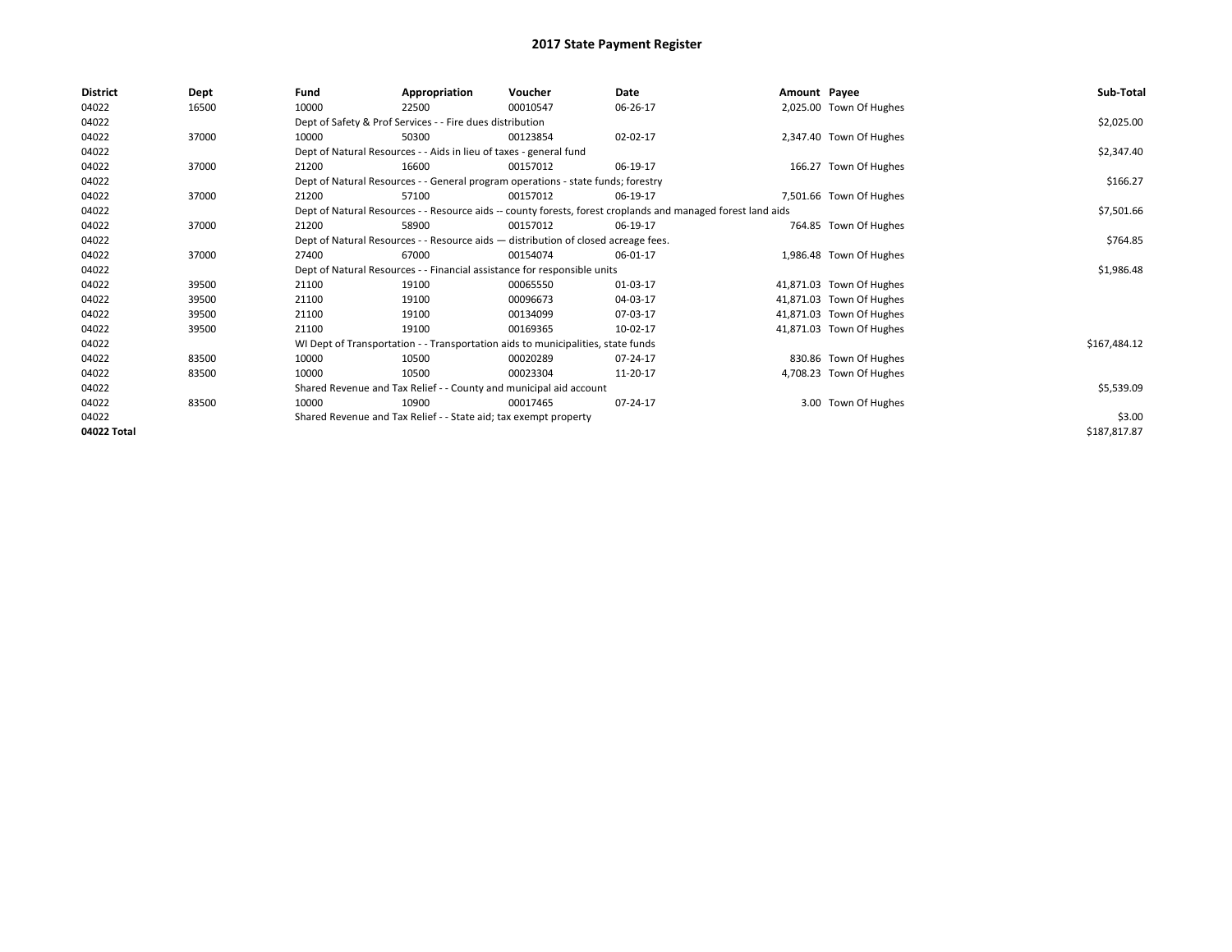| \$2,025.00   |
|--------------|
|              |
|              |
|              |
| \$2,347.40   |
|              |
| \$166.27     |
|              |
| \$7,501.66   |
|              |
| \$764.85     |
|              |
| \$1,986.48   |
|              |
|              |
|              |
|              |
| \$167,484.12 |
|              |
|              |
| \$5,539.09   |
|              |
| \$3.00       |
| \$187,817.87 |
|              |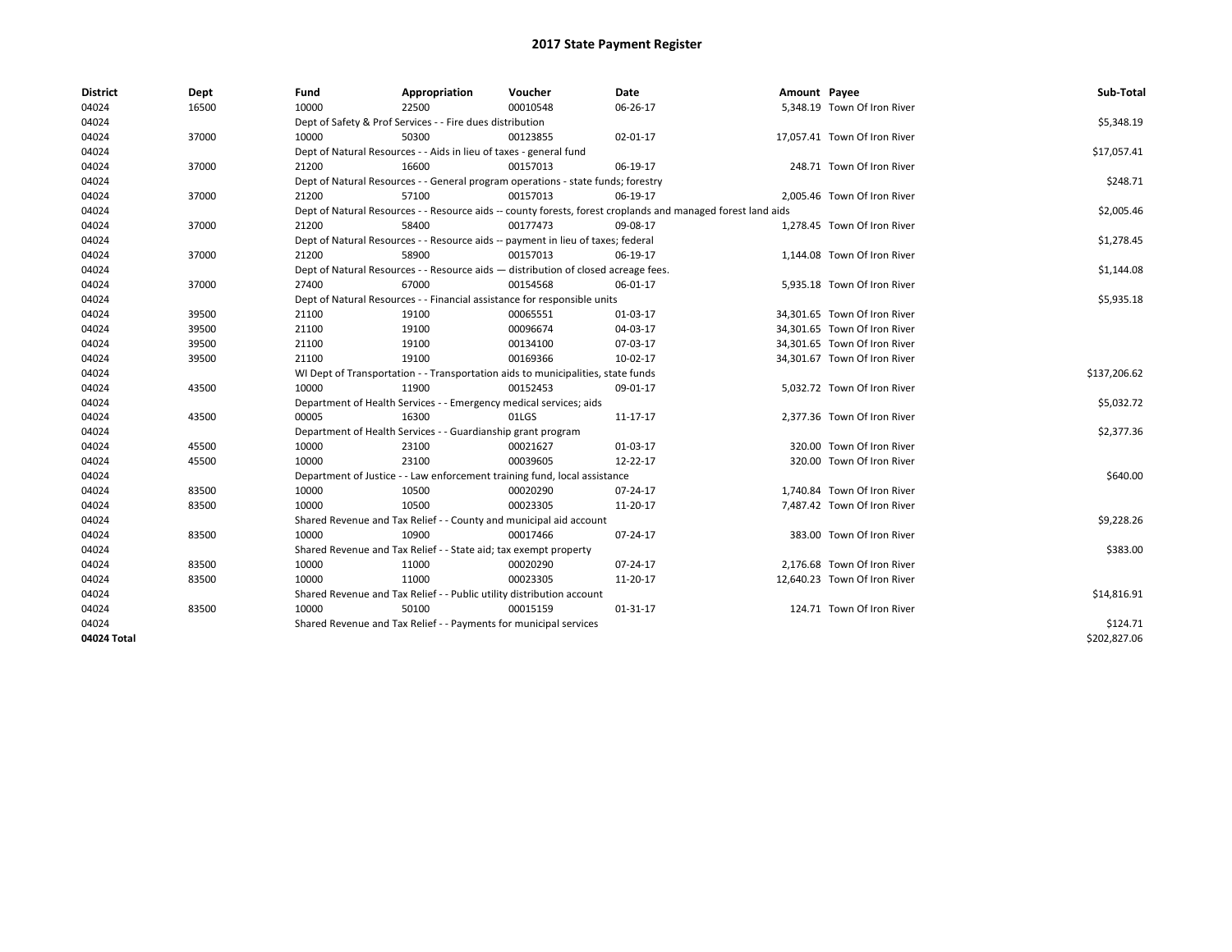| <b>District</b> | Dept  | Fund  | Appropriation                                                                      | Voucher  | Date                                                                                                         | Amount Payee |                              | Sub-Total    |
|-----------------|-------|-------|------------------------------------------------------------------------------------|----------|--------------------------------------------------------------------------------------------------------------|--------------|------------------------------|--------------|
| 04024           | 16500 | 10000 | 22500                                                                              | 00010548 | 06-26-17                                                                                                     |              | 5,348.19 Town Of Iron River  |              |
| 04024           |       |       | Dept of Safety & Prof Services - - Fire dues distribution                          |          |                                                                                                              |              |                              | \$5,348.19   |
| 04024           | 37000 | 10000 | 50300                                                                              | 00123855 | 02-01-17                                                                                                     |              | 17,057.41 Town Of Iron River |              |
| 04024           |       |       | Dept of Natural Resources - - Aids in lieu of taxes - general fund                 |          |                                                                                                              |              |                              | \$17,057.41  |
| 04024           | 37000 | 21200 | 16600                                                                              | 00157013 | 06-19-17                                                                                                     |              | 248.71 Town Of Iron River    |              |
| 04024           |       |       | Dept of Natural Resources - - General program operations - state funds; forestry   |          |                                                                                                              |              |                              | \$248.71     |
| 04024           | 37000 | 21200 | 57100                                                                              | 00157013 | 06-19-17                                                                                                     |              | 2,005.46 Town Of Iron River  |              |
| 04024           |       |       |                                                                                    |          | Dept of Natural Resources - - Resource aids -- county forests, forest croplands and managed forest land aids |              |                              | \$2,005.46   |
| 04024           | 37000 | 21200 | 58400                                                                              | 00177473 | 09-08-17                                                                                                     |              | 1,278.45 Town Of Iron River  |              |
| 04024           |       |       | Dept of Natural Resources - - Resource aids -- payment in lieu of taxes; federal   |          |                                                                                                              |              |                              | \$1,278.45   |
| 04024           | 37000 | 21200 | 58900                                                                              | 00157013 | 06-19-17                                                                                                     |              | 1,144.08 Town Of Iron River  |              |
| 04024           |       |       | Dept of Natural Resources - - Resource aids - distribution of closed acreage fees. |          |                                                                                                              |              |                              | \$1,144.08   |
| 04024           | 37000 | 27400 | 67000                                                                              | 00154568 | 06-01-17                                                                                                     |              | 5,935.18 Town Of Iron River  |              |
| 04024           |       |       | Dept of Natural Resources - - Financial assistance for responsible units           |          |                                                                                                              |              |                              | \$5,935.18   |
| 04024           | 39500 | 21100 | 19100                                                                              | 00065551 | 01-03-17                                                                                                     |              | 34,301.65 Town Of Iron River |              |
| 04024           | 39500 | 21100 | 19100                                                                              | 00096674 | 04-03-17                                                                                                     |              | 34.301.65 Town Of Iron River |              |
| 04024           | 39500 | 21100 | 19100                                                                              | 00134100 | 07-03-17                                                                                                     |              | 34,301.65 Town Of Iron River |              |
| 04024           | 39500 | 21100 | 19100                                                                              | 00169366 | 10-02-17                                                                                                     |              | 34,301.67 Town Of Iron River |              |
| 04024           |       |       | WI Dept of Transportation - - Transportation aids to municipalities, state funds   |          |                                                                                                              |              |                              | \$137,206.62 |
| 04024           | 43500 | 10000 | 11900                                                                              | 00152453 | 09-01-17                                                                                                     |              | 5,032.72 Town Of Iron River  |              |
| 04024           |       |       | Department of Health Services - - Emergency medical services; aids                 |          |                                                                                                              |              |                              | \$5,032.72   |
| 04024           | 43500 | 00005 | 16300                                                                              | 01LGS    | 11-17-17                                                                                                     |              | 2,377.36 Town Of Iron River  |              |
| 04024           |       |       | Department of Health Services - - Guardianship grant program                       |          |                                                                                                              |              |                              | \$2,377.36   |
| 04024           | 45500 | 10000 | 23100                                                                              | 00021627 | 01-03-17                                                                                                     |              | 320.00 Town Of Iron River    |              |
| 04024           | 45500 | 10000 | 23100                                                                              | 00039605 | 12-22-17                                                                                                     |              | 320.00 Town Of Iron River    |              |
| 04024           |       |       | Department of Justice - - Law enforcement training fund, local assistance          |          |                                                                                                              |              |                              | \$640.00     |
| 04024           | 83500 | 10000 | 10500                                                                              | 00020290 | 07-24-17                                                                                                     |              | 1,740.84 Town Of Iron River  |              |
| 04024           | 83500 | 10000 | 10500                                                                              | 00023305 | 11-20-17                                                                                                     |              | 7,487.42 Town Of Iron River  |              |
| 04024           |       |       | Shared Revenue and Tax Relief - - County and municipal aid account                 |          |                                                                                                              |              |                              | \$9,228.26   |
| 04024           | 83500 | 10000 | 10900                                                                              | 00017466 | 07-24-17                                                                                                     |              | 383.00 Town Of Iron River    |              |
| 04024           |       |       | Shared Revenue and Tax Relief - - State aid; tax exempt property                   |          |                                                                                                              |              |                              | \$383.00     |
| 04024           | 83500 | 10000 | 11000                                                                              | 00020290 | 07-24-17                                                                                                     |              | 2.176.68 Town Of Iron River  |              |
| 04024           | 83500 | 10000 | 11000                                                                              | 00023305 | 11-20-17                                                                                                     |              | 12,640.23 Town Of Iron River |              |
| 04024           |       |       | Shared Revenue and Tax Relief - - Public utility distribution account              |          |                                                                                                              |              |                              | \$14,816.91  |
| 04024           | 83500 | 10000 | 50100                                                                              | 00015159 | 01-31-17                                                                                                     |              | 124.71 Town Of Iron River    |              |
| 04024           |       |       | Shared Revenue and Tax Relief - - Payments for municipal services                  |          |                                                                                                              |              |                              | \$124.71     |
| 04024 Total     |       |       |                                                                                    |          |                                                                                                              |              |                              | \$202.827.06 |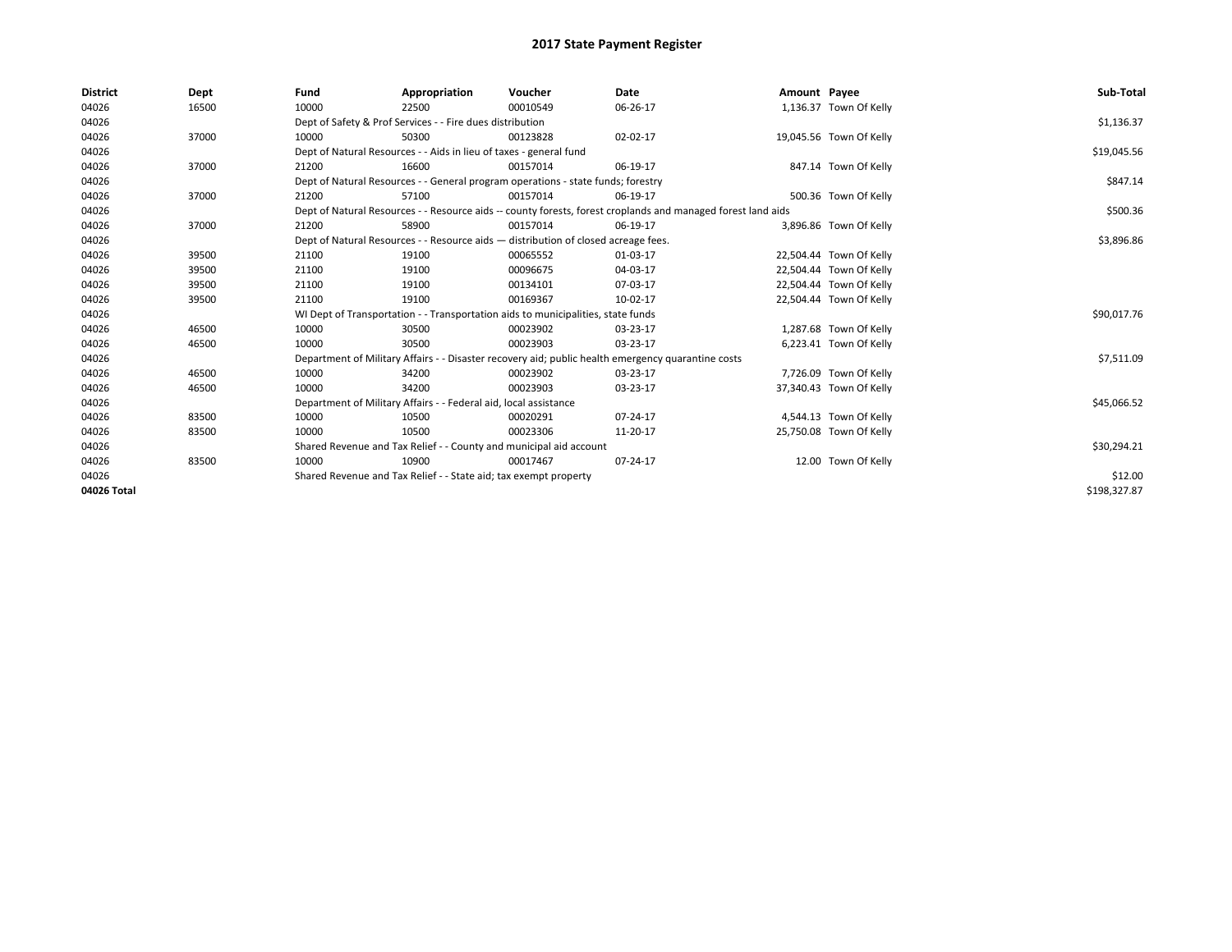| <b>District</b> | Dept  | Fund  | Appropriation                                                                      | Voucher  | Date                                                                                                         | Amount Payee |                         | Sub-Total    |
|-----------------|-------|-------|------------------------------------------------------------------------------------|----------|--------------------------------------------------------------------------------------------------------------|--------------|-------------------------|--------------|
| 04026           | 16500 | 10000 | 22500                                                                              | 00010549 | 06-26-17                                                                                                     |              | 1,136.37 Town Of Kelly  |              |
| 04026           |       |       | Dept of Safety & Prof Services - - Fire dues distribution                          |          |                                                                                                              |              |                         | \$1,136.37   |
| 04026           | 37000 | 10000 | 50300                                                                              | 00123828 | 02-02-17                                                                                                     |              | 19,045.56 Town Of Kelly |              |
| 04026           |       |       | Dept of Natural Resources - - Aids in lieu of taxes - general fund                 |          |                                                                                                              |              |                         | \$19,045.56  |
| 04026           | 37000 | 21200 | 16600                                                                              | 00157014 | 06-19-17                                                                                                     |              | 847.14 Town Of Kelly    |              |
| 04026           |       |       | Dept of Natural Resources - - General program operations - state funds; forestry   |          |                                                                                                              |              |                         | \$847.14     |
| 04026           | 37000 | 21200 | 57100                                                                              | 00157014 | 06-19-17                                                                                                     |              | 500.36 Town Of Kelly    |              |
| 04026           |       |       |                                                                                    |          | Dept of Natural Resources - - Resource aids -- county forests, forest croplands and managed forest land aids |              |                         | \$500.36     |
| 04026           | 37000 | 21200 | 58900                                                                              | 00157014 | 06-19-17                                                                                                     |              | 3,896.86 Town Of Kelly  |              |
| 04026           |       |       | Dept of Natural Resources - - Resource aids - distribution of closed acreage fees. |          |                                                                                                              |              |                         | \$3,896.86   |
| 04026           | 39500 | 21100 | 19100                                                                              | 00065552 | 01-03-17                                                                                                     |              | 22,504.44 Town Of Kelly |              |
| 04026           | 39500 | 21100 | 19100                                                                              | 00096675 | 04-03-17                                                                                                     |              | 22,504.44 Town Of Kelly |              |
| 04026           | 39500 | 21100 | 19100                                                                              | 00134101 | 07-03-17                                                                                                     |              | 22,504.44 Town Of Kelly |              |
| 04026           | 39500 | 21100 | 19100                                                                              | 00169367 | 10-02-17                                                                                                     |              | 22.504.44 Town Of Kelly |              |
| 04026           |       |       | WI Dept of Transportation - - Transportation aids to municipalities, state funds   |          |                                                                                                              |              |                         | \$90,017.76  |
| 04026           | 46500 | 10000 | 30500                                                                              | 00023902 | 03-23-17                                                                                                     |              | 1,287.68 Town Of Kelly  |              |
| 04026           | 46500 | 10000 | 30500                                                                              | 00023903 | 03-23-17                                                                                                     |              | 6,223.41 Town Of Kelly  |              |
| 04026           |       |       |                                                                                    |          | Department of Military Affairs - - Disaster recovery aid; public health emergency quarantine costs           |              |                         | \$7,511.09   |
| 04026           | 46500 | 10000 | 34200                                                                              | 00023902 | 03-23-17                                                                                                     |              | 7,726.09 Town Of Kelly  |              |
| 04026           | 46500 | 10000 | 34200                                                                              | 00023903 | 03-23-17                                                                                                     |              | 37,340.43 Town Of Kelly |              |
| 04026           |       |       | Department of Military Affairs - - Federal aid, local assistance                   |          |                                                                                                              |              |                         | \$45,066.52  |
| 04026           | 83500 | 10000 | 10500                                                                              | 00020291 | 07-24-17                                                                                                     |              | 4,544.13 Town Of Kelly  |              |
| 04026           | 83500 | 10000 | 10500                                                                              | 00023306 | 11-20-17                                                                                                     |              | 25,750.08 Town Of Kelly |              |
| 04026           |       |       | Shared Revenue and Tax Relief - - County and municipal aid account                 |          |                                                                                                              |              |                         | \$30,294.21  |
| 04026           | 83500 | 10000 | 10900                                                                              | 00017467 | 07-24-17                                                                                                     |              | 12.00 Town Of Kelly     |              |
| 04026           |       |       | Shared Revenue and Tax Relief - - State aid; tax exempt property                   |          |                                                                                                              |              |                         | \$12.00      |
| 04026 Total     |       |       |                                                                                    |          |                                                                                                              |              |                         | \$198,327.87 |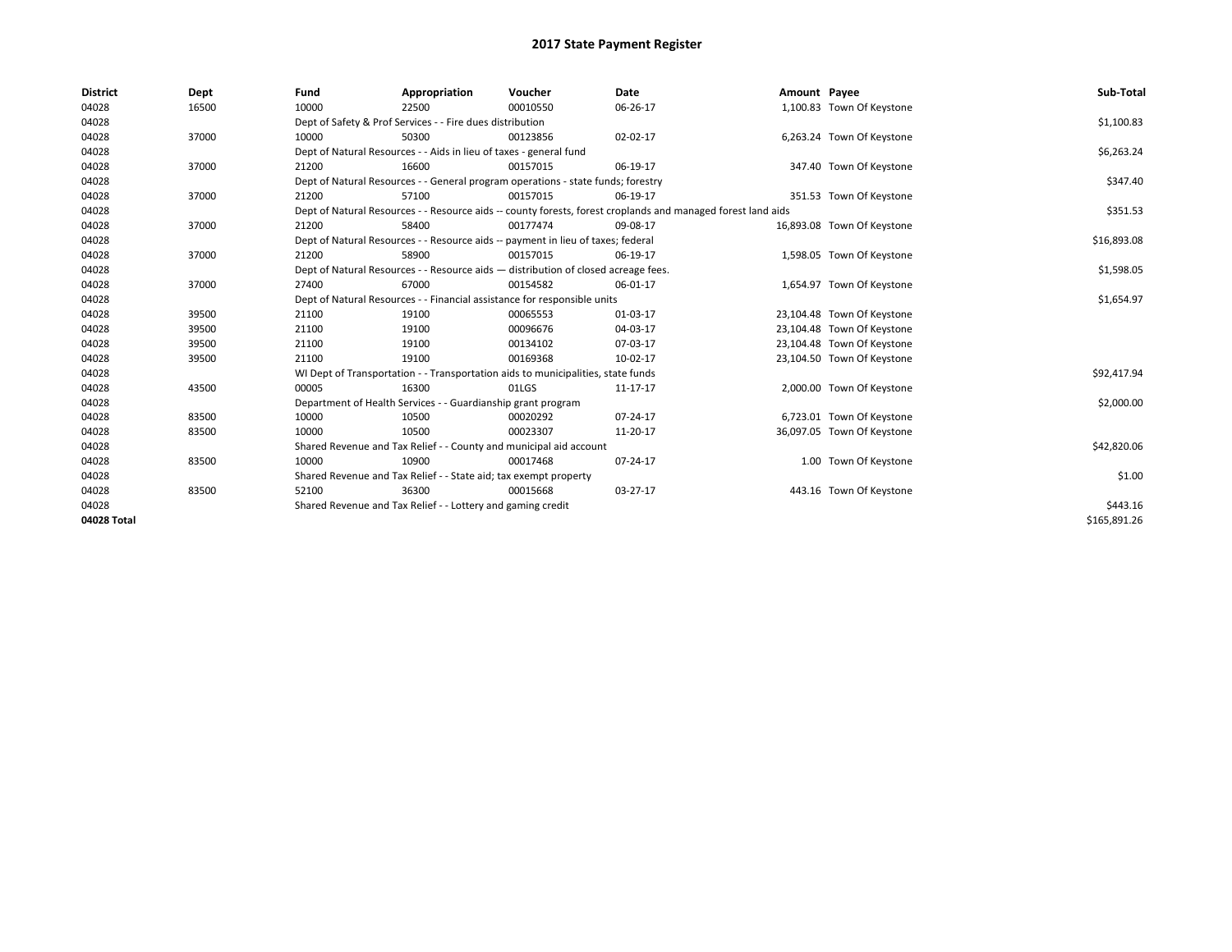| <b>District</b> | Dept  | Fund  | Appropriation                                                                      | Voucher  | <b>Date</b>                                                                                                  | Amount Payee |                            | Sub-Total    |
|-----------------|-------|-------|------------------------------------------------------------------------------------|----------|--------------------------------------------------------------------------------------------------------------|--------------|----------------------------|--------------|
| 04028           | 16500 | 10000 | 22500                                                                              | 00010550 | 06-26-17                                                                                                     |              | 1,100.83 Town Of Keystone  |              |
| 04028           |       |       | Dept of Safety & Prof Services - - Fire dues distribution                          |          |                                                                                                              |              |                            | \$1,100.83   |
| 04028           | 37000 | 10000 | 50300                                                                              | 00123856 | 02-02-17                                                                                                     |              | 6,263.24 Town Of Keystone  |              |
| 04028           |       |       | Dept of Natural Resources - - Aids in lieu of taxes - general fund                 |          |                                                                                                              |              |                            | \$6,263.24   |
| 04028           | 37000 | 21200 | 16600                                                                              | 00157015 | 06-19-17                                                                                                     |              | 347.40 Town Of Keystone    |              |
| 04028           |       |       | Dept of Natural Resources - - General program operations - state funds; forestry   |          |                                                                                                              |              |                            | \$347.40     |
| 04028           | 37000 | 21200 | 57100                                                                              | 00157015 | 06-19-17                                                                                                     |              | 351.53 Town Of Keystone    |              |
| 04028           |       |       |                                                                                    |          | Dept of Natural Resources - - Resource aids -- county forests, forest croplands and managed forest land aids |              |                            | \$351.53     |
| 04028           | 37000 | 21200 | 58400                                                                              | 00177474 | 09-08-17                                                                                                     |              | 16,893.08 Town Of Keystone |              |
| 04028           |       |       | Dept of Natural Resources - - Resource aids -- payment in lieu of taxes; federal   |          |                                                                                                              |              |                            | \$16,893.08  |
| 04028           | 37000 | 21200 | 58900                                                                              | 00157015 | 06-19-17                                                                                                     |              | 1,598.05 Town Of Keystone  |              |
| 04028           |       |       | Dept of Natural Resources - - Resource aids - distribution of closed acreage fees. |          |                                                                                                              |              |                            | \$1,598.05   |
| 04028           | 37000 | 27400 | 67000                                                                              | 00154582 | 06-01-17                                                                                                     |              | 1,654.97 Town Of Keystone  |              |
| 04028           |       |       | Dept of Natural Resources - - Financial assistance for responsible units           |          |                                                                                                              |              |                            | \$1,654.97   |
| 04028           | 39500 | 21100 | 19100                                                                              | 00065553 | 01-03-17                                                                                                     |              | 23,104.48 Town Of Keystone |              |
| 04028           | 39500 | 21100 | 19100                                                                              | 00096676 | 04-03-17                                                                                                     |              | 23,104.48 Town Of Keystone |              |
| 04028           | 39500 | 21100 | 19100                                                                              | 00134102 | 07-03-17                                                                                                     |              | 23,104.48 Town Of Keystone |              |
| 04028           | 39500 | 21100 | 19100                                                                              | 00169368 | 10-02-17                                                                                                     |              | 23,104.50 Town Of Keystone |              |
| 04028           |       |       | WI Dept of Transportation - - Transportation aids to municipalities, state funds   |          |                                                                                                              |              |                            | \$92,417.94  |
| 04028           | 43500 | 00005 | 16300                                                                              | 01LGS    | 11-17-17                                                                                                     |              | 2,000.00 Town Of Keystone  |              |
| 04028           |       |       | Department of Health Services - - Guardianship grant program                       |          |                                                                                                              |              |                            | \$2,000.00   |
| 04028           | 83500 | 10000 | 10500                                                                              | 00020292 | 07-24-17                                                                                                     |              | 6,723.01 Town Of Keystone  |              |
| 04028           | 83500 | 10000 | 10500                                                                              | 00023307 | 11-20-17                                                                                                     |              | 36,097.05 Town Of Keystone |              |
| 04028           |       |       | Shared Revenue and Tax Relief - - County and municipal aid account                 |          |                                                                                                              |              |                            | \$42,820.06  |
| 04028           | 83500 | 10000 | 10900                                                                              | 00017468 | 07-24-17                                                                                                     |              | 1.00 Town Of Keystone      |              |
| 04028           |       |       | Shared Revenue and Tax Relief - - State aid; tax exempt property                   |          |                                                                                                              |              |                            | \$1.00       |
| 04028           | 83500 | 52100 | 36300                                                                              | 00015668 | 03-27-17                                                                                                     |              | 443.16 Town Of Keystone    |              |
| 04028           |       |       | Shared Revenue and Tax Relief - - Lottery and gaming credit                        |          |                                                                                                              |              |                            | \$443.16     |
| 04028 Total     |       |       |                                                                                    |          |                                                                                                              |              |                            | \$165,891.26 |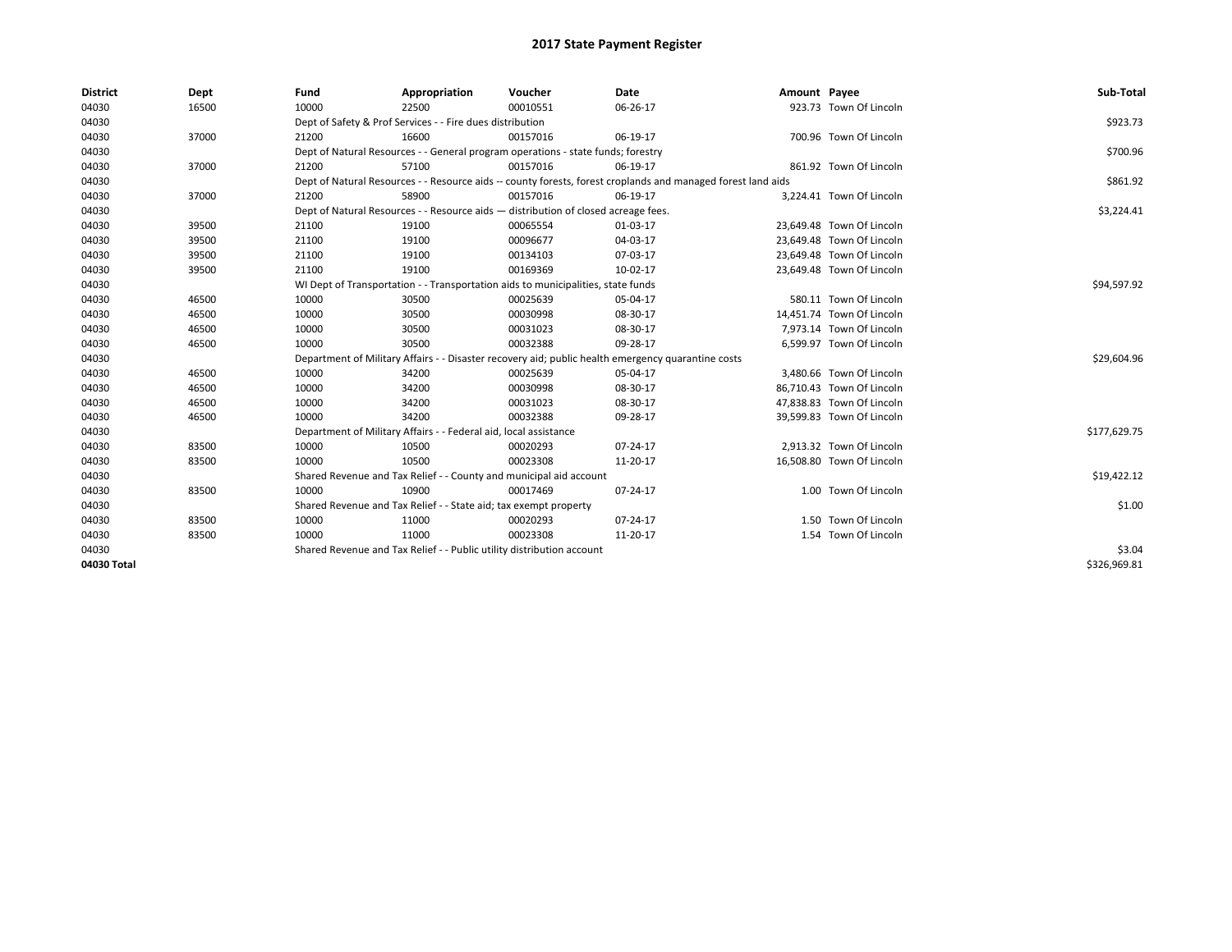| <b>District</b> | Dept  | Fund  | Appropriation                                                                      | Voucher  | Date                                                                                                         | Amount Payee |                           | Sub-Total    |
|-----------------|-------|-------|------------------------------------------------------------------------------------|----------|--------------------------------------------------------------------------------------------------------------|--------------|---------------------------|--------------|
| 04030           | 16500 | 10000 | 22500                                                                              | 00010551 | 06-26-17                                                                                                     |              | 923.73 Town Of Lincoln    |              |
| 04030           |       |       | Dept of Safety & Prof Services - - Fire dues distribution                          |          |                                                                                                              |              |                           | \$923.73     |
| 04030           | 37000 | 21200 | 16600                                                                              | 00157016 | 06-19-17                                                                                                     |              | 700.96 Town Of Lincoln    |              |
| 04030           |       |       | Dept of Natural Resources - - General program operations - state funds; forestry   |          |                                                                                                              |              |                           | \$700.96     |
| 04030           | 37000 | 21200 | 57100                                                                              | 00157016 | 06-19-17                                                                                                     |              | 861.92 Town Of Lincoln    |              |
| 04030           |       |       |                                                                                    |          | Dept of Natural Resources - - Resource aids -- county forests, forest croplands and managed forest land aids |              |                           | \$861.92     |
| 04030           | 37000 | 21200 | 58900                                                                              | 00157016 | 06-19-17                                                                                                     |              | 3,224.41 Town Of Lincoln  |              |
| 04030           |       |       | Dept of Natural Resources - - Resource aids - distribution of closed acreage fees. |          |                                                                                                              |              |                           | \$3,224.41   |
| 04030           | 39500 | 21100 | 19100                                                                              | 00065554 | 01-03-17                                                                                                     |              | 23,649.48 Town Of Lincoln |              |
| 04030           | 39500 | 21100 | 19100                                                                              | 00096677 | 04-03-17                                                                                                     |              | 23,649.48 Town Of Lincoln |              |
| 04030           | 39500 | 21100 | 19100                                                                              | 00134103 | 07-03-17                                                                                                     |              | 23,649.48 Town Of Lincoln |              |
| 04030           | 39500 | 21100 | 19100                                                                              | 00169369 | 10-02-17                                                                                                     |              | 23,649.48 Town Of Lincoln |              |
| 04030           |       |       | WI Dept of Transportation - - Transportation aids to municipalities, state funds   |          |                                                                                                              |              |                           | \$94,597.92  |
| 04030           | 46500 | 10000 | 30500                                                                              | 00025639 | 05-04-17                                                                                                     |              | 580.11 Town Of Lincoln    |              |
| 04030           | 46500 | 10000 | 30500                                                                              | 00030998 | 08-30-17                                                                                                     |              | 14,451.74 Town Of Lincoln |              |
| 04030           | 46500 | 10000 | 30500                                                                              | 00031023 | 08-30-17                                                                                                     |              | 7,973.14 Town Of Lincoln  |              |
| 04030           | 46500 | 10000 | 30500                                                                              | 00032388 | 09-28-17                                                                                                     |              | 6,599.97 Town Of Lincoln  |              |
| 04030           |       |       |                                                                                    |          | Department of Military Affairs - - Disaster recovery aid; public health emergency quarantine costs           |              |                           | \$29,604.96  |
| 04030           | 46500 | 10000 | 34200                                                                              | 00025639 | 05-04-17                                                                                                     |              | 3,480.66 Town Of Lincoln  |              |
| 04030           | 46500 | 10000 | 34200                                                                              | 00030998 | 08-30-17                                                                                                     |              | 86,710.43 Town Of Lincoln |              |
| 04030           | 46500 | 10000 | 34200                                                                              | 00031023 | 08-30-17                                                                                                     |              | 47,838.83 Town Of Lincoln |              |
| 04030           | 46500 | 10000 | 34200                                                                              | 00032388 | 09-28-17                                                                                                     |              | 39,599.83 Town Of Lincoln |              |
| 04030           |       |       | Department of Military Affairs - - Federal aid, local assistance                   |          |                                                                                                              |              |                           | \$177,629.75 |
| 04030           | 83500 | 10000 | 10500                                                                              | 00020293 | 07-24-17                                                                                                     |              | 2,913.32 Town Of Lincoln  |              |
| 04030           | 83500 | 10000 | 10500                                                                              | 00023308 | 11-20-17                                                                                                     |              | 16,508.80 Town Of Lincoln |              |
| 04030           |       |       | Shared Revenue and Tax Relief - - County and municipal aid account                 |          |                                                                                                              |              |                           | \$19,422.12  |
| 04030           | 83500 | 10000 | 10900                                                                              | 00017469 | 07-24-17                                                                                                     |              | 1.00 Town Of Lincoln      |              |
| 04030           |       |       | Shared Revenue and Tax Relief - - State aid; tax exempt property                   |          |                                                                                                              |              |                           | \$1.00       |
| 04030           | 83500 | 10000 | 11000                                                                              | 00020293 | 07-24-17                                                                                                     |              | 1.50 Town Of Lincoln      |              |
| 04030           | 83500 | 10000 | 11000                                                                              | 00023308 | 11-20-17                                                                                                     |              | 1.54 Town Of Lincoln      |              |
| 04030           |       |       | Shared Revenue and Tax Relief - - Public utility distribution account              |          |                                                                                                              |              |                           | \$3.04       |
| 04030 Total     |       |       |                                                                                    |          |                                                                                                              |              |                           | \$326.969.81 |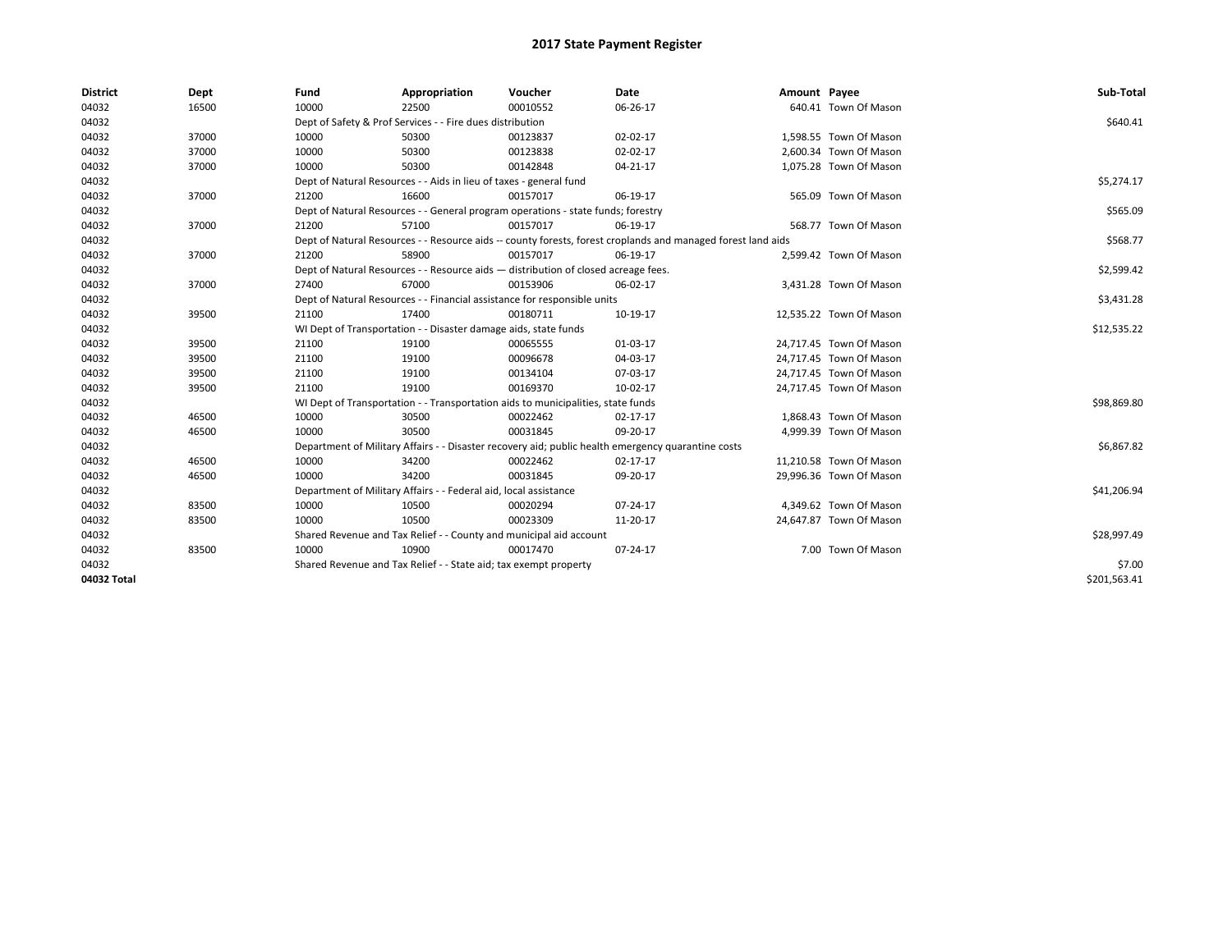| <b>District</b> | Dept  | Fund  | Appropriation                                                                      | Voucher  | Date                                                                                                         | Amount Payee |                         | Sub-Total    |
|-----------------|-------|-------|------------------------------------------------------------------------------------|----------|--------------------------------------------------------------------------------------------------------------|--------------|-------------------------|--------------|
| 04032           | 16500 | 10000 | 22500                                                                              | 00010552 | 06-26-17                                                                                                     |              | 640.41 Town Of Mason    |              |
| 04032           |       |       | Dept of Safety & Prof Services - - Fire dues distribution                          |          |                                                                                                              |              |                         | \$640.41     |
| 04032           | 37000 | 10000 | 50300                                                                              | 00123837 | 02-02-17                                                                                                     |              | 1,598.55 Town Of Mason  |              |
| 04032           | 37000 | 10000 | 50300                                                                              | 00123838 | 02-02-17                                                                                                     |              | 2,600.34 Town Of Mason  |              |
| 04032           | 37000 | 10000 | 50300                                                                              | 00142848 | 04-21-17                                                                                                     |              | 1,075.28 Town Of Mason  |              |
| 04032           |       |       | Dept of Natural Resources - - Aids in lieu of taxes - general fund                 |          |                                                                                                              |              |                         | \$5,274.17   |
| 04032           | 37000 | 21200 | 16600                                                                              | 00157017 | 06-19-17                                                                                                     |              | 565.09 Town Of Mason    |              |
| 04032           |       |       | Dept of Natural Resources - - General program operations - state funds; forestry   |          |                                                                                                              |              |                         | \$565.09     |
| 04032           | 37000 | 21200 | 57100                                                                              | 00157017 | 06-19-17                                                                                                     |              | 568.77 Town Of Mason    |              |
| 04032           |       |       |                                                                                    |          | Dept of Natural Resources - - Resource aids -- county forests, forest croplands and managed forest land aids |              |                         | \$568.77     |
| 04032           | 37000 | 21200 | 58900                                                                              | 00157017 | 06-19-17                                                                                                     |              | 2,599.42 Town Of Mason  |              |
| 04032           |       |       | Dept of Natural Resources - - Resource aids - distribution of closed acreage fees. |          |                                                                                                              |              |                         | \$2,599.42   |
| 04032           | 37000 | 27400 | 67000                                                                              | 00153906 | 06-02-17                                                                                                     |              | 3,431.28 Town Of Mason  |              |
| 04032           |       |       | Dept of Natural Resources - - Financial assistance for responsible units           |          |                                                                                                              |              |                         | \$3,431.28   |
| 04032           | 39500 | 21100 | 17400                                                                              | 00180711 | 10-19-17                                                                                                     |              | 12,535.22 Town Of Mason |              |
| 04032           |       |       | WI Dept of Transportation - - Disaster damage aids, state funds                    |          |                                                                                                              |              |                         | \$12,535.22  |
| 04032           | 39500 | 21100 | 19100                                                                              | 00065555 | 01-03-17                                                                                                     |              | 24,717.45 Town Of Mason |              |
| 04032           | 39500 | 21100 | 19100                                                                              | 00096678 | 04-03-17                                                                                                     |              | 24,717.45 Town Of Mason |              |
| 04032           | 39500 | 21100 | 19100                                                                              | 00134104 | 07-03-17                                                                                                     |              | 24,717.45 Town Of Mason |              |
| 04032           | 39500 | 21100 | 19100                                                                              | 00169370 | 10-02-17                                                                                                     |              | 24,717.45 Town Of Mason |              |
| 04032           |       |       | WI Dept of Transportation - - Transportation aids to municipalities, state funds   |          |                                                                                                              |              |                         | \$98,869.80  |
| 04032           | 46500 | 10000 | 30500                                                                              | 00022462 | 02-17-17                                                                                                     |              | 1,868.43 Town Of Mason  |              |
| 04032           | 46500 | 10000 | 30500                                                                              | 00031845 | 09-20-17                                                                                                     |              | 4,999.39 Town Of Mason  |              |
| 04032           |       |       |                                                                                    |          | Department of Military Affairs - - Disaster recovery aid; public health emergency quarantine costs           |              |                         | \$6,867.82   |
| 04032           | 46500 | 10000 | 34200                                                                              | 00022462 | 02-17-17                                                                                                     |              | 11,210.58 Town Of Mason |              |
| 04032           | 46500 | 10000 | 34200                                                                              | 00031845 | 09-20-17                                                                                                     |              | 29,996.36 Town Of Mason |              |
| 04032           |       |       | Department of Military Affairs - - Federal aid, local assistance                   |          |                                                                                                              |              |                         | \$41,206.94  |
| 04032           | 83500 | 10000 | 10500                                                                              | 00020294 | 07-24-17                                                                                                     |              | 4,349.62 Town Of Mason  |              |
| 04032           | 83500 | 10000 | 10500                                                                              | 00023309 | 11-20-17                                                                                                     |              | 24,647.87 Town Of Mason |              |
| 04032           |       |       | Shared Revenue and Tax Relief - - County and municipal aid account                 |          |                                                                                                              |              |                         | \$28,997.49  |
| 04032           | 83500 | 10000 | 10900                                                                              | 00017470 | 07-24-17                                                                                                     |              | 7.00 Town Of Mason      |              |
| 04032           |       |       | Shared Revenue and Tax Relief - - State aid; tax exempt property                   |          |                                                                                                              |              |                         | \$7.00       |
| 04032 Total     |       |       |                                                                                    |          |                                                                                                              |              |                         | \$201,563.41 |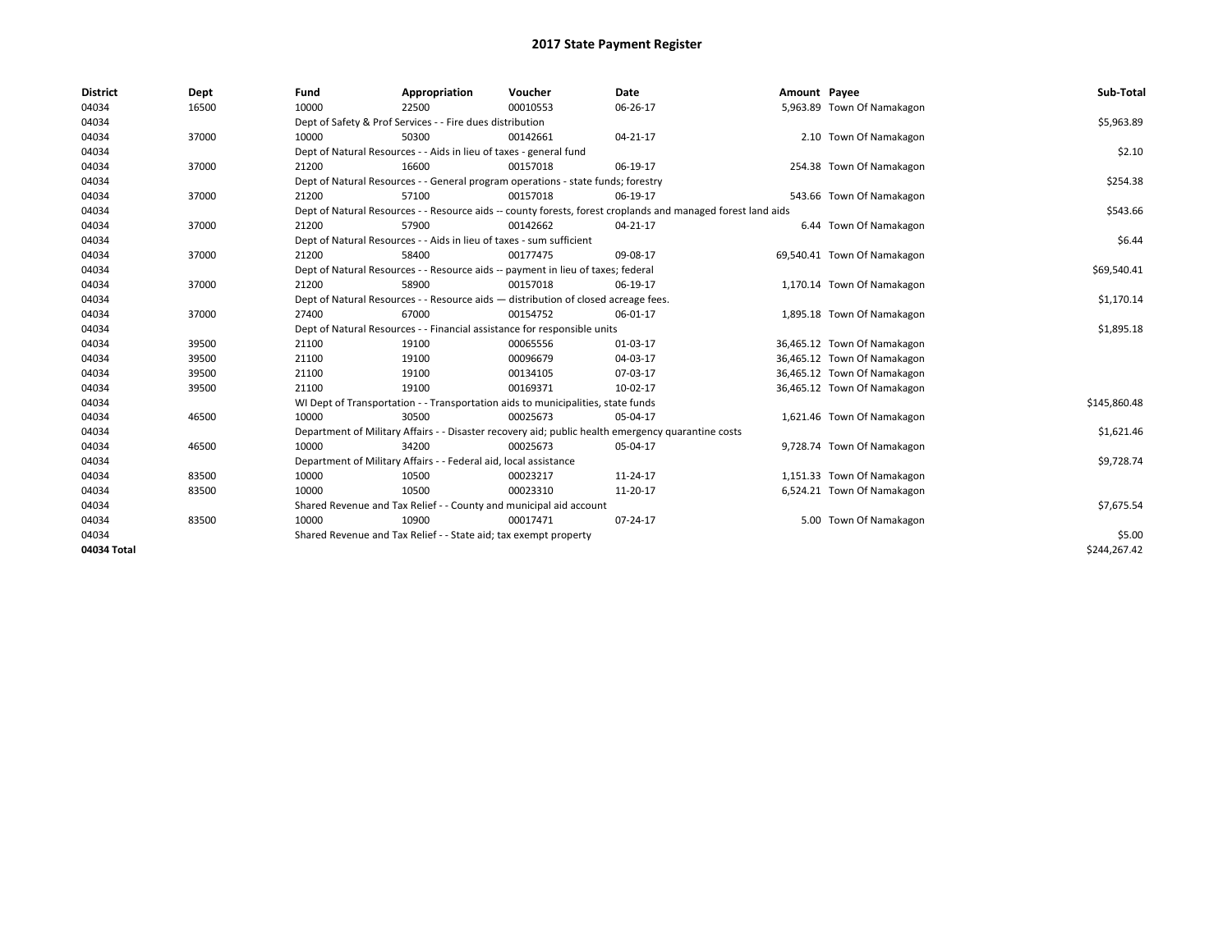| <b>District</b> | Dept  | Fund  | Appropriation                                                                                                | Voucher  | <b>Date</b> | Amount Payee |                             | Sub-Total    |
|-----------------|-------|-------|--------------------------------------------------------------------------------------------------------------|----------|-------------|--------------|-----------------------------|--------------|
| 04034           | 16500 | 10000 | 22500                                                                                                        | 00010553 | 06-26-17    |              | 5,963.89 Town Of Namakagon  |              |
| 04034           |       |       | Dept of Safety & Prof Services - - Fire dues distribution                                                    |          |             |              |                             | \$5,963.89   |
| 04034           | 37000 | 10000 | 50300                                                                                                        | 00142661 | 04-21-17    |              | 2.10 Town Of Namakagon      |              |
| 04034           |       |       | Dept of Natural Resources - - Aids in lieu of taxes - general fund                                           |          |             |              |                             | \$2.10       |
| 04034           | 37000 | 21200 | 16600                                                                                                        | 00157018 | 06-19-17    |              | 254.38 Town Of Namakagon    |              |
| 04034           |       |       | Dept of Natural Resources - - General program operations - state funds; forestry                             |          |             |              |                             | \$254.38     |
| 04034           | 37000 | 21200 | 57100                                                                                                        | 00157018 | 06-19-17    |              | 543.66 Town Of Namakagon    |              |
| 04034           |       |       | Dept of Natural Resources - - Resource aids -- county forests, forest croplands and managed forest land aids |          |             |              |                             | \$543.66     |
| 04034           | 37000 | 21200 | 57900                                                                                                        | 00142662 | 04-21-17    |              | 6.44 Town Of Namakagon      |              |
| 04034           |       |       | Dept of Natural Resources - - Aids in lieu of taxes - sum sufficient                                         |          |             |              |                             | \$6.44       |
| 04034           | 37000 | 21200 | 58400                                                                                                        | 00177475 | 09-08-17    |              | 69,540.41 Town Of Namakagon |              |
| 04034           |       |       | Dept of Natural Resources - - Resource aids -- payment in lieu of taxes; federal                             |          |             |              |                             | \$69,540.41  |
| 04034           | 37000 | 21200 | 58900                                                                                                        | 00157018 | 06-19-17    |              | 1,170.14 Town Of Namakagon  |              |
| 04034           |       |       | Dept of Natural Resources - - Resource aids - distribution of closed acreage fees.                           |          |             |              |                             | \$1,170.14   |
| 04034           | 37000 | 27400 | 67000                                                                                                        | 00154752 | 06-01-17    |              | 1,895.18 Town Of Namakagon  |              |
| 04034           |       |       | Dept of Natural Resources - - Financial assistance for responsible units                                     |          |             |              |                             | \$1,895.18   |
| 04034           | 39500 | 21100 | 19100                                                                                                        | 00065556 | 01-03-17    |              | 36,465.12 Town Of Namakagon |              |
| 04034           | 39500 | 21100 | 19100                                                                                                        | 00096679 | 04-03-17    |              | 36,465.12 Town Of Namakagon |              |
| 04034           | 39500 | 21100 | 19100                                                                                                        | 00134105 | 07-03-17    |              | 36,465.12 Town Of Namakagon |              |
| 04034           | 39500 | 21100 | 19100                                                                                                        | 00169371 | 10-02-17    |              | 36,465.12 Town Of Namakagon |              |
| 04034           |       |       | WI Dept of Transportation - - Transportation aids to municipalities, state funds                             |          |             |              |                             | \$145,860.48 |
| 04034           | 46500 | 10000 | 30500                                                                                                        | 00025673 | 05-04-17    |              | 1,621.46 Town Of Namakagon  |              |
| 04034           |       |       | Department of Military Affairs - - Disaster recovery aid; public health emergency quarantine costs           |          |             |              |                             | \$1,621.46   |
| 04034           | 46500 | 10000 | 34200                                                                                                        | 00025673 | 05-04-17    |              | 9,728.74 Town Of Namakagon  |              |
| 04034           |       |       | Department of Military Affairs - - Federal aid, local assistance                                             |          |             |              |                             | \$9,728.74   |
| 04034           | 83500 | 10000 | 10500                                                                                                        | 00023217 | 11-24-17    |              | 1,151.33 Town Of Namakagon  |              |
| 04034           | 83500 | 10000 | 10500                                                                                                        | 00023310 | 11-20-17    |              | 6,524.21 Town Of Namakagon  |              |
| 04034           |       |       | Shared Revenue and Tax Relief - - County and municipal aid account                                           |          |             |              |                             | \$7,675.54   |
| 04034           | 83500 | 10000 | 10900                                                                                                        | 00017471 | 07-24-17    |              | 5.00 Town Of Namakagon      |              |
| 04034           |       |       | Shared Revenue and Tax Relief - - State aid; tax exempt property                                             |          |             |              |                             | \$5.00       |
| 04034 Total     |       |       |                                                                                                              |          |             |              |                             | \$244.267.42 |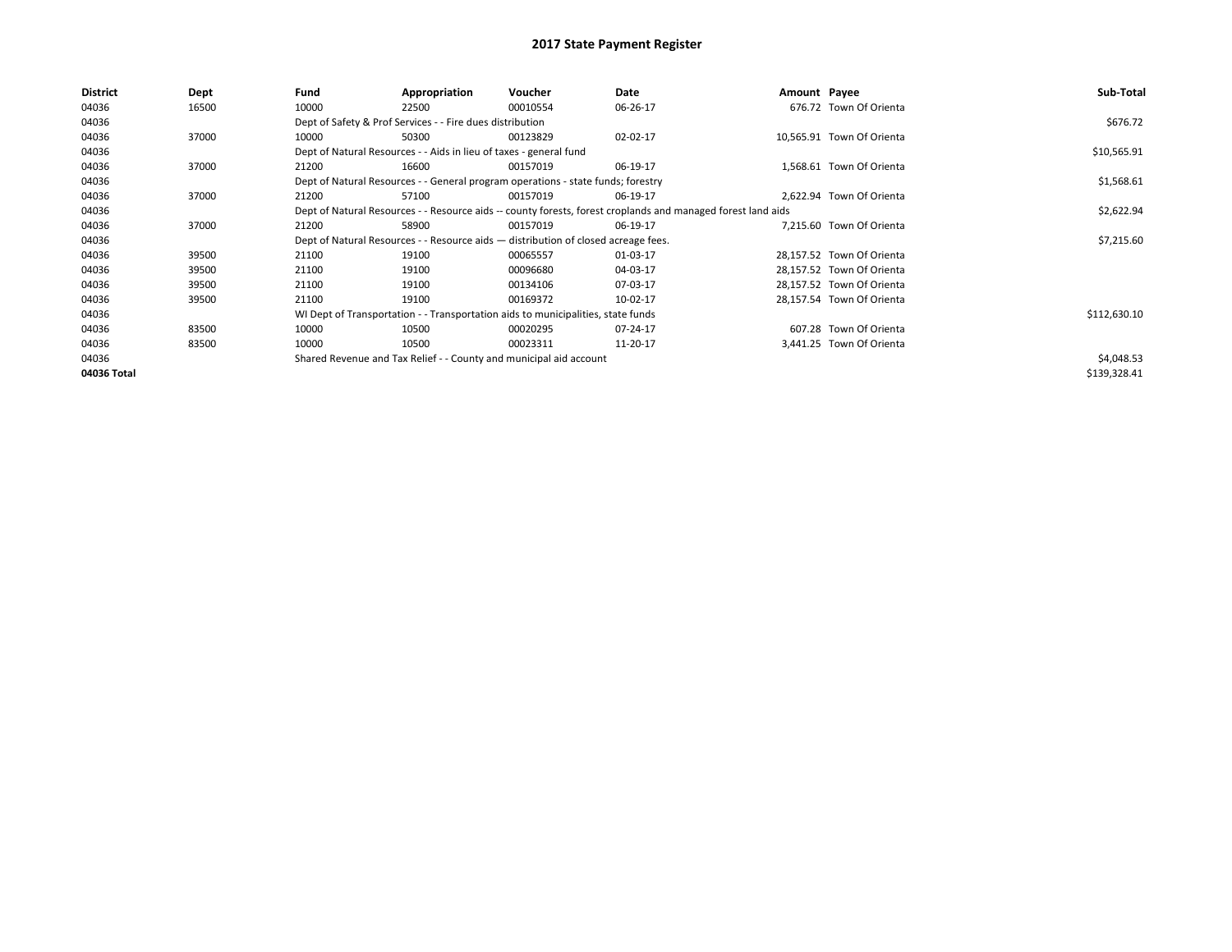| District    | Dept  | Fund  | Appropriation                                                                                                | Voucher  | Date     | Amount Payee |                           | Sub-Total    |
|-------------|-------|-------|--------------------------------------------------------------------------------------------------------------|----------|----------|--------------|---------------------------|--------------|
| 04036       | 16500 | 10000 | 22500                                                                                                        | 00010554 | 06-26-17 |              | 676.72 Town Of Orienta    |              |
| 04036       |       |       | Dept of Safety & Prof Services - - Fire dues distribution                                                    |          |          |              |                           | \$676.72     |
| 04036       | 37000 | 10000 | 50300                                                                                                        | 00123829 | 02-02-17 |              | 10,565.91 Town Of Orienta |              |
| 04036       |       |       | Dept of Natural Resources - - Aids in lieu of taxes - general fund                                           |          |          |              |                           | \$10,565.91  |
| 04036       | 37000 | 21200 | 16600                                                                                                        | 00157019 | 06-19-17 |              | 1,568.61 Town Of Orienta  |              |
| 04036       |       |       | Dept of Natural Resources - - General program operations - state funds; forestry                             |          |          |              |                           | \$1,568.61   |
| 04036       | 37000 | 21200 | 57100                                                                                                        | 00157019 | 06-19-17 |              | 2.622.94 Town Of Orienta  |              |
| 04036       |       |       | Dept of Natural Resources - - Resource aids -- county forests, forest croplands and managed forest land aids |          |          |              |                           | \$2,622.94   |
| 04036       | 37000 | 21200 | 58900                                                                                                        | 00157019 | 06-19-17 |              | 7,215.60 Town Of Orienta  |              |
| 04036       |       |       | Dept of Natural Resources - - Resource aids - distribution of closed acreage fees.                           |          |          |              |                           | \$7,215.60   |
| 04036       | 39500 | 21100 | 19100                                                                                                        | 00065557 | 01-03-17 |              | 28,157.52 Town Of Orienta |              |
| 04036       | 39500 | 21100 | 19100                                                                                                        | 00096680 | 04-03-17 |              | 28,157.52 Town Of Orienta |              |
| 04036       | 39500 | 21100 | 19100                                                                                                        | 00134106 | 07-03-17 |              | 28,157.52 Town Of Orienta |              |
| 04036       | 39500 | 21100 | 19100                                                                                                        | 00169372 | 10-02-17 |              | 28,157.54 Town Of Orienta |              |
| 04036       |       |       | WI Dept of Transportation - - Transportation aids to municipalities, state funds                             |          |          |              |                           | \$112,630.10 |
| 04036       | 83500 | 10000 | 10500                                                                                                        | 00020295 | 07-24-17 |              | 607.28 Town Of Orienta    |              |
| 04036       | 83500 | 10000 | 10500                                                                                                        | 00023311 | 11-20-17 |              | 3,441.25 Town Of Orienta  |              |
| 04036       |       |       | Shared Revenue and Tax Relief - - County and municipal aid account                                           |          |          |              |                           | \$4,048.53   |
| 04036 Total |       |       |                                                                                                              |          |          |              |                           | \$139,328.41 |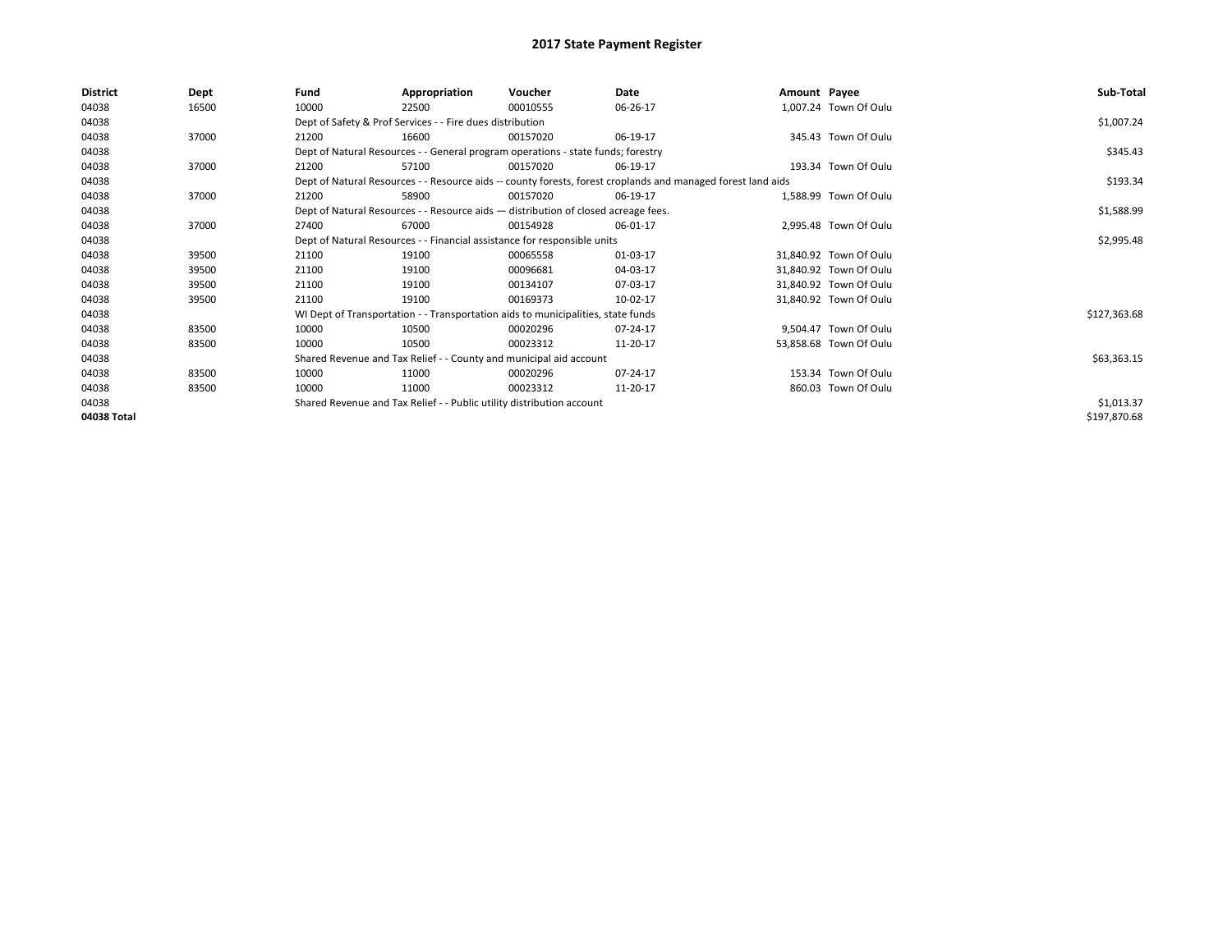| <b>District</b> | Dept  | Fund                                                                     | Appropriation                                                                      | Voucher    | Date                                                                                                         | Amount Payee |                        | Sub-Total    |
|-----------------|-------|--------------------------------------------------------------------------|------------------------------------------------------------------------------------|------------|--------------------------------------------------------------------------------------------------------------|--------------|------------------------|--------------|
| 04038           | 16500 | 10000                                                                    | 22500                                                                              | 00010555   | 06-26-17                                                                                                     |              | 1,007.24 Town Of Oulu  |              |
| 04038           |       |                                                                          | Dept of Safety & Prof Services - - Fire dues distribution                          |            |                                                                                                              |              |                        | \$1,007.24   |
| 04038           | 37000 | 21200                                                                    | 16600                                                                              | 00157020   | 06-19-17                                                                                                     |              | 345.43 Town Of Oulu    |              |
| 04038           |       |                                                                          | Dept of Natural Resources - - General program operations - state funds; forestry   |            |                                                                                                              |              |                        | \$345.43     |
| 04038           | 37000 | 21200                                                                    | 57100                                                                              | 00157020   | 06-19-17                                                                                                     |              | 193.34 Town Of Oulu    |              |
| 04038           |       |                                                                          |                                                                                    |            | Dept of Natural Resources - - Resource aids -- county forests, forest croplands and managed forest land aids |              |                        | \$193.34     |
| 04038           | 37000 | 21200                                                                    | 58900                                                                              | 00157020   | 06-19-17                                                                                                     |              | 1,588.99 Town Of Oulu  |              |
| 04038           |       |                                                                          | Dept of Natural Resources - - Resource aids - distribution of closed acreage fees. |            |                                                                                                              |              |                        | \$1,588.99   |
| 04038           | 37000 | 27400                                                                    | 67000                                                                              | 00154928   | 06-01-17                                                                                                     |              | 2,995.48 Town Of Oulu  |              |
| 04038           |       | Dept of Natural Resources - - Financial assistance for responsible units |                                                                                    | \$2,995.48 |                                                                                                              |              |                        |              |
| 04038           | 39500 | 21100                                                                    | 19100                                                                              | 00065558   | 01-03-17                                                                                                     |              | 31,840.92 Town Of Oulu |              |
| 04038           | 39500 | 21100                                                                    | 19100                                                                              | 00096681   | 04-03-17                                                                                                     |              | 31,840.92 Town Of Oulu |              |
| 04038           | 39500 | 21100                                                                    | 19100                                                                              | 00134107   | 07-03-17                                                                                                     |              | 31,840.92 Town Of Oulu |              |
| 04038           | 39500 | 21100                                                                    | 19100                                                                              | 00169373   | 10-02-17                                                                                                     |              | 31,840.92 Town Of Oulu |              |
| 04038           |       |                                                                          | WI Dept of Transportation - - Transportation aids to municipalities, state funds   |            |                                                                                                              |              |                        | \$127,363.68 |
| 04038           | 83500 | 10000                                                                    | 10500                                                                              | 00020296   | 07-24-17                                                                                                     |              | 9,504.47 Town Of Oulu  |              |
| 04038           | 83500 | 10000                                                                    | 10500                                                                              | 00023312   | 11-20-17                                                                                                     |              | 53,858.68 Town Of Oulu |              |
| 04038           |       |                                                                          | Shared Revenue and Tax Relief - - County and municipal aid account                 |            |                                                                                                              |              |                        | \$63,363.15  |
| 04038           | 83500 | 10000                                                                    | 11000                                                                              | 00020296   | 07-24-17                                                                                                     |              | 153.34 Town Of Oulu    |              |
| 04038           | 83500 | 10000                                                                    | 11000                                                                              | 00023312   | 11-20-17                                                                                                     |              | 860.03 Town Of Oulu    |              |
| 04038           |       |                                                                          | Shared Revenue and Tax Relief - - Public utility distribution account              |            |                                                                                                              |              |                        | \$1,013.37   |
| 04038 Total     |       |                                                                          |                                                                                    |            |                                                                                                              |              |                        | \$197,870.68 |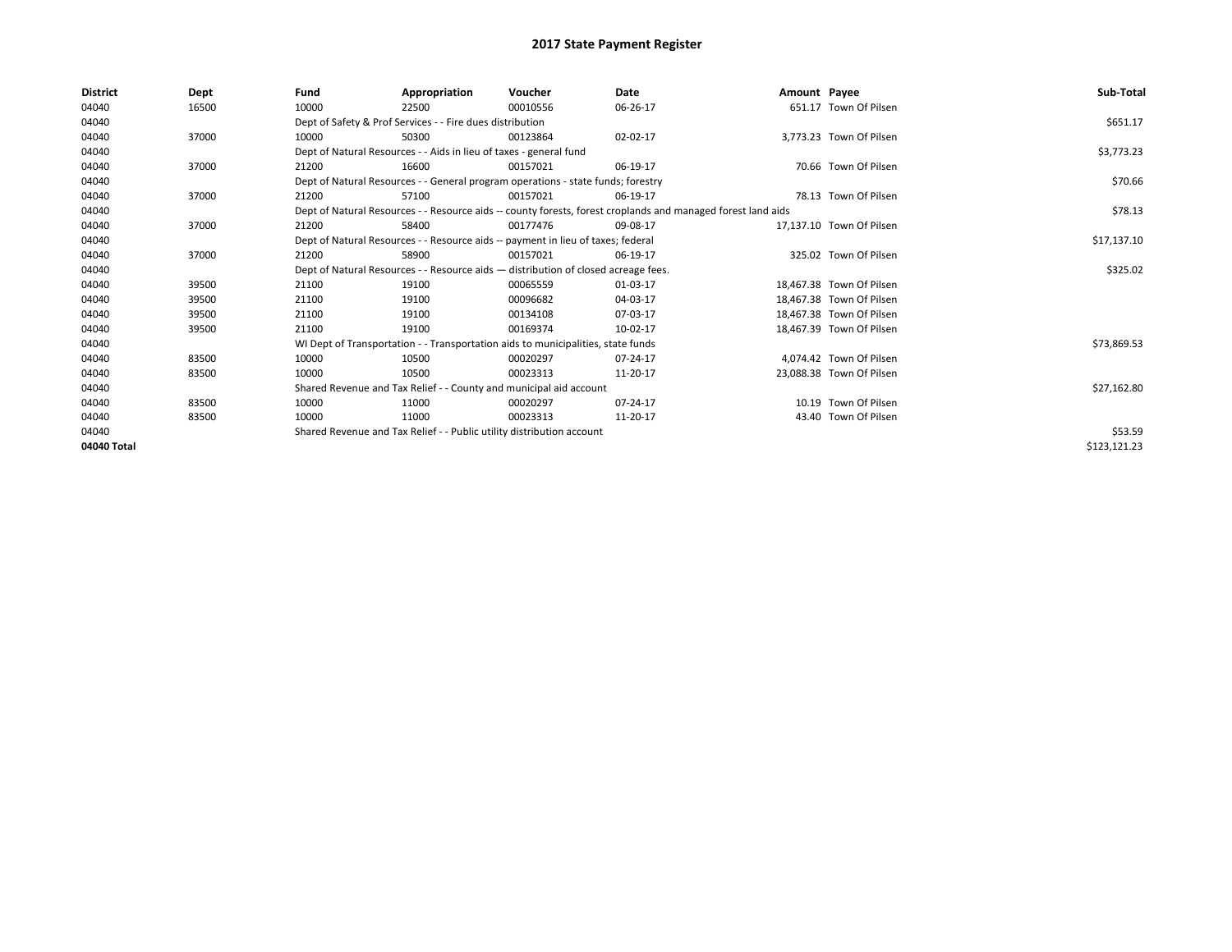| <b>District</b> | Dept  | Fund  | Appropriation                                                         | Voucher                                                                            | Date                                                                                                         | Amount Payee |                          | Sub-Total    |
|-----------------|-------|-------|-----------------------------------------------------------------------|------------------------------------------------------------------------------------|--------------------------------------------------------------------------------------------------------------|--------------|--------------------------|--------------|
| 04040           | 16500 | 10000 | 22500                                                                 | 00010556                                                                           | 06-26-17                                                                                                     |              | 651.17 Town Of Pilsen    |              |
| 04040           |       |       | Dept of Safety & Prof Services - - Fire dues distribution             |                                                                                    |                                                                                                              |              |                          | \$651.17     |
| 04040           | 37000 | 10000 | 50300                                                                 | 00123864                                                                           | 02-02-17                                                                                                     |              | 3,773.23 Town Of Pilsen  |              |
| 04040           |       |       | Dept of Natural Resources - - Aids in lieu of taxes - general fund    |                                                                                    |                                                                                                              |              |                          | \$3,773.23   |
| 04040           | 37000 | 21200 | 16600                                                                 | 00157021                                                                           | 06-19-17                                                                                                     |              | 70.66 Town Of Pilsen     |              |
| 04040           |       |       |                                                                       | Dept of Natural Resources - - General program operations - state funds; forestry   |                                                                                                              |              |                          | \$70.66      |
| 04040           | 37000 | 21200 | 57100                                                                 | 00157021                                                                           | 06-19-17                                                                                                     |              | 78.13 Town Of Pilsen     |              |
| 04040           |       |       |                                                                       |                                                                                    | Dept of Natural Resources - - Resource aids -- county forests, forest croplands and managed forest land aids |              |                          | \$78.13      |
| 04040           | 37000 | 21200 | 58400                                                                 | 00177476                                                                           | 09-08-17                                                                                                     |              | 17.137.10 Town Of Pilsen |              |
| 04040           |       |       |                                                                       | Dept of Natural Resources - - Resource aids -- payment in lieu of taxes; federal   |                                                                                                              |              |                          | \$17,137.10  |
| 04040           | 37000 | 21200 | 58900                                                                 | 00157021                                                                           | 06-19-17                                                                                                     |              | 325.02 Town Of Pilsen    |              |
| 04040           |       |       |                                                                       | Dept of Natural Resources - - Resource aids - distribution of closed acreage fees. |                                                                                                              |              |                          | \$325.02     |
| 04040           | 39500 | 21100 | 19100                                                                 | 00065559                                                                           | 01-03-17                                                                                                     |              | 18.467.38 Town Of Pilsen |              |
| 04040           | 39500 | 21100 | 19100                                                                 | 00096682                                                                           | 04-03-17                                                                                                     |              | 18,467.38 Town Of Pilsen |              |
| 04040           | 39500 | 21100 | 19100                                                                 | 00134108                                                                           | 07-03-17                                                                                                     |              | 18,467.38 Town Of Pilsen |              |
| 04040           | 39500 | 21100 | 19100                                                                 | 00169374                                                                           | 10-02-17                                                                                                     |              | 18,467.39 Town Of Pilsen |              |
| 04040           |       |       |                                                                       | WI Dept of Transportation - - Transportation aids to municipalities, state funds   |                                                                                                              |              |                          | \$73,869.53  |
| 04040           | 83500 | 10000 | 10500                                                                 | 00020297                                                                           | 07-24-17                                                                                                     |              | 4,074.42 Town Of Pilsen  |              |
| 04040           | 83500 | 10000 | 10500                                                                 | 00023313                                                                           | 11-20-17                                                                                                     |              | 23,088.38 Town Of Pilsen |              |
| 04040           |       |       | Shared Revenue and Tax Relief - - County and municipal aid account    |                                                                                    |                                                                                                              |              |                          | \$27,162.80  |
| 04040           | 83500 | 10000 | 11000                                                                 | 00020297                                                                           | $07 - 24 - 17$                                                                                               |              | 10.19 Town Of Pilsen     |              |
| 04040           | 83500 | 10000 | 11000                                                                 | 00023313                                                                           | 11-20-17                                                                                                     |              | 43.40 Town Of Pilsen     |              |
| 04040           |       |       | Shared Revenue and Tax Relief - - Public utility distribution account |                                                                                    |                                                                                                              |              |                          | \$53.59      |
| 04040 Total     |       |       |                                                                       |                                                                                    |                                                                                                              |              |                          | \$123,121.23 |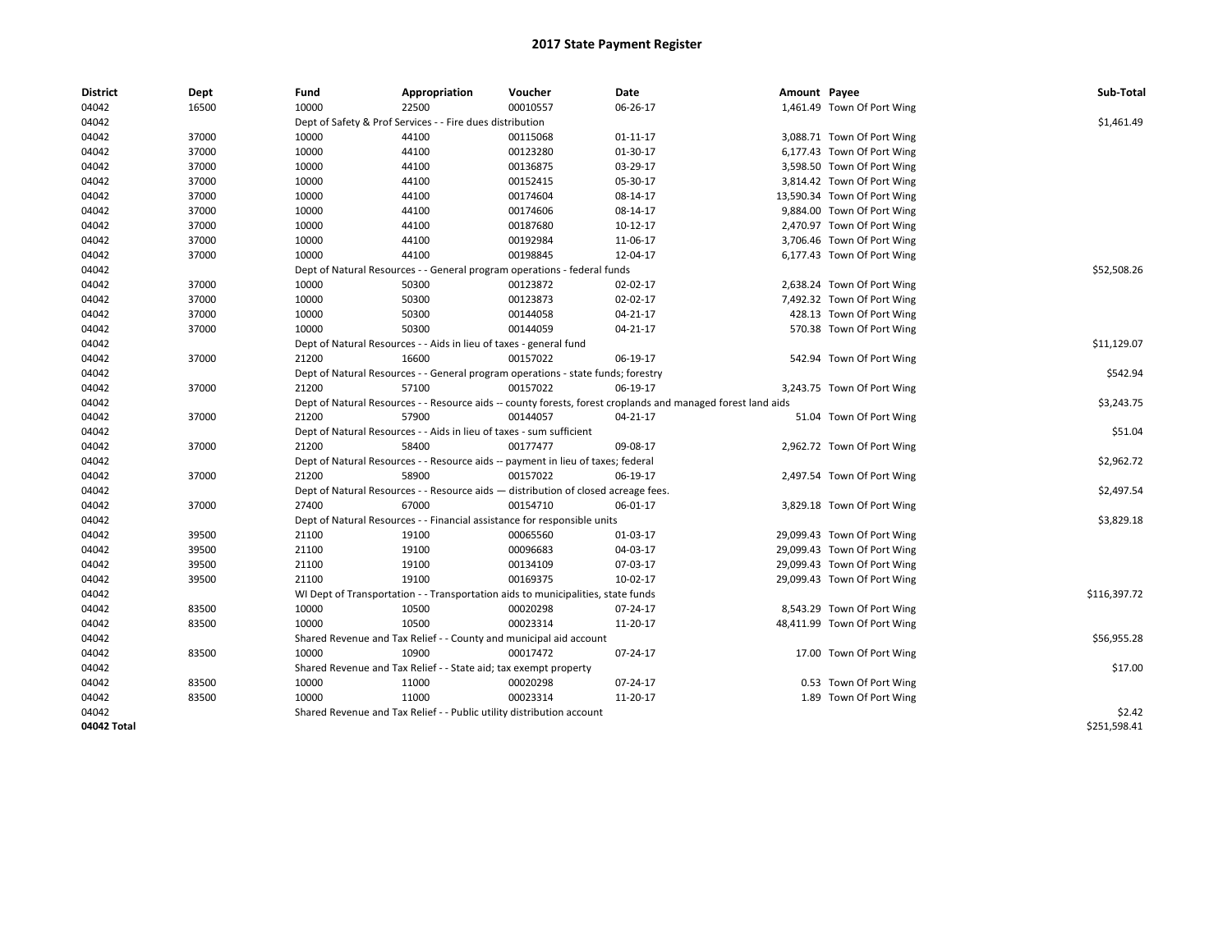| District    | Dept  | Fund  | Appropriation                                                                      | Voucher  | Date                                                                                                         | Amount Payee |                             | Sub-Total    |
|-------------|-------|-------|------------------------------------------------------------------------------------|----------|--------------------------------------------------------------------------------------------------------------|--------------|-----------------------------|--------------|
| 04042       | 16500 | 10000 | 22500                                                                              | 00010557 | 06-26-17                                                                                                     |              | 1,461.49 Town Of Port Wing  |              |
| 04042       |       |       | Dept of Safety & Prof Services - - Fire dues distribution                          |          |                                                                                                              |              |                             | \$1,461.49   |
| 04042       | 37000 | 10000 | 44100                                                                              | 00115068 | 01-11-17                                                                                                     |              | 3,088.71 Town Of Port Wing  |              |
| 04042       | 37000 | 10000 | 44100                                                                              | 00123280 | 01-30-17                                                                                                     |              | 6,177.43 Town Of Port Wing  |              |
| 04042       | 37000 | 10000 | 44100                                                                              | 00136875 | 03-29-17                                                                                                     |              | 3,598.50 Town Of Port Wing  |              |
| 04042       | 37000 | 10000 | 44100                                                                              | 00152415 | 05-30-17                                                                                                     |              | 3,814.42 Town Of Port Wing  |              |
| 04042       | 37000 | 10000 | 44100                                                                              | 00174604 | 08-14-17                                                                                                     |              | 13,590.34 Town Of Port Wing |              |
| 04042       | 37000 | 10000 | 44100                                                                              | 00174606 | 08-14-17                                                                                                     |              | 9,884.00 Town Of Port Wing  |              |
| 04042       | 37000 | 10000 | 44100                                                                              | 00187680 | $10-12-17$                                                                                                   |              | 2,470.97 Town Of Port Wing  |              |
| 04042       | 37000 | 10000 | 44100                                                                              | 00192984 | 11-06-17                                                                                                     |              | 3,706.46 Town Of Port Wing  |              |
| 04042       | 37000 | 10000 | 44100                                                                              | 00198845 | 12-04-17                                                                                                     |              | 6,177.43 Town Of Port Wing  |              |
| 04042       |       |       | Dept of Natural Resources - - General program operations - federal funds           |          |                                                                                                              |              |                             | \$52,508.26  |
| 04042       | 37000 | 10000 | 50300                                                                              | 00123872 | 02-02-17                                                                                                     |              | 2,638.24 Town Of Port Wing  |              |
| 04042       | 37000 | 10000 | 50300                                                                              | 00123873 | 02-02-17                                                                                                     |              | 7,492.32 Town Of Port Wing  |              |
| 04042       | 37000 | 10000 | 50300                                                                              | 00144058 | 04-21-17                                                                                                     |              | 428.13 Town Of Port Wing    |              |
| 04042       | 37000 | 10000 | 50300                                                                              | 00144059 | 04-21-17                                                                                                     |              | 570.38 Town Of Port Wing    |              |
| 04042       |       |       | Dept of Natural Resources - - Aids in lieu of taxes - general fund                 |          |                                                                                                              |              |                             | \$11,129.07  |
| 04042       | 37000 | 21200 | 16600                                                                              | 00157022 | 06-19-17                                                                                                     |              | 542.94 Town Of Port Wing    |              |
| 04042       |       |       | Dept of Natural Resources - - General program operations - state funds; forestry   |          |                                                                                                              |              |                             | \$542.94     |
| 04042       | 37000 | 21200 | 57100                                                                              | 00157022 | 06-19-17                                                                                                     |              | 3,243.75 Town Of Port Wing  |              |
| 04042       |       |       |                                                                                    |          | Dept of Natural Resources - - Resource aids -- county forests, forest croplands and managed forest land aids |              |                             | \$3,243.75   |
| 04042       | 37000 | 21200 | 57900                                                                              | 00144057 | 04-21-17                                                                                                     |              | 51.04 Town Of Port Wing     |              |
| 04042       |       |       | Dept of Natural Resources - - Aids in lieu of taxes - sum sufficient               |          |                                                                                                              |              |                             | \$51.04      |
| 04042       | 37000 | 21200 | 58400                                                                              | 00177477 | 09-08-17                                                                                                     |              | 2,962.72 Town Of Port Wing  |              |
| 04042       |       |       | Dept of Natural Resources - - Resource aids -- payment in lieu of taxes; federal   |          |                                                                                                              |              |                             | \$2,962.72   |
| 04042       | 37000 | 21200 | 58900                                                                              | 00157022 | 06-19-17                                                                                                     |              | 2,497.54 Town Of Port Wing  |              |
| 04042       |       |       | Dept of Natural Resources - - Resource aids - distribution of closed acreage fees. |          |                                                                                                              |              |                             | \$2,497.54   |
| 04042       | 37000 | 27400 | 67000                                                                              | 00154710 | 06-01-17                                                                                                     |              | 3,829.18 Town Of Port Wing  |              |
| 04042       |       |       | Dept of Natural Resources - - Financial assistance for responsible units           |          |                                                                                                              |              |                             | \$3,829.18   |
| 04042       | 39500 | 21100 | 19100                                                                              | 00065560 | 01-03-17                                                                                                     |              | 29,099.43 Town Of Port Wing |              |
| 04042       | 39500 | 21100 | 19100                                                                              | 00096683 | 04-03-17                                                                                                     |              | 29,099.43 Town Of Port Wing |              |
| 04042       | 39500 | 21100 | 19100                                                                              | 00134109 | 07-03-17                                                                                                     |              | 29,099.43 Town Of Port Wing |              |
| 04042       | 39500 | 21100 | 19100                                                                              | 00169375 | 10-02-17                                                                                                     |              | 29,099.43 Town Of Port Wing |              |
| 04042       |       |       | WI Dept of Transportation - - Transportation aids to municipalities, state funds   |          |                                                                                                              |              |                             | \$116,397.72 |
| 04042       | 83500 | 10000 | 10500                                                                              | 00020298 | 07-24-17                                                                                                     |              | 8,543.29 Town Of Port Wing  |              |
| 04042       | 83500 | 10000 | 10500                                                                              | 00023314 | 11-20-17                                                                                                     |              | 48,411.99 Town Of Port Wing |              |
| 04042       |       |       | Shared Revenue and Tax Relief - - County and municipal aid account                 |          |                                                                                                              |              |                             | \$56,955.28  |
| 04042       | 83500 | 10000 | 10900                                                                              | 00017472 | 07-24-17                                                                                                     |              | 17.00 Town Of Port Wing     |              |
| 04042       |       |       | Shared Revenue and Tax Relief - - State aid; tax exempt property                   |          |                                                                                                              |              |                             | \$17.00      |
| 04042       | 83500 | 10000 | 11000                                                                              | 00020298 | 07-24-17                                                                                                     |              | 0.53 Town Of Port Wing      |              |
| 04042       | 83500 | 10000 | 11000                                                                              | 00023314 | 11-20-17                                                                                                     |              | 1.89 Town Of Port Wing      |              |
| 04042       |       |       | Shared Revenue and Tax Relief - - Public utility distribution account              |          |                                                                                                              |              |                             | \$2.42       |
| 04042 Total |       |       |                                                                                    |          |                                                                                                              |              |                             | \$251,598.41 |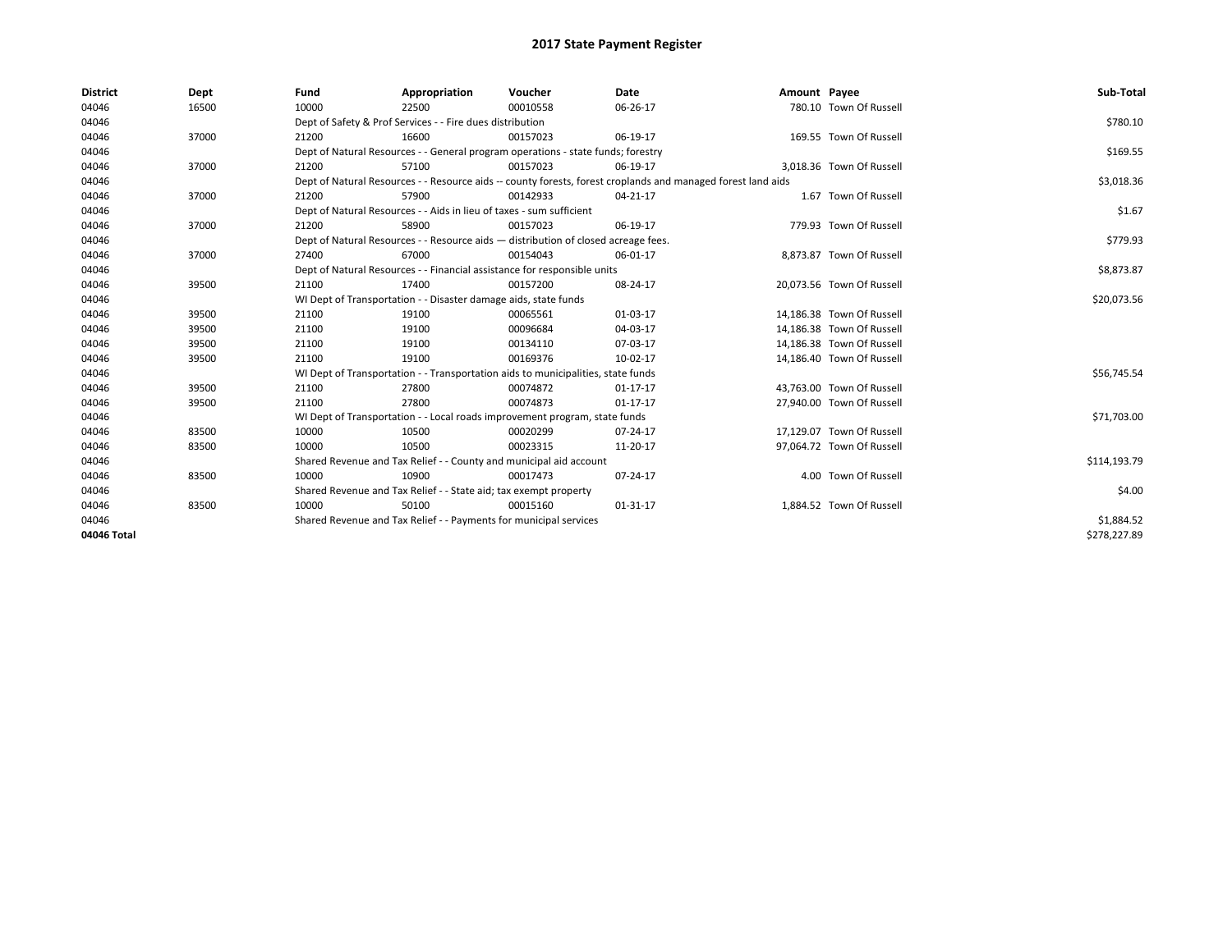| <b>District</b> | Dept  | Fund                                                            | Appropriation                                                                      | Voucher     | Date                                                                                                         | Amount Payee |                           | Sub-Total    |  |  |
|-----------------|-------|-----------------------------------------------------------------|------------------------------------------------------------------------------------|-------------|--------------------------------------------------------------------------------------------------------------|--------------|---------------------------|--------------|--|--|
| 04046           | 16500 | 10000                                                           | 22500                                                                              | 00010558    | 06-26-17                                                                                                     |              | 780.10 Town Of Russell    |              |  |  |
| 04046           |       |                                                                 | Dept of Safety & Prof Services - - Fire dues distribution                          |             |                                                                                                              |              |                           | \$780.10     |  |  |
| 04046           | 37000 | 21200                                                           | 16600                                                                              | 00157023    | 06-19-17                                                                                                     |              | 169.55 Town Of Russell    |              |  |  |
| 04046           |       |                                                                 | Dept of Natural Resources - - General program operations - state funds; forestry   |             |                                                                                                              |              |                           |              |  |  |
| 04046           | 37000 | 21200                                                           | 57100                                                                              | 00157023    | 06-19-17                                                                                                     |              | 3,018.36 Town Of Russell  |              |  |  |
| 04046           |       |                                                                 |                                                                                    |             | Dept of Natural Resources - - Resource aids -- county forests, forest croplands and managed forest land aids |              |                           | \$3,018.36   |  |  |
| 04046           | 37000 | 21200                                                           | 57900                                                                              | 00142933    | 04-21-17                                                                                                     |              | 1.67 Town Of Russell      |              |  |  |
| 04046           |       |                                                                 | Dept of Natural Resources - - Aids in lieu of taxes - sum sufficient               |             |                                                                                                              |              |                           | \$1.67       |  |  |
| 04046           | 37000 | 21200                                                           | 58900                                                                              | 00157023    | 06-19-17                                                                                                     |              | 779.93 Town Of Russell    |              |  |  |
| 04046           |       |                                                                 | Dept of Natural Resources - - Resource aids - distribution of closed acreage fees. |             |                                                                                                              |              |                           | \$779.93     |  |  |
| 04046           | 37000 | 27400                                                           | 67000                                                                              | 00154043    | 06-01-17                                                                                                     |              | 8,873.87 Town Of Russell  |              |  |  |
| 04046           |       |                                                                 | Dept of Natural Resources - - Financial assistance for responsible units           |             |                                                                                                              |              |                           | \$8,873.87   |  |  |
| 04046           | 39500 | 21100                                                           | 17400                                                                              | 00157200    | 08-24-17                                                                                                     |              | 20.073.56 Town Of Russell |              |  |  |
| 04046           |       | WI Dept of Transportation - - Disaster damage aids, state funds |                                                                                    | \$20,073.56 |                                                                                                              |              |                           |              |  |  |
| 04046           | 39500 | 21100                                                           | 19100                                                                              | 00065561    | 01-03-17                                                                                                     |              | 14,186.38 Town Of Russell |              |  |  |
| 04046           | 39500 | 21100                                                           | 19100                                                                              | 00096684    | 04-03-17                                                                                                     |              | 14,186.38 Town Of Russell |              |  |  |
| 04046           | 39500 | 21100                                                           | 19100                                                                              | 00134110    | 07-03-17                                                                                                     |              | 14,186.38 Town Of Russell |              |  |  |
| 04046           | 39500 | 21100                                                           | 19100                                                                              | 00169376    | 10-02-17                                                                                                     |              | 14,186.40 Town Of Russell |              |  |  |
| 04046           |       |                                                                 | WI Dept of Transportation - - Transportation aids to municipalities, state funds   |             |                                                                                                              |              |                           | \$56,745.54  |  |  |
| 04046           | 39500 | 21100                                                           | 27800                                                                              | 00074872    | $01 - 17 - 17$                                                                                               |              | 43,763.00 Town Of Russell |              |  |  |
| 04046           | 39500 | 21100                                                           | 27800                                                                              | 00074873    | $01 - 17 - 17$                                                                                               |              | 27,940.00 Town Of Russell |              |  |  |
| 04046           |       |                                                                 | WI Dept of Transportation - - Local roads improvement program, state funds         |             |                                                                                                              |              |                           | \$71,703.00  |  |  |
| 04046           | 83500 | 10000                                                           | 10500                                                                              | 00020299    | 07-24-17                                                                                                     |              | 17,129.07 Town Of Russell |              |  |  |
| 04046           | 83500 | 10000                                                           | 10500                                                                              | 00023315    | 11-20-17                                                                                                     |              | 97,064.72 Town Of Russell |              |  |  |
| 04046           |       |                                                                 | Shared Revenue and Tax Relief - - County and municipal aid account                 |             |                                                                                                              |              |                           | \$114,193.79 |  |  |
| 04046           | 83500 | 10000                                                           | 10900                                                                              | 00017473    | 07-24-17                                                                                                     |              | 4.00 Town Of Russell      |              |  |  |
| 04046           |       |                                                                 | Shared Revenue and Tax Relief - - State aid; tax exempt property                   |             |                                                                                                              |              |                           | \$4.00       |  |  |
| 04046           | 83500 | 10000                                                           | 50100                                                                              | 00015160    | 01-31-17                                                                                                     |              | 1,884.52 Town Of Russell  |              |  |  |
| 04046           |       |                                                                 | Shared Revenue and Tax Relief - - Payments for municipal services                  |             |                                                                                                              |              |                           | \$1,884.52   |  |  |
| 04046 Total     |       |                                                                 |                                                                                    |             |                                                                                                              |              |                           | \$278,227.89 |  |  |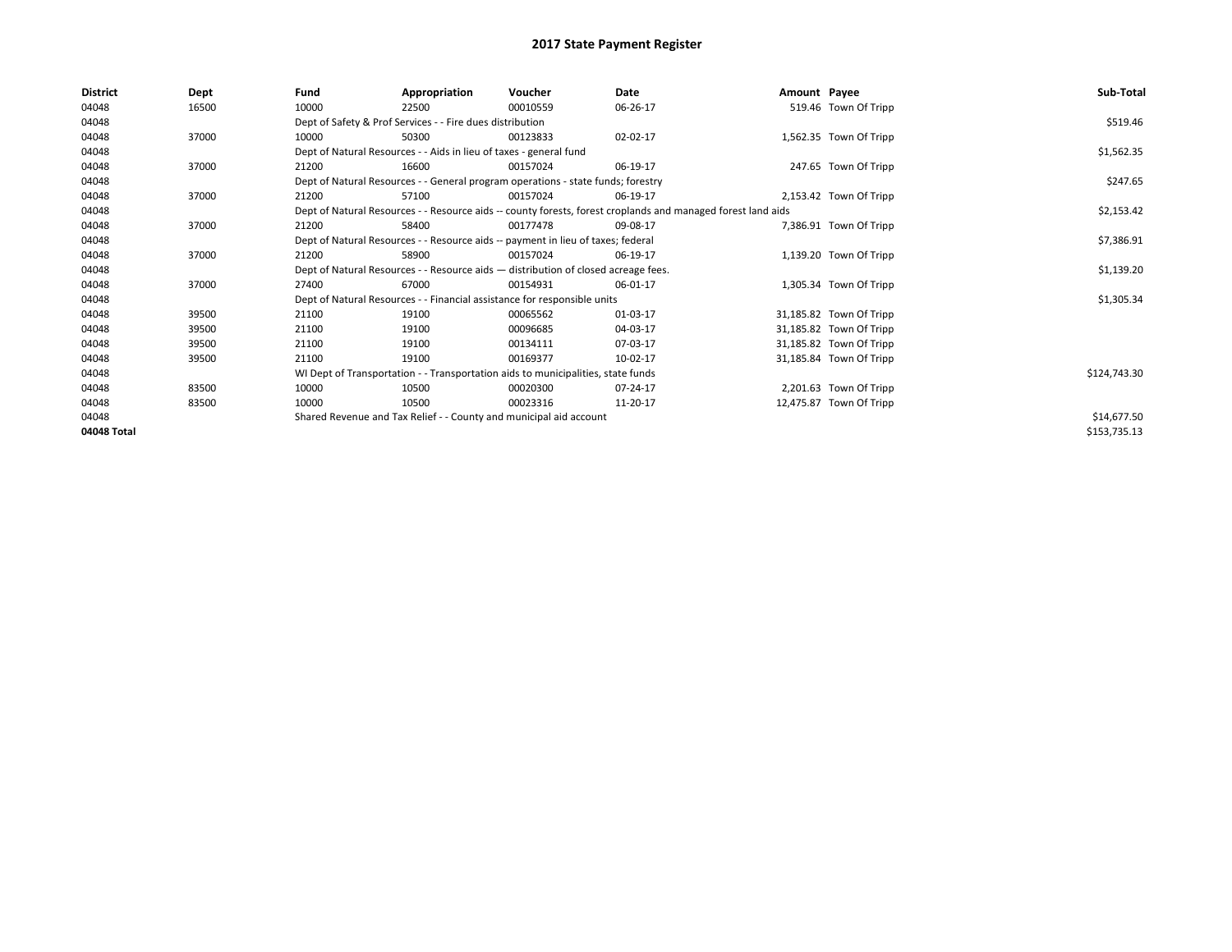| <b>District</b> | Dept  | Fund                                                                               | Appropriation                                                                                                | Voucher    | Date       | Amount Payee |                         | Sub-Total    |  |  |
|-----------------|-------|------------------------------------------------------------------------------------|--------------------------------------------------------------------------------------------------------------|------------|------------|--------------|-------------------------|--------------|--|--|
| 04048           | 16500 | 10000                                                                              | 22500                                                                                                        | 00010559   | 06-26-17   |              | 519.46 Town Of Tripp    |              |  |  |
| 04048           |       |                                                                                    | Dept of Safety & Prof Services - - Fire dues distribution                                                    |            |            |              |                         | \$519.46     |  |  |
| 04048           | 37000 | 10000                                                                              | 50300                                                                                                        | 00123833   | 02-02-17   |              | 1,562.35 Town Of Tripp  |              |  |  |
| 04048           |       |                                                                                    | Dept of Natural Resources - - Aids in lieu of taxes - general fund                                           |            |            |              |                         |              |  |  |
| 04048           | 37000 | 21200                                                                              | 16600                                                                                                        | 00157024   | 06-19-17   |              | 247.65 Town Of Tripp    |              |  |  |
| 04048           |       |                                                                                    | Dept of Natural Resources - - General program operations - state funds; forestry                             |            |            |              |                         |              |  |  |
| 04048           | 37000 | 21200                                                                              | 57100                                                                                                        | 00157024   | 06-19-17   |              | 2,153.42 Town Of Tripp  |              |  |  |
| 04048           |       |                                                                                    | Dept of Natural Resources - - Resource aids -- county forests, forest croplands and managed forest land aids |            | \$2,153.42 |              |                         |              |  |  |
| 04048           | 37000 | 21200                                                                              | 58400                                                                                                        | 00177478   | 09-08-17   |              | 7,386.91 Town Of Tripp  |              |  |  |
| 04048           |       |                                                                                    | Dept of Natural Resources - - Resource aids -- payment in lieu of taxes; federal                             |            |            |              |                         |              |  |  |
| 04048           | 37000 | 21200                                                                              | 58900                                                                                                        | 00157024   | 06-19-17   |              | 1,139.20 Town Of Tripp  |              |  |  |
| 04048           |       | Dept of Natural Resources - - Resource aids - distribution of closed acreage fees. |                                                                                                              | \$1,139.20 |            |              |                         |              |  |  |
| 04048           | 37000 | 27400                                                                              | 67000                                                                                                        | 00154931   | 06-01-17   |              | 1,305.34 Town Of Tripp  |              |  |  |
| 04048           |       |                                                                                    | Dept of Natural Resources - - Financial assistance for responsible units                                     |            |            |              |                         | \$1,305.34   |  |  |
| 04048           | 39500 | 21100                                                                              | 19100                                                                                                        | 00065562   | 01-03-17   |              | 31,185.82 Town Of Tripp |              |  |  |
| 04048           | 39500 | 21100                                                                              | 19100                                                                                                        | 00096685   | 04-03-17   |              | 31,185.82 Town Of Tripp |              |  |  |
| 04048           | 39500 | 21100                                                                              | 19100                                                                                                        | 00134111   | 07-03-17   |              | 31,185.82 Town Of Tripp |              |  |  |
| 04048           | 39500 | 21100                                                                              | 19100                                                                                                        | 00169377   | 10-02-17   |              | 31,185.84 Town Of Tripp |              |  |  |
| 04048           |       |                                                                                    | WI Dept of Transportation - - Transportation aids to municipalities, state funds                             |            |            |              |                         | \$124,743.30 |  |  |
| 04048           | 83500 | 10000                                                                              | 10500                                                                                                        | 00020300   | 07-24-17   |              | 2,201.63 Town Of Tripp  |              |  |  |
| 04048           | 83500 | 10000                                                                              | 10500                                                                                                        | 00023316   | 11-20-17   |              | 12,475.87 Town Of Tripp |              |  |  |
| 04048           |       |                                                                                    | Shared Revenue and Tax Relief - - County and municipal aid account                                           |            |            |              |                         | \$14,677.50  |  |  |
| 04048 Total     |       |                                                                                    |                                                                                                              |            |            |              |                         | \$153,735.13 |  |  |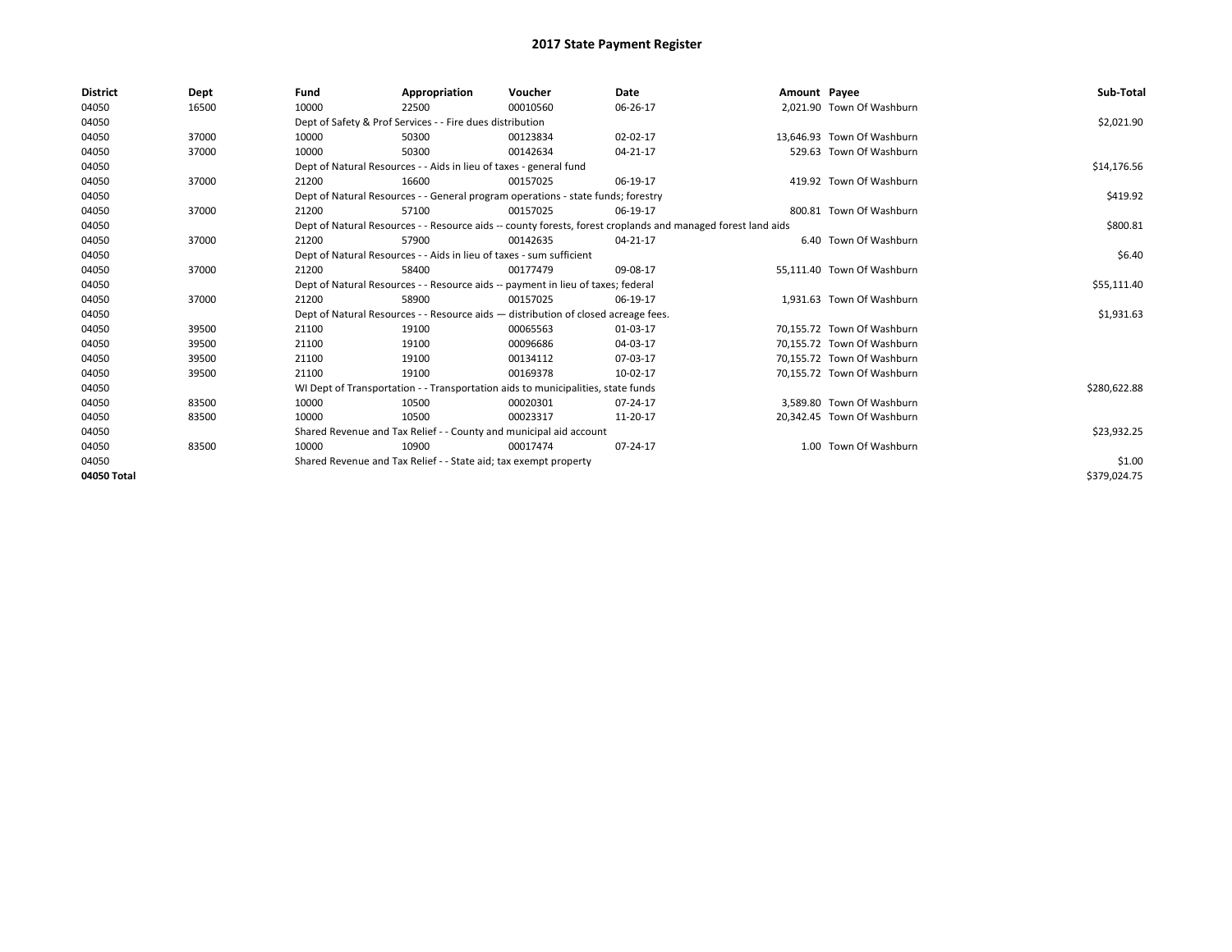| <b>District</b> | Dept  | Fund  | Appropriation                                                                                                | Voucher  | Date     | Amount Payee |                            | Sub-Total    |  |  |
|-----------------|-------|-------|--------------------------------------------------------------------------------------------------------------|----------|----------|--------------|----------------------------|--------------|--|--|
| 04050           | 16500 | 10000 | 22500                                                                                                        | 00010560 | 06-26-17 |              | 2.021.90 Town Of Washburn  |              |  |  |
| 04050           |       |       | Dept of Safety & Prof Services - - Fire dues distribution                                                    |          |          |              |                            | \$2,021.90   |  |  |
| 04050           | 37000 | 10000 | 50300                                                                                                        | 00123834 | 02-02-17 |              | 13.646.93 Town Of Washburn |              |  |  |
| 04050           | 37000 | 10000 | 50300                                                                                                        | 00142634 | 04-21-17 |              | 529.63 Town Of Washburn    |              |  |  |
| 04050           |       |       | Dept of Natural Resources - - Aids in lieu of taxes - general fund                                           |          |          |              |                            | \$14,176.56  |  |  |
| 04050           | 37000 | 21200 | 16600                                                                                                        | 00157025 | 06-19-17 |              | 419.92 Town Of Washburn    |              |  |  |
| 04050           |       |       | Dept of Natural Resources - - General program operations - state funds; forestry                             |          |          |              |                            | \$419.92     |  |  |
| 04050           | 37000 | 21200 | 57100                                                                                                        | 00157025 | 06-19-17 |              | 800.81 Town Of Washburn    |              |  |  |
| 04050           |       |       | Dept of Natural Resources - - Resource aids -- county forests, forest croplands and managed forest land aids |          |          |              |                            | \$800.81     |  |  |
| 04050           | 37000 | 21200 | 57900                                                                                                        | 00142635 | 04-21-17 |              | 6.40 Town Of Washburn      |              |  |  |
| 04050           |       |       | Dept of Natural Resources - - Aids in lieu of taxes - sum sufficient                                         |          |          |              |                            | \$6.40       |  |  |
| 04050           | 37000 | 21200 | 58400                                                                                                        | 00177479 | 09-08-17 |              | 55,111.40 Town Of Washburn |              |  |  |
| 04050           |       |       | Dept of Natural Resources - - Resource aids -- payment in lieu of taxes; federal                             |          |          |              |                            |              |  |  |
| 04050           | 37000 | 21200 | 58900                                                                                                        | 00157025 | 06-19-17 |              | 1,931.63 Town Of Washburn  |              |  |  |
| 04050           |       |       | Dept of Natural Resources - - Resource aids - distribution of closed acreage fees.                           |          |          |              |                            | \$1,931.63   |  |  |
| 04050           | 39500 | 21100 | 19100                                                                                                        | 00065563 | 01-03-17 |              | 70.155.72 Town Of Washburn |              |  |  |
| 04050           | 39500 | 21100 | 19100                                                                                                        | 00096686 | 04-03-17 |              | 70.155.72 Town Of Washburn |              |  |  |
| 04050           | 39500 | 21100 | 19100                                                                                                        | 00134112 | 07-03-17 |              | 70,155.72 Town Of Washburn |              |  |  |
| 04050           | 39500 | 21100 | 19100                                                                                                        | 00169378 | 10-02-17 |              | 70,155.72 Town Of Washburn |              |  |  |
| 04050           |       |       | WI Dept of Transportation - - Transportation aids to municipalities, state funds                             |          |          |              |                            | \$280,622.88 |  |  |
| 04050           | 83500 | 10000 | 10500                                                                                                        | 00020301 | 07-24-17 |              | 3,589.80 Town Of Washburn  |              |  |  |
| 04050           | 83500 | 10000 | 10500                                                                                                        | 00023317 | 11-20-17 |              | 20,342.45 Town Of Washburn |              |  |  |
| 04050           |       |       | Shared Revenue and Tax Relief - - County and municipal aid account                                           |          |          |              |                            | \$23,932.25  |  |  |
| 04050           | 83500 | 10000 | 10900                                                                                                        | 00017474 | 07-24-17 |              | 1.00 Town Of Washburn      |              |  |  |
| 04050           |       |       | Shared Revenue and Tax Relief - - State aid; tax exempt property                                             |          |          |              |                            | \$1.00       |  |  |
| 04050 Total     |       |       |                                                                                                              |          |          |              |                            | \$379,024.75 |  |  |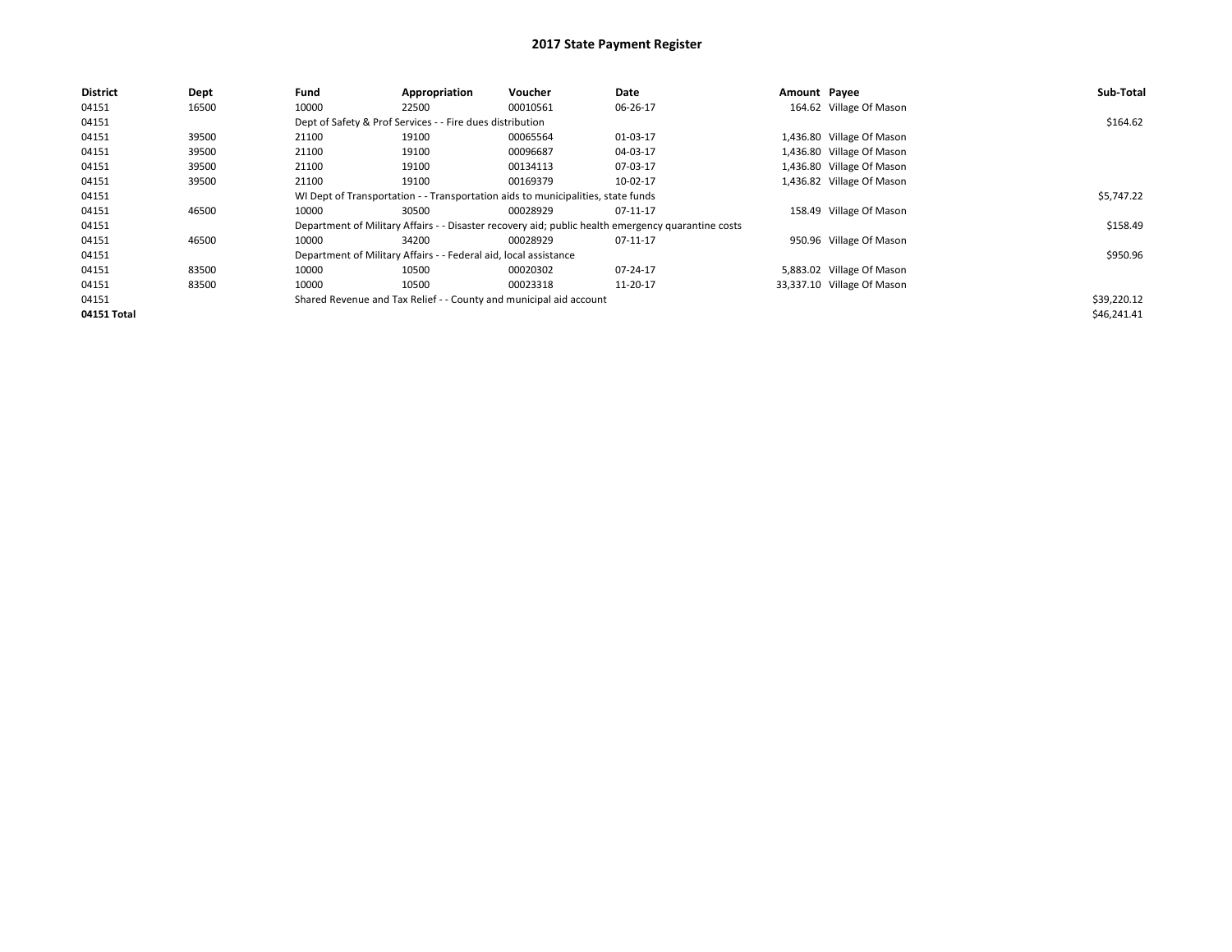| District    | Dept  | Fund  | Appropriation                                                                    | Voucher                                                            | Date                                                                                               | Amount Payee |                            | Sub-Total   |  |  |
|-------------|-------|-------|----------------------------------------------------------------------------------|--------------------------------------------------------------------|----------------------------------------------------------------------------------------------------|--------------|----------------------------|-------------|--|--|
| 04151       | 16500 | 10000 | 22500                                                                            | 00010561                                                           | 06-26-17                                                                                           |              | 164.62 Village Of Mason    |             |  |  |
| 04151       |       |       | Dept of Safety & Prof Services - - Fire dues distribution                        |                                                                    |                                                                                                    |              |                            |             |  |  |
| 04151       | 39500 | 21100 | 19100                                                                            | 00065564                                                           | 01-03-17                                                                                           |              | 1,436.80 Village Of Mason  |             |  |  |
| 04151       | 39500 | 21100 | 19100                                                                            | 00096687                                                           | 04-03-17                                                                                           |              | 1,436.80 Village Of Mason  |             |  |  |
| 04151       | 39500 | 21100 | 19100                                                                            | 00134113                                                           | 07-03-17                                                                                           |              | 1,436.80 Village Of Mason  |             |  |  |
| 04151       | 39500 | 21100 | 19100                                                                            | 00169379                                                           | 10-02-17                                                                                           |              | 1,436.82 Village Of Mason  |             |  |  |
| 04151       |       |       | WI Dept of Transportation - - Transportation aids to municipalities, state funds |                                                                    |                                                                                                    |              |                            |             |  |  |
| 04151       | 46500 | 10000 | 30500                                                                            | 00028929                                                           | 07-11-17                                                                                           |              | 158.49 Village Of Mason    |             |  |  |
| 04151       |       |       |                                                                                  |                                                                    | Department of Military Affairs - - Disaster recovery aid; public health emergency quarantine costs |              |                            | \$158.49    |  |  |
| 04151       | 46500 | 10000 | 34200                                                                            | 00028929                                                           | 07-11-17                                                                                           |              | 950.96 Village Of Mason    |             |  |  |
| 04151       |       |       | Department of Military Affairs - - Federal aid, local assistance                 |                                                                    |                                                                                                    |              |                            | \$950.96    |  |  |
| 04151       | 83500 | 10000 | 10500                                                                            | 00020302                                                           | 07-24-17                                                                                           |              | 5,883.02 Village Of Mason  |             |  |  |
| 04151       | 83500 | 10000 | 10500                                                                            | 00023318                                                           | 11-20-17                                                                                           |              | 33,337.10 Village Of Mason |             |  |  |
| 04151       |       |       |                                                                                  | Shared Revenue and Tax Relief - - County and municipal aid account |                                                                                                    |              |                            | \$39,220.12 |  |  |
| 04151 Total |       |       |                                                                                  |                                                                    |                                                                                                    |              |                            | \$46,241.41 |  |  |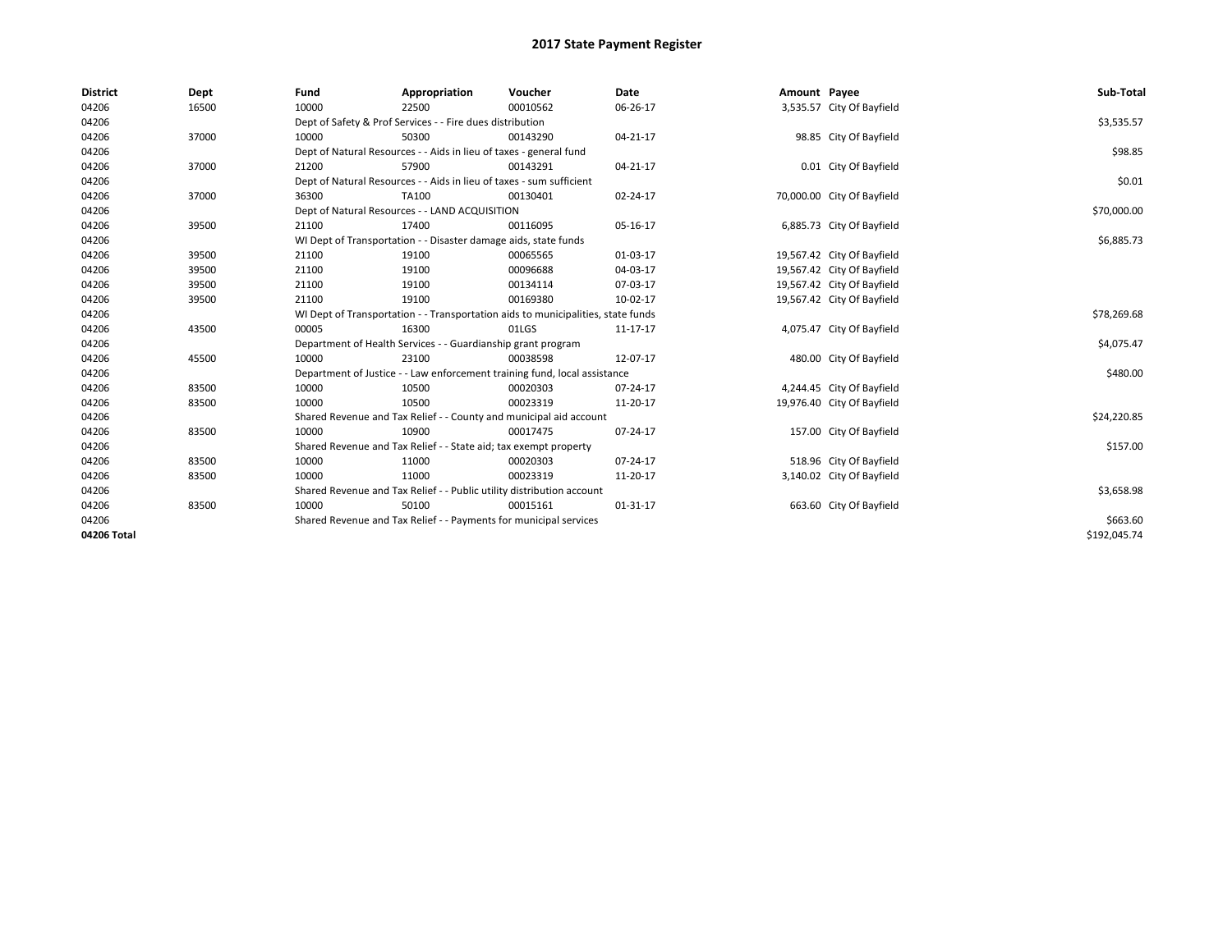| <b>District</b> | Dept  | Fund                                                                             | Appropriation                                                         | Voucher                                                                   | Date     | Amount Payee |                            | Sub-Total    |
|-----------------|-------|----------------------------------------------------------------------------------|-----------------------------------------------------------------------|---------------------------------------------------------------------------|----------|--------------|----------------------------|--------------|
| 04206           | 16500 | 10000                                                                            | 22500                                                                 | 00010562                                                                  | 06-26-17 |              | 3,535.57 City Of Bayfield  |              |
| 04206           |       |                                                                                  | Dept of Safety & Prof Services - - Fire dues distribution             |                                                                           |          |              |                            | \$3,535.57   |
| 04206           | 37000 | 10000                                                                            | 50300                                                                 | 00143290                                                                  | 04-21-17 |              | 98.85 City Of Bayfield     |              |
| 04206           |       | Dept of Natural Resources - - Aids in lieu of taxes - general fund               |                                                                       | \$98.85                                                                   |          |              |                            |              |
| 04206           | 37000 | 21200                                                                            | 57900                                                                 | 00143291                                                                  | 04-21-17 |              | 0.01 City Of Bayfield      |              |
| 04206           |       |                                                                                  | Dept of Natural Resources - - Aids in lieu of taxes - sum sufficient  |                                                                           |          |              |                            | \$0.01       |
| 04206           | 37000 | 36300                                                                            | TA100                                                                 | 00130401                                                                  | 02-24-17 |              | 70,000.00 City Of Bayfield |              |
| 04206           |       |                                                                                  | Dept of Natural Resources - - LAND ACQUISITION                        |                                                                           |          |              |                            | \$70,000.00  |
| 04206           | 39500 | 21100                                                                            | 17400                                                                 | 00116095                                                                  | 05-16-17 |              | 6,885.73 City Of Bayfield  |              |
| 04206           |       |                                                                                  | WI Dept of Transportation - - Disaster damage aids, state funds       |                                                                           |          |              |                            | \$6,885.73   |
| 04206           | 39500 | 21100                                                                            | 19100                                                                 | 00065565                                                                  | 01-03-17 |              | 19,567.42 City Of Bayfield |              |
| 04206           | 39500 | 21100                                                                            | 19100                                                                 | 00096688                                                                  | 04-03-17 |              | 19,567.42 City Of Bayfield |              |
| 04206           | 39500 | 21100                                                                            | 19100                                                                 | 00134114                                                                  | 07-03-17 |              | 19,567.42 City Of Bayfield |              |
| 04206           | 39500 | 21100                                                                            | 19100                                                                 | 00169380                                                                  | 10-02-17 |              | 19,567.42 City Of Bayfield |              |
| 04206           |       | WI Dept of Transportation - - Transportation aids to municipalities, state funds |                                                                       | \$78,269.68                                                               |          |              |                            |              |
| 04206           | 43500 | 00005                                                                            | 16300                                                                 | 01LGS                                                                     | 11-17-17 |              | 4,075.47 City Of Bayfield  |              |
| 04206           |       |                                                                                  | Department of Health Services - - Guardianship grant program          |                                                                           |          |              |                            | \$4,075.47   |
| 04206           | 45500 | 10000                                                                            | 23100                                                                 | 00038598                                                                  | 12-07-17 |              | 480.00 City Of Bayfield    |              |
| 04206           |       |                                                                                  |                                                                       | Department of Justice - - Law enforcement training fund, local assistance |          |              |                            | \$480.00     |
| 04206           | 83500 | 10000                                                                            | 10500                                                                 | 00020303                                                                  | 07-24-17 |              | 4,244.45 City Of Bayfield  |              |
| 04206           | 83500 | 10000                                                                            | 10500                                                                 | 00023319                                                                  | 11-20-17 |              | 19,976.40 City Of Bayfield |              |
| 04206           |       |                                                                                  |                                                                       | Shared Revenue and Tax Relief - - County and municipal aid account        |          |              |                            | \$24,220.85  |
| 04206           | 83500 | 10000                                                                            | 10900                                                                 | 00017475                                                                  | 07-24-17 |              | 157.00 City Of Bayfield    |              |
| 04206           |       |                                                                                  | Shared Revenue and Tax Relief - - State aid; tax exempt property      |                                                                           |          |              |                            | \$157.00     |
| 04206           | 83500 | 10000                                                                            | 11000                                                                 | 00020303                                                                  | 07-24-17 |              | 518.96 City Of Bayfield    |              |
| 04206           | 83500 | 10000                                                                            | 11000                                                                 | 00023319                                                                  | 11-20-17 |              | 3,140.02 City Of Bayfield  |              |
| 04206           |       |                                                                                  | Shared Revenue and Tax Relief - - Public utility distribution account |                                                                           |          |              |                            | \$3,658.98   |
| 04206           | 83500 | 10000                                                                            | 50100                                                                 | 00015161                                                                  | 01-31-17 |              | 663.60 City Of Bayfield    |              |
| 04206           |       |                                                                                  | Shared Revenue and Tax Relief - - Payments for municipal services     |                                                                           |          |              |                            | \$663.60     |
| 04206 Total     |       |                                                                                  |                                                                       |                                                                           |          |              |                            | \$192,045.74 |